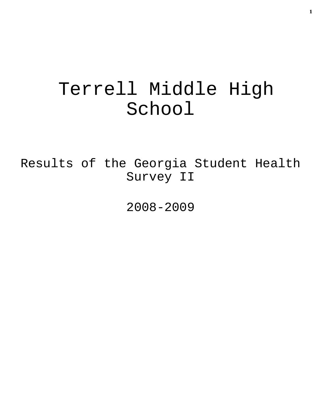# Terrell Middle High School

Results of the Georgia Student Health Survey II

2008-2009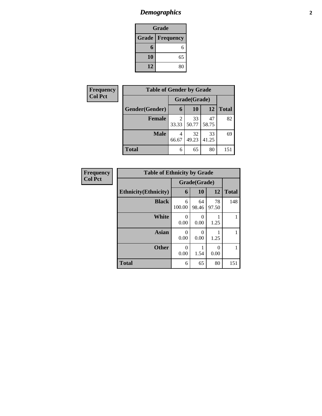# *Demographics* **2**

| Grade                    |    |  |  |  |
|--------------------------|----|--|--|--|
| <b>Grade   Frequency</b> |    |  |  |  |
| 6                        |    |  |  |  |
| 10                       | 65 |  |  |  |
| 12                       | 80 |  |  |  |

| Frequency      | <b>Table of Gender by Grade</b> |              |             |             |              |  |  |
|----------------|---------------------------------|--------------|-------------|-------------|--------------|--|--|
| <b>Col Pct</b> |                                 | Grade(Grade) |             |             |              |  |  |
|                | Gender(Gender)                  | 6            | <b>10</b>   | 12          | <b>Total</b> |  |  |
|                | <b>Female</b>                   | 2<br>33.33   | 33<br>50.77 | 47<br>58.75 | 82           |  |  |
|                | <b>Male</b>                     | 4<br>66.67   | 32<br>49.23 | 33<br>41.25 | 69           |  |  |
|                | <b>Total</b>                    | 6            | 65          | 80          | 151          |  |  |

| Frequency      | <b>Table of Ethnicity by Grade</b> |             |             |                  |              |
|----------------|------------------------------------|-------------|-------------|------------------|--------------|
| <b>Col Pct</b> | Grade(Grade)                       |             |             |                  |              |
|                | <b>Ethnicity</b> (Ethnicity)       | 6           | <b>10</b>   | 12               | <b>Total</b> |
|                | <b>Black</b>                       | 6<br>100.00 | 64<br>98.46 | 78<br>97.50      | 148          |
|                | <b>White</b>                       | 0<br>0.00   | 0<br>0.00   | 1.25             |              |
|                | <b>Asian</b>                       | 0<br>0.00   | 0<br>0.00   | 1.25             |              |
|                | <b>Other</b>                       | 0.00        | 1.54        | $\Omega$<br>0.00 |              |
|                | <b>Total</b>                       | 6           | 65          | 80               | 151          |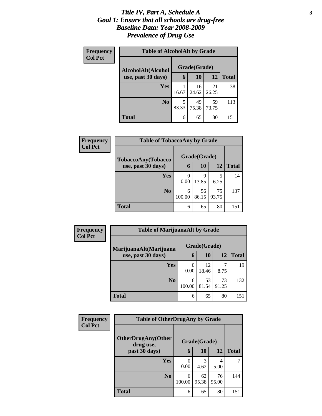### *Title IV, Part A, Schedule A* **3** *Goal 1: Ensure that all schools are drug-free Baseline Data: Year 2008-2009 Prevalence of Drug Use*

| Frequency<br><b>Col Pct</b> | <b>Table of AlcoholAlt by Grade</b> |              |             |             |              |  |
|-----------------------------|-------------------------------------|--------------|-------------|-------------|--------------|--|
|                             | AlcoholAlt(Alcohol                  | Grade(Grade) |             |             |              |  |
|                             | use, past 30 days)                  | 6            | 10          | 12          | <b>Total</b> |  |
|                             | Yes                                 | 16.67        | 16<br>24.62 | 21<br>26.25 | 38           |  |
|                             | N <sub>0</sub>                      | 5<br>83.33   | 49<br>75.38 | 59<br>73.75 | 113          |  |
|                             | Total                               | 6            | 65          | 80          | 151          |  |

| Frequency<br><b>Col Pct</b> | <b>Table of TobaccoAny by Grade</b> |        |              |       |              |
|-----------------------------|-------------------------------------|--------|--------------|-------|--------------|
|                             | TobaccoAny(Tobacco                  |        | Grade(Grade) |       |              |
|                             | use, past 30 days)                  | 6      | <b>10</b>    | 12    | <b>Total</b> |
|                             | Yes                                 |        | 9            | 5     | 14           |
|                             |                                     | 0.00   | 13.85        | 6.25  |              |
|                             | N <sub>0</sub>                      | 6      | 56           | 75    | 137          |
|                             |                                     | 100.00 | 86.15        | 93.75 |              |
|                             | <b>Total</b>                        | 6      | 65           | 80    | 151          |

| <b>Frequency</b> | <b>Table of MarijuanaAlt by Grade</b>        |              |             |             |              |
|------------------|----------------------------------------------|--------------|-------------|-------------|--------------|
| <b>Col Pct</b>   | MarijuanaAlt(Marijuana<br>use, past 30 days) | Grade(Grade) |             |             |              |
|                  |                                              | $\mathbf b$  | 10          | 12          | <b>Total</b> |
|                  | Yes                                          | 0.00         | 12<br>18.46 | ⇁<br>8.75   | 19           |
|                  | N <sub>0</sub>                               | 6<br>100.00  | 53<br>81.54 | 73<br>91.25 | 132          |
|                  | <b>Total</b>                                 | 6            | 65          | 80          | 151          |

| <b>Frequency</b> | <b>Table of OtherDrugAny by Grade</b>  |             |              |             |              |
|------------------|----------------------------------------|-------------|--------------|-------------|--------------|
| <b>Col Pct</b>   | <b>OtherDrugAny(Other</b><br>drug use, |             | Grade(Grade) |             |              |
|                  | past 30 days)                          | 6           | 10           | 12          | <b>Total</b> |
|                  | Yes                                    | 0.00        | 3<br>4.62    | 4<br>5.00   | 7            |
|                  | N <sub>0</sub>                         | 6<br>100.00 | 62<br>95.38  | 76<br>95.00 | 144          |
|                  | <b>Total</b>                           | 6           | 65           | 80          | 151          |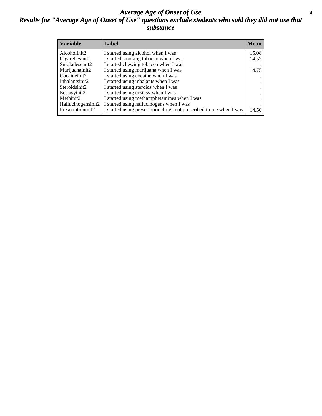### *Average Age of Onset of Use* **4** *Results for "Average Age of Onset of Use" questions exclude students who said they did not use that substance*

| <b>Variable</b>    | Label                                                              | <b>Mean</b> |
|--------------------|--------------------------------------------------------------------|-------------|
| Alcoholinit2       | I started using alcohol when I was                                 | 15.08       |
| Cigarettesinit2    | I started smoking tobacco when I was                               | 14.53       |
| Smokelessinit2     | I started chewing tobacco when I was                               |             |
| Marijuanainit2     | I started using marijuana when I was                               | 14.75       |
| Cocaineinit2       | I started using cocaine when I was                                 |             |
| Inhalantsinit2     | I started using inhalants when I was                               |             |
| Steroidsinit2      | I started using steroids when I was                                |             |
| Ecstasyinit2       | I started using ecstasy when I was                                 | $\bullet$   |
| Methinit2          | I started using methamphetamines when I was                        |             |
| Hallucinogensinit2 | I started using hallucinogens when I was                           |             |
| Prescriptioninit2  | I started using prescription drugs not prescribed to me when I was | 14.50       |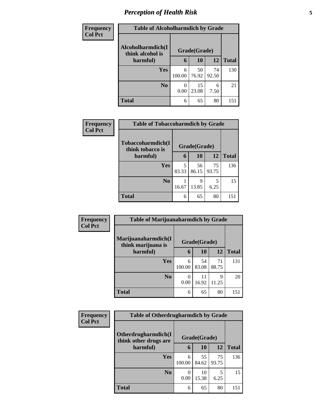# *Perception of Health Risk* **5**

| <b>Frequency</b> | <b>Table of Alcoholharmdich by Grade</b> |              |             |             |              |
|------------------|------------------------------------------|--------------|-------------|-------------|--------------|
| <b>Col Pct</b>   | Alcoholharmdich(I<br>think alcohol is    | Grade(Grade) |             |             |              |
|                  | harmful)                                 | 6            | 10          | 12          | <b>Total</b> |
|                  | Yes                                      | 6<br>100.00  | 50<br>76.92 | 74<br>92.50 | 130          |
|                  | N <sub>0</sub>                           | 0<br>0.00    | 15<br>23.08 | 6<br>7.50   | 21           |
|                  | <b>Total</b>                             | 6            | 65          | 80          | 151          |

| Frequency      | <b>Table of Tobaccoharmdich by Grade</b> |              |             |             |              |
|----------------|------------------------------------------|--------------|-------------|-------------|--------------|
| <b>Col Pct</b> | Tobaccoharmdich(I<br>think tobacco is    | Grade(Grade) |             |             |              |
|                | harmful)                                 | 6            | 10          | <b>12</b>   | <b>Total</b> |
|                | Yes                                      | 5<br>83.33   | 56<br>86.15 | 75<br>93.75 | 136          |
|                | N <sub>0</sub>                           | 16.67        | 9<br>13.85  | 5<br>6.25   | 15           |
|                | <b>Total</b>                             | 6            | 65          | 80          | 151          |

| Frequency<br><b>Col Pct</b> | <b>Table of Marijuanaharmdich by Grade</b> |                  |             |             |              |
|-----------------------------|--------------------------------------------|------------------|-------------|-------------|--------------|
|                             | Marijuanaharmdich(I<br>think marijuana is  | Grade(Grade)     |             |             |              |
|                             | harmful)                                   | 6                | <b>10</b>   | 12          | <b>Total</b> |
|                             | Yes                                        | 6<br>100.00      | 54<br>83.08 | 71<br>88.75 | 131          |
|                             | N <sub>0</sub>                             | $\Omega$<br>0.00 | 11<br>16.92 | Q<br>11.25  | 20           |
|                             | <b>Total</b>                               | 6                | 65          | 80          | 151          |

| <b>Frequency</b> | <b>Table of Otherdrugharmdich by Grade</b> |             |              |             |              |
|------------------|--------------------------------------------|-------------|--------------|-------------|--------------|
| <b>Col Pct</b>   | Otherdrugharmdich(I                        |             | Grade(Grade) |             |              |
|                  | think other drugs are<br>harmful)          | 6           | 10           | 12          | <b>Total</b> |
|                  | Yes                                        | 6<br>100.00 | 55<br>84.62  | 75<br>93.75 | 136          |
|                  | N <sub>0</sub>                             | 0.00        | 10<br>15.38  | 5<br>6.25   | 15           |
|                  | <b>Total</b>                               | 6           | 65           | 80          | 151          |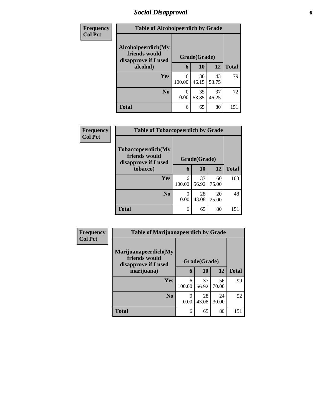### *Social Disapproval* **6**

| <b>Frequency</b> | <b>Table of Alcoholpeerdich by Grade</b>                    |              |             |             |              |  |  |  |
|------------------|-------------------------------------------------------------|--------------|-------------|-------------|--------------|--|--|--|
| <b>Col Pct</b>   | Alcoholpeerdich(My<br>friends would<br>disapprove if I used | Grade(Grade) |             |             |              |  |  |  |
|                  | alcohol)                                                    | 6            | 10          | 12          | <b>Total</b> |  |  |  |
|                  | Yes                                                         | 6<br>100.00  | 30<br>46.15 | 43<br>53.75 | 79           |  |  |  |
|                  | N <sub>0</sub>                                              | 0.00         | 35<br>53.85 | 37<br>46.25 | 72           |  |  |  |
|                  | <b>Total</b>                                                | 6            | 65          | 80          | 151          |  |  |  |

| <b>Frequency</b> | <b>Table of Tobaccopeerdich by Grade</b>                    |              |             |             |              |  |  |  |  |
|------------------|-------------------------------------------------------------|--------------|-------------|-------------|--------------|--|--|--|--|
| <b>Col Pct</b>   | Tobaccopeerdich(My<br>friends would<br>disapprove if I used | Grade(Grade) |             |             |              |  |  |  |  |
|                  | tobacco)                                                    | 6            | 10          | 12          | <b>Total</b> |  |  |  |  |
|                  | <b>Yes</b>                                                  | 6<br>100.00  | 37<br>56.92 | 60<br>75.00 | 103          |  |  |  |  |
|                  | No                                                          | 0<br>0.00    | 28<br>43.08 | 20<br>25.00 | 48           |  |  |  |  |
|                  | <b>Total</b>                                                | 6            | 65          | 80          | 151          |  |  |  |  |

| <b>Frequency</b><br><b>Col Pct</b> | <b>Table of Marijuanapeerdich by Grade</b>                    |              |             |             |              |  |
|------------------------------------|---------------------------------------------------------------|--------------|-------------|-------------|--------------|--|
|                                    | Marijuanapeerdich(My<br>friends would<br>disapprove if I used | Grade(Grade) |             |             |              |  |
|                                    | marijuana)                                                    | 6            | 10          | 12          | <b>Total</b> |  |
|                                    | Yes                                                           | 6<br>100.00  | 37<br>56.92 | 56<br>70.00 | 99           |  |
|                                    | N <sub>0</sub>                                                | 0<br>0.00    | 28<br>43.08 | 24<br>30.00 | 52           |  |
|                                    | <b>Total</b>                                                  | 6            | 65          | 80          | 151          |  |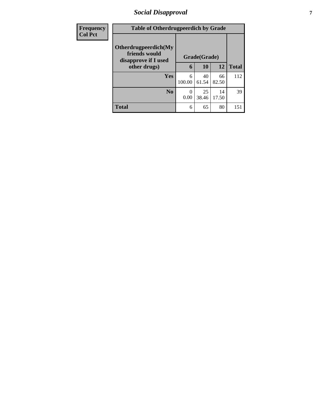### *Social Disapproval* **7**

| <b>Frequency</b> | <b>Table of Otherdrugpeerdich by Grade</b>                    |                  |              |             |              |
|------------------|---------------------------------------------------------------|------------------|--------------|-------------|--------------|
| <b>Col Pct</b>   | Otherdrugpeerdich(My<br>friends would<br>disapprove if I used |                  | Grade(Grade) |             |              |
|                  | other drugs)                                                  | 6                | 10           | 12          | <b>Total</b> |
|                  | Yes                                                           | 6<br>100.00      | 40<br>61.54  | 66<br>82.50 | 112          |
|                  | N <sub>0</sub>                                                | $\theta$<br>0.00 | 25<br>38.46  | 14<br>17.50 | 39           |
|                  | <b>Total</b>                                                  | 6                | 65           | 80          | 151          |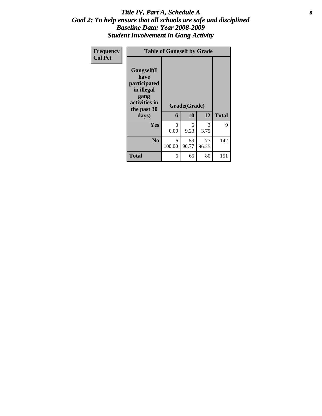### Title IV, Part A, Schedule A **8** *Goal 2: To help ensure that all schools are safe and disciplined Baseline Data: Year 2008-2009 Student Involvement in Gang Activity*

| Frequency<br><b>Col Pct</b> |                                                                                                           | <b>Table of Gangself by Grade</b> |                    |             |              |  |  |  |
|-----------------------------|-----------------------------------------------------------------------------------------------------------|-----------------------------------|--------------------|-------------|--------------|--|--|--|
|                             | <b>Gangself</b> (I<br>have<br>participated<br>in illegal<br>gang<br>activities in<br>the past 30<br>days) | 6                                 | Grade(Grade)<br>10 | 12          | <b>Total</b> |  |  |  |
|                             | <b>Yes</b>                                                                                                | 0<br>0.00                         | 6<br>9.23          | 3<br>3.75   | 9            |  |  |  |
|                             | N <sub>0</sub>                                                                                            | 6<br>100.00                       | 59<br>90.77        | 77<br>96.25 | 142          |  |  |  |
|                             | <b>Total</b>                                                                                              | 6                                 | 65                 | 80          | 151          |  |  |  |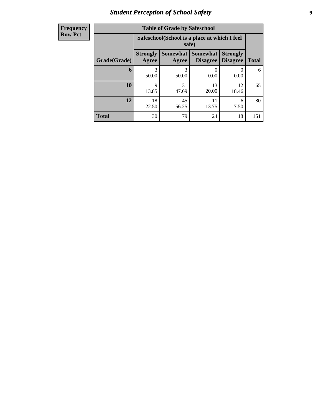### *Student Perception of School Safety* **9**

| <b>Frequency</b> |
|------------------|
| <b>Row Pct</b>   |

| <b>Table of Grade by Safeschool</b> |                          |                                                        |                                    |                                    |              |  |  |  |  |
|-------------------------------------|--------------------------|--------------------------------------------------------|------------------------------------|------------------------------------|--------------|--|--|--|--|
|                                     |                          | Safeschool (School is a place at which I feel<br>safe) |                                    |                                    |              |  |  |  |  |
| Grade(Grade)                        | <b>Strongly</b><br>Agree | <b>Somewhat</b><br>Agree                               | <b>Somewhat</b><br><b>Disagree</b> | <b>Strongly</b><br><b>Disagree</b> | <b>Total</b> |  |  |  |  |
| 6                                   | 3<br>50.00               | 3<br>50.00                                             | 0<br>0.00                          | $\theta$<br>0.00                   | 6            |  |  |  |  |
| 10                                  | 9<br>13.85               | 31<br>47.69                                            | 13<br>20.00                        | 12<br>18.46                        | 65           |  |  |  |  |
| 12                                  | 18<br>22.50              | 45<br>56.25                                            | 11<br>13.75                        | 6<br>7.50                          | 80           |  |  |  |  |
| <b>Total</b>                        | 30                       | 79                                                     | 24                                 | 18                                 | 151          |  |  |  |  |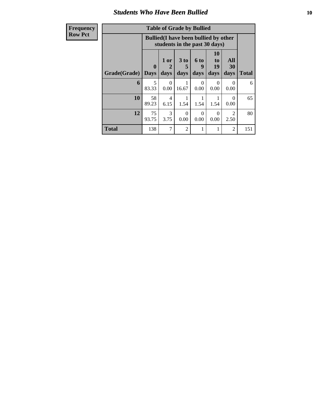### *Students Who Have Been Bullied* **10**

| <b>Frequency</b> | <b>Table of Grade by Bullied</b> |                                                                               |                   |                  |                          |                                    |                        |              |  |
|------------------|----------------------------------|-------------------------------------------------------------------------------|-------------------|------------------|--------------------------|------------------------------------|------------------------|--------------|--|
| <b>Row Pct</b>   |                                  | <b>Bullied</b> (I have been bullied by other<br>students in the past 30 days) |                   |                  |                          |                                    |                        |              |  |
|                  | <b>Grade</b> (Grade) Days        | 0                                                                             | 1 or<br>2<br>days | 3 to<br>days     | <b>6 to</b><br>9<br>days | 10<br>t <sub>o</sub><br>19<br>days | All<br>30<br>days      | <b>Total</b> |  |
|                  | 6                                | 5<br>83.33                                                                    | $\Omega$<br>0.00  | 16.67            | $\Omega$<br>0.00         | $\Omega$<br>0.00                   | $\Omega$<br>0.00       | 6            |  |
|                  | 10                               | 58<br>89.23                                                                   | 4<br>6.15         | 1.54             | 1.54                     | 1.54                               | $\Omega$<br>0.00       | 65           |  |
|                  | 12                               | 75<br>93.75                                                                   | 3<br>3.75         | $\Omega$<br>0.00 | $\Omega$<br>0.00         | $\Omega$<br>0.00                   | $\overline{c}$<br>2.50 | 80           |  |
|                  | <b>Total</b>                     | 138                                                                           | $\overline{7}$    | $\overline{2}$   | 1                        | 1                                  | $\overline{2}$         | 151          |  |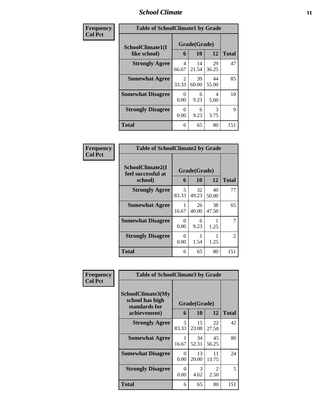### *School Climate* **11**

| Frequency      | <b>Table of SchoolClimate1 by Grade</b> |            |                    |             |              |  |  |
|----------------|-----------------------------------------|------------|--------------------|-------------|--------------|--|--|
| <b>Col Pct</b> | SchoolClimate1(I<br>like school)        | 6          | Grade(Grade)<br>10 | 12          | <b>Total</b> |  |  |
|                | <b>Strongly Agree</b>                   | 4<br>66.67 | 14<br>21.54        | 29<br>36.25 | 47           |  |  |
|                | <b>Somewhat Agree</b>                   | 2<br>33.33 | 39<br>60.00        | 44<br>55.00 | 85           |  |  |
|                | <b>Somewhat Disagree</b>                | 0<br>0.00  | 6<br>9.23          | 4<br>5.00   | 10           |  |  |
|                | <b>Strongly Disagree</b>                | 0<br>0.00  | 6<br>9.23          | 3<br>3.75   | 9            |  |  |
|                | <b>Total</b>                            | 6          | 65                 | 80          | 151          |  |  |

| Frequency      |                                                   | <b>Table of SchoolClimate2 by Grade</b> |                    |             |              |  |
|----------------|---------------------------------------------------|-----------------------------------------|--------------------|-------------|--------------|--|
| <b>Col Pct</b> | SchoolClimate2(I<br>feel successful at<br>school) | 6                                       | Grade(Grade)<br>10 | 12          | <b>Total</b> |  |
|                | <b>Strongly Agree</b>                             | 5<br>83.33                              | 32<br>49.23        | 40<br>50.00 | 77           |  |
|                | <b>Somewhat Agree</b>                             | 16.67                                   | 26<br>40.00        | 38<br>47.50 | 65           |  |
|                | <b>Somewhat Disagree</b>                          | $\Omega$<br>0.00                        | 6<br>9.23          | 1.25        |              |  |
|                | <b>Strongly Disagree</b>                          | $\Omega$<br>0.00                        | 1.54               | 1.25        | 2            |  |
|                | Total                                             | 6                                       | 65                 | 80          | 151          |  |

| Frequency | <b>Table of SchoolClimate3 by Grade</b>                               |                  |                    |                        |              |  |  |
|-----------|-----------------------------------------------------------------------|------------------|--------------------|------------------------|--------------|--|--|
| Col Pct   | SchoolClimate3(My<br>school has high<br>standards for<br>achievement) | 6                | Grade(Grade)<br>10 | 12                     | <b>Total</b> |  |  |
|           | <b>Strongly Agree</b>                                                 | 5<br>83.33       | 15<br>23.08        | 22<br>27.50            | 42           |  |  |
|           | <b>Somewhat Agree</b>                                                 | 1<br>16.67       | 34<br>52.31        | 45<br>56.25            | 80           |  |  |
|           | <b>Somewhat Disagree</b>                                              | $\Omega$<br>0.00 | 13<br>20.00        | 11<br>13.75            | 24           |  |  |
|           | <b>Strongly Disagree</b>                                              | $\Omega$<br>0.00 | 3<br>4.62          | $\overline{2}$<br>2.50 | 5            |  |  |
|           | Total                                                                 | 6                | 65                 | 80                     | 151          |  |  |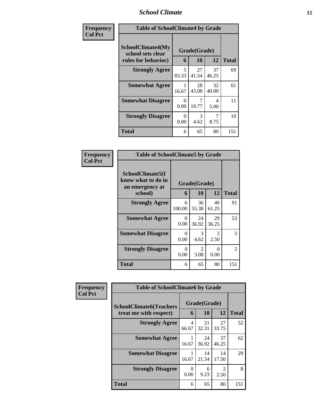### *School Climate* **12**

| Frequency      |                                                                      | <b>Table of SchoolClimate4 by Grade</b> |                           |             |              |  |  |
|----------------|----------------------------------------------------------------------|-----------------------------------------|---------------------------|-------------|--------------|--|--|
| <b>Col Pct</b> | <b>SchoolClimate4(My</b><br>school sets clear<br>rules for behavior) | 6                                       | Grade(Grade)<br><b>10</b> | 12          | <b>Total</b> |  |  |
|                | <b>Strongly Agree</b>                                                | 5<br>83.33                              | 27<br>41.54               | 37<br>46.25 | 69           |  |  |
|                | <b>Somewhat Agree</b>                                                | 16.67                                   | 28<br>43.08               | 32<br>40.00 | 61           |  |  |
|                | <b>Somewhat Disagree</b>                                             | 0<br>0.00                               | 10.77                     | 4<br>5.00   | 11           |  |  |
|                | <b>Strongly Disagree</b>                                             | $\Omega$<br>0.00                        | 3<br>4.62                 | 7<br>8.75   | 10           |  |  |
|                | <b>Total</b>                                                         | 6                                       | 65                        | 80          | 151          |  |  |

| <b>Frequency</b> |
|------------------|
| Col Pct          |

| <b>Table of SchoolClimate5 by Grade</b>                                   |             |             |             |               |  |  |
|---------------------------------------------------------------------------|-------------|-------------|-------------|---------------|--|--|
| SchoolClimate5(I<br>know what to do in<br>Grade(Grade)<br>an emergency at |             |             |             |               |  |  |
| school)                                                                   | 6           | 10          | 12          | <b>Total</b>  |  |  |
| <b>Strongly Agree</b>                                                     | 6<br>100.00 | 36<br>55.38 | 49<br>61.25 | 91            |  |  |
| <b>Somewhat Agree</b>                                                     | 0<br>0.00   | 24<br>36.92 | 29<br>36.25 | 53            |  |  |
| <b>Somewhat Disagree</b>                                                  | 0<br>0.00   | 3<br>4.62   | 2<br>2.50   | 5             |  |  |
| <b>Strongly Disagree</b>                                                  | 0<br>0.00   | 2<br>3.08   | 0<br>0.00   | $\mathcal{L}$ |  |  |
| Total                                                                     | 6           | 65          | 80          | 151           |  |  |

| Frequency      | <b>Table of SchoolClimate6 by Grade</b> |                  |              |                        |              |
|----------------|-----------------------------------------|------------------|--------------|------------------------|--------------|
| <b>Col Pct</b> | <b>SchoolClimate6(Teachers</b>          |                  | Grade(Grade) |                        |              |
|                | treat me with respect)                  | 6                | 10           | 12                     | <b>Total</b> |
|                | <b>Strongly Agree</b>                   | 4<br>66.67       | 21<br>32.31  | 27<br>33.75            | 52           |
|                | <b>Somewhat Agree</b>                   | 16.67            | 24<br>36.92  | 37<br>46.25            | 62           |
|                | <b>Somewhat Disagree</b>                | 16.67            | 14<br>21.54  | 14<br>17.50            | 29           |
|                | <b>Strongly Disagree</b>                | $\Omega$<br>0.00 | 6<br>9.23    | $\mathfrak{D}$<br>2.50 | 8            |
|                | <b>Total</b>                            | 6                | 65           | 80                     | 151          |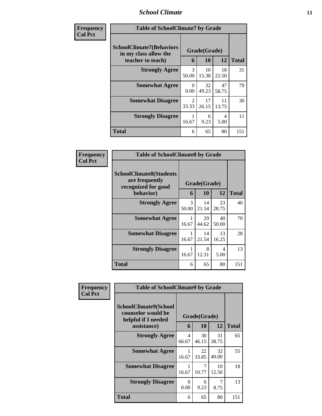### *School Climate* **13**

| <b>Frequency</b> | <b>Table of SchoolClimate7 by Grade</b>                                       |                         |                    |             |              |  |
|------------------|-------------------------------------------------------------------------------|-------------------------|--------------------|-------------|--------------|--|
| <b>Col Pct</b>   | <b>SchoolClimate7(Behaviors</b><br>in my class allow the<br>teacher to teach) | 6                       | Grade(Grade)<br>10 | 12          | <b>Total</b> |  |
|                  | <b>Strongly Agree</b>                                                         | $\mathcal{R}$<br>50.00  | 10<br>15.38        | 18<br>22.50 | 31           |  |
|                  | <b>Somewhat Agree</b>                                                         | $\Omega$<br>0.00        | 32<br>49.23        | 47<br>58.75 | 79           |  |
|                  | <b>Somewhat Disagree</b>                                                      | $\mathfrak{D}$<br>33.33 | 17<br>26.15        | 11<br>13.75 | 30           |  |
|                  | <b>Strongly Disagree</b>                                                      | 1<br>16.67              | 6<br>9.23          | 4<br>5.00   | 11           |  |
|                  | <b>Total</b>                                                                  | 6                       | 65                 | 80          | 151          |  |

| Frequency      | <b>Table of SchoolClimate8 by Grade</b>                                 |                        |              |             |              |  |
|----------------|-------------------------------------------------------------------------|------------------------|--------------|-------------|--------------|--|
| <b>Col Pct</b> | <b>SchoolClimate8(Students</b><br>are frequently<br>recognized for good |                        | Grade(Grade) |             |              |  |
|                | behavior)                                                               | 6                      | 10           | 12          | <b>Total</b> |  |
|                | <b>Strongly Agree</b>                                                   | $\mathcal{R}$<br>50.00 | 14<br>21.54  | 23<br>28.75 | 40           |  |
|                | <b>Somewhat Agree</b>                                                   | 1<br>16.67             | 29<br>44.62  | 40<br>50.00 | 70           |  |
|                | <b>Somewhat Disagree</b>                                                | 1<br>16.67             | 14<br>21.54  | 13<br>16.25 | 28           |  |
|                | <b>Strongly Disagree</b>                                                | 1<br>16.67             | 8<br>12.31   | 4<br>5.00   | 13           |  |
|                | Total                                                                   | 6                      | 65           | 80          | 151          |  |

| Frequency      | <b>Table of SchoolClimate9 by Grade</b>                                           |            |                    |             |              |
|----------------|-----------------------------------------------------------------------------------|------------|--------------------|-------------|--------------|
| <b>Col Pct</b> | SchoolClimate9(School<br>counselor would be<br>helpful if I needed<br>assistance) | 6          | Grade(Grade)<br>10 | 12          | <b>Total</b> |
|                | <b>Strongly Agree</b>                                                             | 4          | 30                 | 31          | 65           |
|                |                                                                                   | 66.67      | 46.15              | 38.75       |              |
|                | <b>Somewhat Agree</b>                                                             | 1<br>16.67 | 22<br>33.85        | 32<br>40.00 | 55           |
|                | <b>Somewhat Disagree</b>                                                          | 1<br>16.67 | 7<br>10.77         | 10<br>12.50 | 18           |
|                | <b>Strongly Disagree</b>                                                          | 0<br>0.00  | 6<br>9.23          | 7<br>8.75   | 13           |
|                | <b>Total</b>                                                                      | 6          | 65                 | 80          | 151          |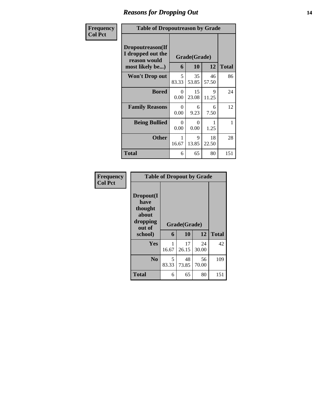### *Reasons for Dropping Out* **14**

| Frequency      | <b>Table of Dropoutreason by Grade</b>                                           |            |                    |             |              |
|----------------|----------------------------------------------------------------------------------|------------|--------------------|-------------|--------------|
| <b>Col Pct</b> | <b>Dropoutreason</b> (If<br>I dropped out the<br>reason would<br>most likely be) | 6          | Grade(Grade)<br>10 | 12          | <b>Total</b> |
|                | <b>Won't Drop out</b>                                                            | 5<br>83.33 | 35<br>53.85        | 46<br>57.50 | 86           |
|                | <b>Bored</b>                                                                     | 0<br>0.00  | 15<br>23.08        | 9<br>11.25  | 24           |
|                | <b>Family Reasons</b>                                                            | 0<br>0.00  | 6<br>9.23          | 6<br>7.50   | 12           |
|                | <b>Being Bullied</b>                                                             | 0<br>0.00  | ∩<br>0.00          | 1.25        | 1            |
|                | <b>Other</b>                                                                     | 1<br>16.67 | 9<br>13.85         | 18<br>22.50 | 28           |
|                | Total                                                                            | 6          | 65                 | 80          | 151          |

| Frequency      | <b>Table of Dropout by Grade</b>                            |            |                    |             |              |  |  |  |
|----------------|-------------------------------------------------------------|------------|--------------------|-------------|--------------|--|--|--|
| <b>Col Pct</b> | Dropout(I<br>have<br>thought<br>about<br>dropping<br>out of |            | Grade(Grade)<br>10 | 12          | <b>Total</b> |  |  |  |
|                | school)                                                     | 6          |                    |             |              |  |  |  |
|                | Yes                                                         | 16.67      | 17<br>26.15        | 24<br>30.00 | 42           |  |  |  |
|                | N <sub>0</sub>                                              | 5<br>83.33 | 48<br>73.85        | 56<br>70.00 | 109          |  |  |  |
|                | <b>Total</b>                                                | 6          | 65                 | 80          | 151          |  |  |  |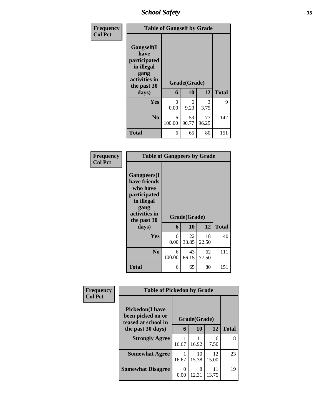*School Safety* **15**

| <b>Frequency</b> | <b>Table of Gangself by Grade</b>                                                                 |             |                    |                       |              |
|------------------|---------------------------------------------------------------------------------------------------|-------------|--------------------|-----------------------|--------------|
| <b>Col Pct</b>   | Gangself(I<br>have<br>participated<br>in illegal<br>gang<br>activities in<br>the past 30<br>days) | 6           | Grade(Grade)<br>10 | 12                    | <b>Total</b> |
|                  |                                                                                                   |             |                    |                       |              |
|                  | Yes                                                                                               | 0<br>0.00   | 6<br>9.23          | $\mathcal{F}$<br>3.75 | 9            |
|                  | N <sub>0</sub>                                                                                    | 6<br>100.00 | 59<br>90.77        | 77<br>96.25           | 142          |
|                  | <b>Total</b>                                                                                      | 6           | 65                 | 80                    | 151          |

| <b>Table of Gangpeers by Grade</b>                                                                                    |             |              |             |              |  |  |
|-----------------------------------------------------------------------------------------------------------------------|-------------|--------------|-------------|--------------|--|--|
| <b>Gangpeers</b> (I<br>have friends<br>who have<br>participated<br>in illegal<br>gang<br>activities in<br>the past 30 |             | Grade(Grade) |             |              |  |  |
| days)                                                                                                                 | 6           | 10           | 12          | <b>Total</b> |  |  |
| Yes                                                                                                                   | 0<br>0.00   | 22<br>33.85  | 18<br>22.50 | 40           |  |  |
| N <sub>0</sub>                                                                                                        | 6<br>100.00 | 43<br>66.15  | 62<br>77.50 | 111          |  |  |
| Total                                                                                                                 | 6           | 65           | 80          | 151          |  |  |

| Frequency      | <b>Table of Pickedon by Grade</b>                                   |              |             |             |              |
|----------------|---------------------------------------------------------------------|--------------|-------------|-------------|--------------|
| <b>Col Pct</b> | <b>Pickedon</b> (I have<br>been picked on or<br>teased at school in | Grade(Grade) |             |             |              |
|                | the past 30 days)                                                   | 6            | 10          | 12          | <b>Total</b> |
|                | <b>Strongly Agree</b>                                               | 16.67        | 11<br>16.92 | 6<br>7.50   | 18           |
|                | <b>Somewhat Agree</b>                                               | 16.67        | 10<br>15.38 | 12<br>15.00 | 23           |
|                | <b>Somewhat Disagree</b>                                            | 0<br>0.00    | 8<br>12.31  | 11<br>13.75 | 19           |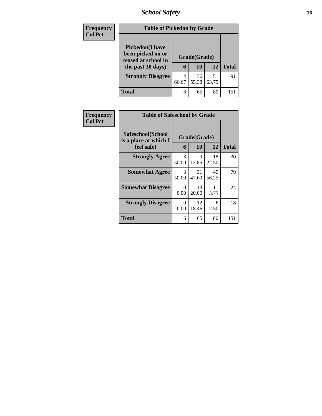# *School Safety* **16**

| <b>Frequency</b> | <b>Table of Pickedon by Grade</b>                                                        |            |                    |             |              |
|------------------|------------------------------------------------------------------------------------------|------------|--------------------|-------------|--------------|
| <b>Col Pct</b>   | <b>Pickedon</b> (I have<br>been picked on or<br>teased at school in<br>the past 30 days) | 6          | Grade(Grade)<br>10 | 12          | <b>Total</b> |
|                  | <b>Strongly Disagree</b>                                                                 | 4<br>66.67 | 36<br>55.38        | 51<br>63.75 | 91           |
|                  | Total                                                                                    | 6          | 65                 | 80          | 151          |

| Frequency      | <b>Table of Safeschool by Grade</b>                      |                  |                    |             |              |  |  |  |
|----------------|----------------------------------------------------------|------------------|--------------------|-------------|--------------|--|--|--|
| <b>Col Pct</b> | Safeschool(School<br>is a place at which I<br>feel safe) | 6                | Grade(Grade)<br>10 | 12          | <b>Total</b> |  |  |  |
|                | <b>Strongly Agree</b>                                    | 3<br>50.00       | 9<br>13.85         | 18<br>22.50 | 30           |  |  |  |
|                | <b>Somewhat Agree</b>                                    | 3<br>50.00       | 31<br>47.69        | 45<br>56.25 | 79           |  |  |  |
|                | <b>Somewhat Disagree</b>                                 | 0<br>0.00        | 13<br>20.00        | 11<br>13.75 | 24           |  |  |  |
|                | <b>Strongly Disagree</b>                                 | $\theta$<br>0.00 | 12<br>18.46        | 6<br>7.50   | 18           |  |  |  |
|                | Total                                                    | 6                | 65                 | 80          | 151          |  |  |  |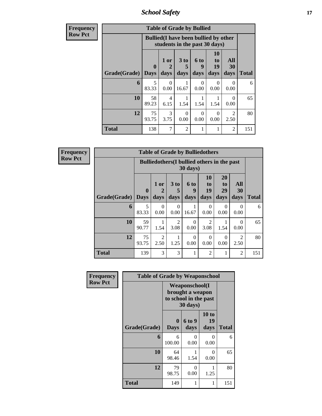*School Safety* **17**

| <b>Frequency</b> | <b>Table of Grade by Bullied</b> |             |                                                                               |                 |                  |                                   |                        |              |  |  |
|------------------|----------------------------------|-------------|-------------------------------------------------------------------------------|-----------------|------------------|-----------------------------------|------------------------|--------------|--|--|
| Row Pct          |                                  |             | <b>Bullied</b> (I have been bullied by other<br>students in the past 30 days) |                 |                  |                                   |                        |              |  |  |
|                  |                                  | $\mathbf 0$ | 1 or                                                                          | 3 <sub>to</sub> | 6 to<br>9        | <b>10</b><br>t <sub>o</sub><br>19 | All<br>30              |              |  |  |
|                  | <b>Grade</b> (Grade)   Days      |             | days                                                                          | days            | days             | days                              | days                   | <b>Total</b> |  |  |
|                  | 6                                | 5<br>83.33  | 0<br>0.00                                                                     | 16.67           | $\Omega$<br>0.00 | 0<br>0.00                         | 0<br>0.00              | 6            |  |  |
|                  | 10                               | 58<br>89.23 | 4<br>6.15                                                                     | 1.54            | 1.54             | 1.54                              | $\Omega$<br>0.00       | 65           |  |  |
|                  | 12                               | 75<br>93.75 | 3<br>3.75                                                                     | 0<br>0.00       | 0<br>0.00        | $\Omega$<br>0.00                  | $\mathfrak{D}$<br>2.50 | 80           |  |  |
|                  | <b>Total</b>                     | 138         | 7                                                                             | $\mathfrak{D}$  |                  | 1                                 | $\overline{2}$         | 151          |  |  |

| <b>Frequency</b> |
|------------------|
| <b>Row Pct</b>   |

| <b>Table of Grade by Bulliedothers</b> |              |                                                                |                              |                          |                        |                               |                                     |              |  |
|----------------------------------------|--------------|----------------------------------------------------------------|------------------------------|--------------------------|------------------------|-------------------------------|-------------------------------------|--------------|--|
|                                        |              | <b>Bulliedothers</b> (I bullied others in the past<br>30 days) |                              |                          |                        |                               |                                     |              |  |
| <b>Grade</b> (Grade) Days              | $\mathbf{0}$ | 1 or<br>days                                                   | 3 <sub>to</sub><br>5<br>days | <b>6 to</b><br>9<br>days | 10<br>to<br>19<br>days | <b>20</b><br>to<br>29<br>days | All<br>30<br>days                   | <b>Total</b> |  |
| 6                                      | 5<br>83.33   | $\Omega$<br>0.00                                               | $\Omega$<br>0.00             | 16.67                    | 0<br>0.00              | $\Omega$<br>0.00              | $\Omega$<br>0.00                    | 6            |  |
| 10                                     | 59<br>90.77  | 1.54                                                           | $\mathfrak{D}$<br>3.08       | 0<br>0.00                | $\mathfrak{D}$<br>3.08 | 1.54                          | 0<br>0.00                           | 65           |  |
| 12                                     | 75<br>93.75  | $\mathfrak{D}$<br>2.50                                         | 1.25                         | $\Omega$<br>0.00         | 0<br>0.00              | 0<br>0.00                     | $\mathcal{D}_{\mathcal{L}}$<br>2.50 | 80           |  |
| <b>Total</b>                           | 139          | 3                                                              | 3                            | 1                        | $\overline{c}$         |                               | $\overline{2}$                      | 151          |  |

| Frequency      | <b>Table of Grade by Weaponschool</b> |                                                                         |                |                     |              |  |  |  |  |
|----------------|---------------------------------------|-------------------------------------------------------------------------|----------------|---------------------|--------------|--|--|--|--|
| <b>Row Pct</b> |                                       | Weaponschool(I<br>brought a weapon<br>to school in the past<br>30 days) |                |                     |              |  |  |  |  |
|                | Grade(Grade)                          | $\bf{0}$<br><b>Days</b>                                                 | 6 to 9<br>days | 10 to<br>19<br>days | <b>Total</b> |  |  |  |  |
|                | 6                                     | 6<br>100.00                                                             | 0<br>0.00      | $\Omega$<br>0.00    | 6            |  |  |  |  |
|                | 10                                    | 64<br>98.46                                                             | 1<br>1.54      | 0<br>0.00           | 65           |  |  |  |  |
|                | 12                                    | 79<br>98.75                                                             | 0<br>0.00      | 1.25                | 80           |  |  |  |  |
|                | Total                                 | 149                                                                     |                | 1                   | 151          |  |  |  |  |

٦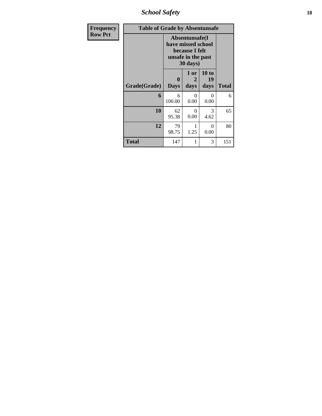*School Safety* **18**

| <b>Frequency</b> | <b>Table of Grade by Absentunsafe</b> |                                                                                           |                   |                     |              |  |  |  |
|------------------|---------------------------------------|-------------------------------------------------------------------------------------------|-------------------|---------------------|--------------|--|--|--|
| <b>Row Pct</b>   |                                       | Absentunsafe(I)<br>have missed school<br>because I felt<br>unsafe in the past<br>30 days) |                   |                     |              |  |  |  |
|                  | Grade(Grade)                          | 0<br><b>Days</b>                                                                          | 1 or<br>2<br>days | 10 to<br>19<br>days | <b>Total</b> |  |  |  |
|                  | 6                                     | 6<br>100.00                                                                               | 0<br>0.00         | 0<br>0.00           | 6            |  |  |  |
|                  | 10                                    | 62<br>95.38                                                                               | $\Omega$<br>0.00  | 3<br>4.62           | 65           |  |  |  |
|                  | 12                                    | 79<br>98.75                                                                               | 1<br>1.25         | 0<br>0.00           | 80           |  |  |  |
|                  | Total                                 | 147                                                                                       | 1                 | 3                   | 151          |  |  |  |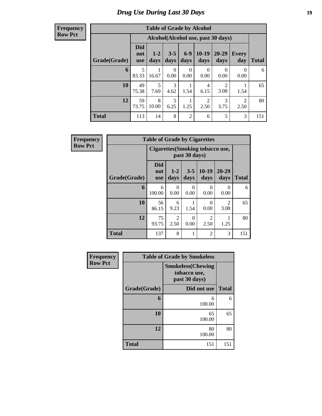# *Drug Use During Last 30 Days* **19**

#### **Frequency Row Pct**

| <b>Table of Grade by Alcohol</b> |                                 |                 |                  |                  |                                    |                        |              |              |
|----------------------------------|---------------------------------|-----------------|------------------|------------------|------------------------------------|------------------------|--------------|--------------|
|                                  |                                 |                 |                  |                  | Alcohol(Alcohol use, past 30 days) |                        |              |              |
| Grade(Grade)                     | <b>Did</b><br>not<br><b>use</b> | $1 - 2$<br>days | $3 - 5$<br>days  | $6-9$<br>days    | $10 - 19$<br>days                  | $20 - 29$<br>days      | Every<br>day | <b>Total</b> |
| 6                                | 5<br>83.33                      | 16.67           | $\Omega$<br>0.00 | $\theta$<br>0.00 | $\Omega$<br>0.00                   | 0<br>0.00              | 0<br>0.00    | 6            |
| 10                               | 49<br>75.38                     | 5<br>7.69       | 3<br>4.62        | 1.54             | 4<br>6.15                          | $\overline{c}$<br>3.08 | 1.54         | 65           |
| 12                               | 59<br>73.75                     | 8<br>10.00      | 5<br>6.25        | 1.25             | $\overline{2}$<br>2.50             | 3<br>3.75              | 2<br>2.50    | 80           |
| <b>Total</b>                     | 113                             | 14              | 8                | $\overline{2}$   | 6                                  | 5                      | 3            | 151          |

| Frequency      |              | <b>Table of Grade by Cigarettes</b> |                  |                  |                                        |                        |              |
|----------------|--------------|-------------------------------------|------------------|------------------|----------------------------------------|------------------------|--------------|
| <b>Row Pct</b> |              |                                     |                  | past 30 days)    | <b>Cigarettes(Smoking tobacco use,</b> |                        |              |
|                | Grade(Grade) | <b>Did</b><br>not<br><b>use</b>     | $1 - 2$<br>days  | $3 - 5$<br>days  | $10-19$<br>days                        | $20 - 29$<br>days      | <b>Total</b> |
|                | 6            | 6<br>100.00                         | $\theta$<br>0.00 | $\Omega$<br>0.00 | 0<br>0.00                              | $\Omega$<br>0.00       | 6            |
|                | 10           | 56<br>86.15                         | 6<br>9.23        | 1.54             | $\Omega$<br>0.00                       | $\mathfrak{D}$<br>3.08 | 65           |
|                | 12           | 75<br>93.75                         | 2<br>2.50        | $\Omega$<br>0.00 | $\overline{c}$<br>2.50                 | 1.25                   | 80           |
|                | <b>Total</b> | 137                                 | 8                | 1                | $\overline{c}$                         | 3                      | 151          |

| Frequency      |              | <b>Table of Grade by Smokeless</b>                         |              |
|----------------|--------------|------------------------------------------------------------|--------------|
| <b>Row Pct</b> |              | <b>Smokeless</b> (Chewing<br>tobacco use,<br>past 30 days) |              |
|                | Grade(Grade) | Did not use                                                | <b>Total</b> |
|                | 6            | 6<br>100.00                                                | 6            |
|                | 10           | 65<br>100.00                                               | 65           |
|                | 12           | 80<br>100.00                                               | 80           |
|                | <b>Total</b> | 151                                                        | 151          |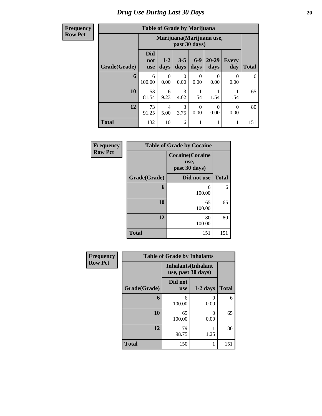**Frequency Row Pct**

# **Table of Grade by Marijuana**

| Tuble of Oruge by Blaff Hand |                                 |                                            |                 |                  |                  |                     |              |  |  |  |
|------------------------------|---------------------------------|--------------------------------------------|-----------------|------------------|------------------|---------------------|--------------|--|--|--|
|                              |                                 | Marijuana (Marijuana use,<br>past 30 days) |                 |                  |                  |                     |              |  |  |  |
| Grade(Grade)                 | <b>Did</b><br>not<br><b>use</b> | $1-2$<br>days                              | $3 - 5$<br>days | $6 - 9$<br>days  | 20-29<br>days    | <b>Every</b><br>day | <b>Total</b> |  |  |  |
| 6                            | 6<br>100.00                     | $\overline{0}$<br>0.00                     | 0<br>0.00       | 0<br>0.00        | $\theta$<br>0.00 | $\Omega$<br>0.00    | 6            |  |  |  |
| 10                           | 53<br>81.54                     | 6<br>9.23                                  | 3<br>4.62       | 1.54             | 1.54             | 1.54                | 65           |  |  |  |
| 12                           | 73<br>91.25                     | 4<br>5.00                                  | 3<br>3.75       | $\Omega$<br>0.00 | $\Omega$<br>0.00 | 0<br>0.00           | 80           |  |  |  |
| <b>Total</b>                 | 132                             | 10                                         | 6               |                  | 1                | 1                   | 151          |  |  |  |

| Frequency      | <b>Table of Grade by Cocaine</b> |                                                 |              |  |  |  |
|----------------|----------------------------------|-------------------------------------------------|--------------|--|--|--|
| <b>Row Pct</b> |                                  | <b>Cocaine(Cocaine</b><br>use,<br>past 30 days) |              |  |  |  |
|                | Grade(Grade)                     | Did not use                                     | <b>Total</b> |  |  |  |
|                | 6                                | 6<br>100.00                                     | 6            |  |  |  |
|                | 10                               | 65<br>100.00                                    | 65           |  |  |  |
|                | 12                               | 80<br>100.00                                    | 80           |  |  |  |
|                | <b>Total</b>                     | 151                                             | 151          |  |  |  |

| Frequency      | <b>Table of Grade by Inhalants</b> |                                                  |            |              |  |  |  |  |
|----------------|------------------------------------|--------------------------------------------------|------------|--------------|--|--|--|--|
| <b>Row Pct</b> |                                    | <b>Inhalants</b> (Inhalant<br>use, past 30 days) |            |              |  |  |  |  |
|                | Grade(Grade)                       | Did not<br><b>use</b>                            | $1-2$ days | <b>Total</b> |  |  |  |  |
|                | 6                                  | 6<br>100.00                                      | 0<br>0.00  | 6            |  |  |  |  |
|                | 10                                 | 65<br>100.00                                     | 0<br>0.00  | 65           |  |  |  |  |
|                | 12                                 | 79<br>98.75                                      | 1.25       | 80           |  |  |  |  |
|                | <b>Total</b>                       | 150                                              |            | 151          |  |  |  |  |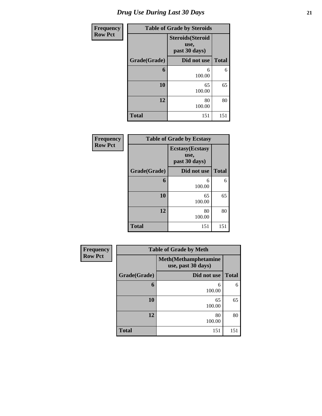| <b>Frequency</b> | <b>Table of Grade by Steroids</b> |                                                   |              |  |  |
|------------------|-----------------------------------|---------------------------------------------------|--------------|--|--|
| <b>Row Pct</b>   |                                   | <b>Steroids</b> (Steroid<br>use,<br>past 30 days) |              |  |  |
|                  | Grade(Grade)                      | Did not use                                       | <b>Total</b> |  |  |
|                  | 6                                 | 6<br>100.00                                       | 6            |  |  |
|                  | 10                                | 65<br>100.00                                      | 65           |  |  |
|                  | 12                                | 80<br>100.00                                      | 80           |  |  |
|                  | <b>Total</b>                      | 151                                               | 151          |  |  |

| Frequency      |              | <b>Table of Grade by Ecstasy</b>                 |              |
|----------------|--------------|--------------------------------------------------|--------------|
| <b>Row Pct</b> |              | <b>Ecstasy</b> (Ecstasy<br>use,<br>past 30 days) |              |
|                | Grade(Grade) | Did not use                                      | <b>Total</b> |
|                | 6            | 6<br>100.00                                      | 6            |
|                | 10           | 65<br>100.00                                     | 65           |
|                | 12           | 80<br>100.00                                     | 80           |
|                | <b>Total</b> | 151                                              | 151          |

| Frequency      |              | <b>Table of Grade by Meth</b>                      |              |  |  |
|----------------|--------------|----------------------------------------------------|--------------|--|--|
| <b>Row Pct</b> |              | <b>Meth</b> (Methamphetamine<br>use, past 30 days) |              |  |  |
|                | Grade(Grade) | Did not use                                        | <b>Total</b> |  |  |
|                | 6            | 6<br>100.00                                        | 6            |  |  |
|                | 10           | 65<br>100.00                                       | 65           |  |  |
|                | 12           | 80<br>100.00                                       | 80           |  |  |
|                | <b>Total</b> | 151                                                | 151          |  |  |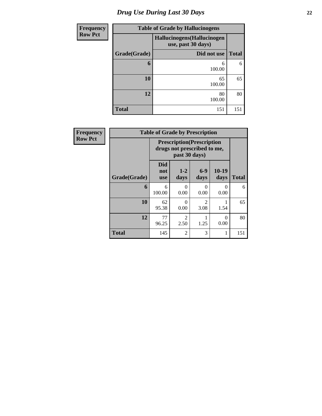# *Drug Use During Last 30 Days* **22**

| <b>Frequency</b> | <b>Table of Grade by Hallucinogens</b> |                                                   |              |  |  |  |
|------------------|----------------------------------------|---------------------------------------------------|--------------|--|--|--|
| <b>Row Pct</b>   |                                        | Hallucinogens (Hallucinogen<br>use, past 30 days) |              |  |  |  |
|                  | Grade(Grade)                           | Did not use                                       | <b>Total</b> |  |  |  |
|                  | 6                                      | 6<br>100.00                                       | 6            |  |  |  |
|                  | 10                                     | 65<br>100.00                                      | 65           |  |  |  |
|                  | 12                                     | 80<br>100.00                                      | 80           |  |  |  |
|                  | <b>Total</b>                           | 151                                               | 151          |  |  |  |

| <b>Frequency</b> |              | <b>Table of Grade by Prescription</b> |                        |                                                                  |                  |              |  |  |  |  |
|------------------|--------------|---------------------------------------|------------------------|------------------------------------------------------------------|------------------|--------------|--|--|--|--|
| <b>Row Pct</b>   |              |                                       | past 30 days)          | <b>Prescription</b> (Prescription<br>drugs not prescribed to me, |                  |              |  |  |  |  |
|                  | Grade(Grade) | <b>Did</b><br>not<br><b>use</b>       | $1 - 2$<br>days        | $6-9$<br>days                                                    | $10-19$<br>days  | <b>Total</b> |  |  |  |  |
|                  | 6            | 6<br>100.00                           | 0<br>0.00              | 0<br>0.00                                                        | 0<br>0.00        | 6            |  |  |  |  |
|                  | 10           | 62<br>95.38                           | 0<br>0.00              | 2<br>3.08                                                        | 1.54             | 65           |  |  |  |  |
|                  | 12           | 77<br>96.25                           | $\overline{2}$<br>2.50 | 1.25                                                             | $\Omega$<br>0.00 | 80           |  |  |  |  |
|                  | <b>Total</b> | 145                                   | $\overline{2}$         | 3                                                                | 1                | 151          |  |  |  |  |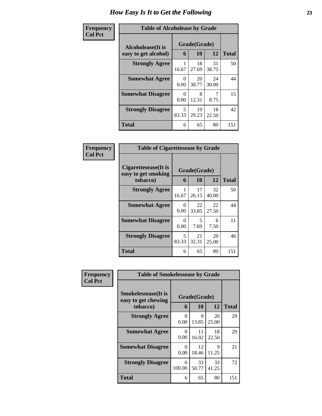#### **Frequency Col Pct**

| <b>Table of Alcoholease by Grade</b> |            |              |             |              |  |
|--------------------------------------|------------|--------------|-------------|--------------|--|
| Alcoholease(It is                    |            | Grade(Grade) |             |              |  |
| easy to get alcohol)                 | 6          | 10           | 12          | <b>Total</b> |  |
| <b>Strongly Agree</b>                | 16.67      | 18<br>27.69  | 31<br>38.75 | 50           |  |
| <b>Somewhat Agree</b>                | 0<br>0.00  | 20<br>30.77  | 24<br>30.00 | 44           |  |
| <b>Somewhat Disagree</b>             | 0<br>0.00  | 8<br>12.31   | 8.75        | 15           |  |
| <b>Strongly Disagree</b>             | 5<br>83.33 | 19<br>29.23  | 18<br>22.50 | 42           |  |
| <b>Total</b>                         | 6          | 65           | 80          | 151          |  |

| <b>Table of Cigarettesease by Grade</b>                 |                           |             |              |     |  |
|---------------------------------------------------------|---------------------------|-------------|--------------|-----|--|
| Cigarettesease(It is<br>easy to get smoking<br>tobacco) | Grade(Grade)<br>6         | 12          | <b>Total</b> |     |  |
| <b>Strongly Agree</b>                                   | 16.67                     | 17<br>26.15 | 32<br>40.00  | 50  |  |
| <b>Somewhat Agree</b>                                   | 0<br>0.00                 | 22<br>33.85 | 22<br>27.50  | 44  |  |
| <b>Somewhat Disagree</b>                                | $\mathbf{\Omega}$<br>0.00 | 5<br>7.69   | 6<br>7.50    | 11  |  |
| <b>Strongly Disagree</b>                                | 5<br>83.33                | 21<br>32.31 | 20<br>25.00  | 46  |  |
| <b>Total</b>                                            | 6                         | 65          | 80           | 151 |  |

| Frequency      | <b>Table of Smokelessease by Grade</b>                         |                  |                    |             |              |
|----------------|----------------------------------------------------------------|------------------|--------------------|-------------|--------------|
| <b>Col Pct</b> | <b>Smokelessease</b> (It is<br>easy to get chewing<br>tobacco) | 6                | Grade(Grade)<br>10 | 12          | <b>Total</b> |
|                | <b>Strongly Agree</b>                                          | $\Omega$<br>0.00 | 9<br>13.85         | 20<br>25.00 | 29           |
|                | <b>Somewhat Agree</b>                                          | $\Omega$<br>0.00 | 11<br>16.92        | 18<br>22.50 | 29           |
|                | <b>Somewhat Disagree</b>                                       | 0<br>0.00        | 12<br>18.46        | 9<br>11.25  | 21           |
|                | <b>Strongly Disagree</b>                                       | 6<br>100.00      | 33<br>50.77        | 33<br>41.25 | 72           |
|                | <b>Total</b>                                                   | 6                | 65                 | 80          | 151          |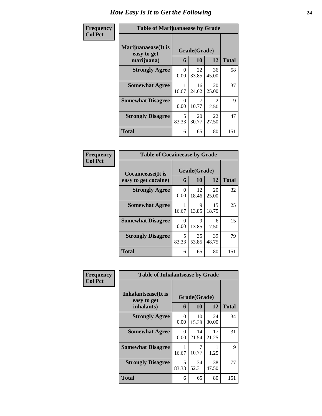#### **Frequency Col Pct**

| <b>Table of Marijuanaease by Grade</b> |              |             |             |              |  |
|----------------------------------------|--------------|-------------|-------------|--------------|--|
| Marijuanaease(It is<br>easy to get     | Grade(Grade) |             |             |              |  |
| marijuana)                             | 6            | 10          | 12          | <b>Total</b> |  |
| <b>Strongly Agree</b>                  | 0<br>0.00    | 22<br>33.85 | 36<br>45.00 | 58           |  |
| <b>Somewhat Agree</b>                  | 1<br>16.67   | 16<br>24.62 | 20<br>25.00 | 37           |  |
| <b>Somewhat Disagree</b>               | 0<br>0.00    | 10.77       | 2<br>2.50   | 9            |  |
| <b>Strongly Disagree</b>               | 5<br>83.33   | 20<br>30.77 | 22<br>27.50 | 47           |  |
| Total                                  | 6            | 65          | 80          | 151          |  |

|                           | <b>Table of Cocaineease by Grade</b> |             |             |       |  |
|---------------------------|--------------------------------------|-------------|-------------|-------|--|
| <b>Cocaineease</b> (It is | Grade(Grade)                         |             |             |       |  |
| easy to get cocaine)      | 6                                    | 10          | 12          | Total |  |
| <b>Strongly Agree</b>     | 0<br>0.00                            | 12<br>18.46 | 20<br>25.00 | 32    |  |
| <b>Somewhat Agree</b>     | 16.67                                | 9<br>13.85  | 15<br>18.75 | 25    |  |
| <b>Somewhat Disagree</b>  | 0<br>0.00                            | 9<br>13.85  | 6<br>7.50   | 15    |  |
| <b>Strongly Disagree</b>  | 5<br>83.33                           | 35<br>53.85 | 39<br>48.75 | 79    |  |
| Total                     | 6                                    | 65          | 80          | 151   |  |

| Frequency      | <b>Table of Inhalantsease by Grade</b>           |            |                    |             |              |
|----------------|--------------------------------------------------|------------|--------------------|-------------|--------------|
| <b>Col Pct</b> | Inhalantsease(It is<br>easy to get<br>inhalants) | 6          | Grade(Grade)<br>10 | 12          | <b>Total</b> |
|                | <b>Strongly Agree</b>                            | 0<br>0.00  | 10<br>15.38        | 24<br>30.00 | 34           |
|                | <b>Somewhat Agree</b>                            | 0<br>0.00  | 14<br>21.54        | 17<br>21.25 | 31           |
|                | <b>Somewhat Disagree</b>                         | 1<br>16.67 | 7<br>10.77         | 1.25        | 9            |
|                | <b>Strongly Disagree</b>                         | 5<br>83.33 | 34<br>52.31        | 38<br>47.50 | 77           |
|                | <b>Total</b>                                     | 6          | 65                 | 80          | 151          |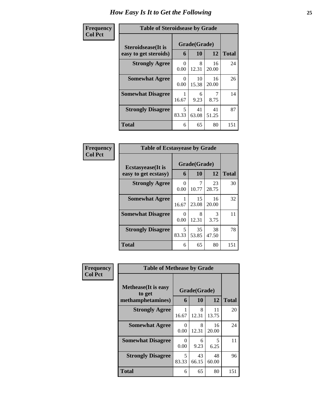| <b>Table of Steroidsease by Grade</b> |              |              |             |     |  |
|---------------------------------------|--------------|--------------|-------------|-----|--|
| Steroidsease(It is                    | Grade(Grade) |              |             |     |  |
| easy to get steroids)                 | 6            | <b>Total</b> |             |     |  |
| <b>Strongly Agree</b>                 | 0<br>0.00    | 8<br>12.31   | 16<br>20.00 | 24  |  |
| <b>Somewhat Agree</b>                 | 0<br>0.00    | 10<br>15.38  | 16<br>20.00 | 26  |  |
| <b>Somewhat Disagree</b>              | 16.67        | 6<br>9.23    | 8.75        | 14  |  |
| <b>Strongly Disagree</b>              | 5<br>83.33   | 41<br>63.08  | 41<br>51.25 | 87  |  |
| <b>Total</b>                          | 6            | 65           | 80          | 151 |  |

| Frequency      | <b>Table of Ecstasyease by Grade</b>              |            |                    |             |              |  |
|----------------|---------------------------------------------------|------------|--------------------|-------------|--------------|--|
| <b>Col Pct</b> | <b>Ecstasyease</b> (It is<br>easy to get ecstasy) | 6          | Grade(Grade)<br>10 | 12          | <b>Total</b> |  |
|                | <b>Strongly Agree</b>                             | 0<br>0.00  | 7<br>10.77         | 23<br>28.75 | 30           |  |
|                | <b>Somewhat Agree</b>                             | 16.67      | 15<br>23.08        | 16<br>20.00 | 32           |  |
|                | <b>Somewhat Disagree</b>                          | 0<br>0.00  | 8<br>12.31         | 3<br>3.75   | 11           |  |
|                | <b>Strongly Disagree</b>                          | 5<br>83.33 | 35<br>53.85        | 38<br>47.50 | 78           |  |
|                | <b>Total</b>                                      | 6          | 65                 | 80          | 151          |  |

| Frequency      | <b>Table of Methease by Grade</b>                          |            |                    |             |              |
|----------------|------------------------------------------------------------|------------|--------------------|-------------|--------------|
| <b>Col Pct</b> | <b>Methease</b> (It is easy<br>to get<br>methamphetamines) | 6          | Grade(Grade)<br>10 | 12          | <b>Total</b> |
|                | <b>Strongly Agree</b>                                      | 16.67      | 8<br>12.31         | 11<br>13.75 | 20           |
|                | <b>Somewhat Agree</b>                                      | 0<br>0.00  | 8<br>12.31         | 16<br>20.00 | 24           |
|                | <b>Somewhat Disagree</b>                                   | 0<br>0.00  | 6<br>9.23          | 5<br>6.25   | 11           |
|                | <b>Strongly Disagree</b>                                   | 5<br>83.33 | 43<br>66.15        | 48<br>60.00 | 96           |
|                | <b>Total</b>                                               | 6          | 65                 | 80          | 151          |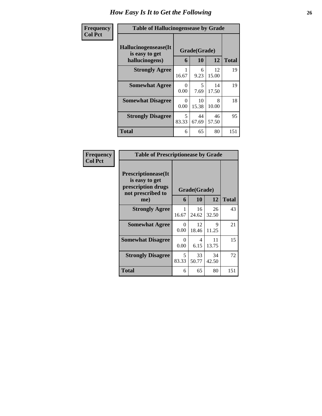| Frequency      | <b>Table of Hallucinogensease by Grade</b>               |            |                    |             |              |  |
|----------------|----------------------------------------------------------|------------|--------------------|-------------|--------------|--|
| <b>Col Pct</b> | Hallucinogensease(It<br>is easy to get<br>hallucinogens) | 6          | Grade(Grade)<br>10 | 12          | <b>Total</b> |  |
|                | <b>Strongly Agree</b>                                    | 16.67      | 6<br>9.23          | 12<br>15.00 | 19           |  |
|                | <b>Somewhat Agree</b>                                    | 0<br>0.00  | 5<br>7.69          | 14<br>17.50 | 19           |  |
|                | <b>Somewhat Disagree</b>                                 | 0<br>0.00  | 10<br>15.38        | 8<br>10.00  | 18           |  |
|                | <b>Strongly Disagree</b>                                 | 5<br>83.33 | 44<br>67.69        | 46<br>57.50 | 95           |  |
|                | <b>Total</b>                                             | 6          | 65                 | 80          | 151          |  |

| <b>Table of Prescriptionease by Grade</b>                                                |            |              |             |              |
|------------------------------------------------------------------------------------------|------------|--------------|-------------|--------------|
| <b>Prescriptionease</b> (It<br>is easy to get<br>prescription drugs<br>not prescribed to |            | Grade(Grade) |             |              |
| me)                                                                                      | 6          | 10           | 12          | <b>Total</b> |
| <b>Strongly Agree</b>                                                                    | 1<br>16.67 | 16<br>24.62  | 26<br>32.50 | 43           |
| <b>Somewhat Agree</b>                                                                    | 0<br>0.00  | 12<br>18.46  | 9<br>11.25  | 21           |
| <b>Somewhat Disagree</b>                                                                 | 0<br>0.00  | 4<br>6.15    | 11<br>13.75 | 15           |
| <b>Strongly Disagree</b>                                                                 | 5<br>83.33 | 33<br>50.77  | 34<br>42.50 | 72           |
| Total                                                                                    | 6          | 65           | 80          | 151          |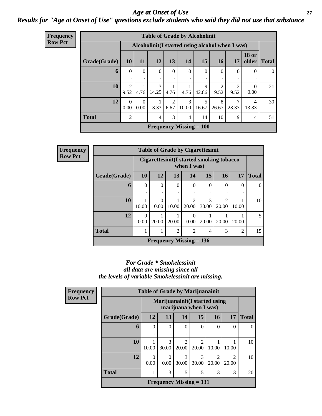*Age at Onset of Use* **27** *Results for "Age at Onset of Use" questions exclude students who said they did not use that substance*

| <b>Frequency</b> |              |                        |                  |                |                        | <b>Table of Grade by Alcoholinit</b> |                                |                        |                                                  |                       |              |
|------------------|--------------|------------------------|------------------|----------------|------------------------|--------------------------------------|--------------------------------|------------------------|--------------------------------------------------|-----------------------|--------------|
| <b>Row Pct</b>   |              |                        |                  |                |                        |                                      |                                |                        | Alcoholinit (I started using alcohol when I was) |                       |              |
|                  | Grade(Grade) | <b>10</b>              | <b>11</b>        | 12             | 13                     | 14                                   | 15                             | <b>16</b>              | 17                                               | <b>18 or</b><br>older | <b>Total</b> |
|                  | 6            | $\theta$<br>٠          | $\Omega$         | $\Omega$       | $\Omega$<br>٠          | $\Omega$<br>$\cdot$                  | $\Omega$<br>٠                  | $\theta$<br>٠          | $\overline{0}$<br>٠                              | $\Omega$              | $\theta$     |
|                  | 10           | $\overline{2}$<br>9.52 | 4.76             | 3<br>14.29     | 4.76                   | 4.76                                 | 9<br>42.86                     | $\overline{2}$<br>9.52 | $\overline{c}$<br>9.52                           | $\theta$<br>0.00      | 21           |
|                  | 12           | $\Omega$<br>0.00       | $\Omega$<br>0.00 | 3.33           | $\mathfrak{D}$<br>6.67 | 3<br>10.00                           | 5<br>16.67                     | 8<br>26.67             | 7<br>23.33                                       | 4<br>13.33            | 30           |
|                  | <b>Total</b> | 2                      |                  | $\overline{4}$ | 3                      | $\overline{4}$                       | 14                             | 10                     | 9                                                | $\overline{4}$        | 51           |
|                  |              |                        |                  |                |                        |                                      | <b>Frequency Missing = 100</b> |                        |                                                  |                       |              |

**Frequency Row Pct**

| <b>Table of Grade by Cigarettesinit</b> |           |                                                         |                |                         |            |                         |                |                |  |
|-----------------------------------------|-----------|---------------------------------------------------------|----------------|-------------------------|------------|-------------------------|----------------|----------------|--|
|                                         |           | Cigarettesinit(I started smoking tobacco<br>when I was) |                |                         |            |                         |                |                |  |
| Grade(Grade)                            | 10        | 12                                                      | 13             | 14                      | 15         | 16                      | 17             | <b>Total</b>   |  |
| 6                                       | $\theta$  | $\theta$                                                | 0              | 0                       | $\theta$   | $\theta$                | $\theta$       | $\Omega$       |  |
|                                         |           | ٠                                                       |                |                         |            |                         |                |                |  |
| 10                                      | 10.00     | 0<br>0.00                                               | 10.00          | $\mathfrak{D}$<br>20.00 | 3<br>30.00 | $\overline{2}$<br>20.00 | 10.00          | 10             |  |
| 12                                      | 0<br>0.00 | 20.00                                                   | 20.00          | $\Omega$<br>0.00        | 20.00      | 20.00                   | 20.00          | $\overline{5}$ |  |
| <b>Total</b>                            |           | 1                                                       | $\overline{2}$ | 2                       | 4          | 3                       | $\overline{2}$ | 15             |  |
|                                         |           | <b>Frequency Missing = 136</b>                          |                |                         |            |                         |                |                |  |

#### *For Grade \* Smokelessinit all data are missing since all the levels of variable Smokelessinit are missing.*

| <b>Frequency</b> |              | <b>Table of Grade by Marijuanainit</b> |                  |                         |                                                         |                                      |                        |              |
|------------------|--------------|----------------------------------------|------------------|-------------------------|---------------------------------------------------------|--------------------------------------|------------------------|--------------|
| <b>Row Pct</b>   |              |                                        |                  |                         | Marijuanainit (I started using<br>marijuana when I was) |                                      |                        |              |
|                  | Grade(Grade) | 12                                     | 13               | 14                      | 15                                                      | <b>16</b>                            | 17                     | <b>Total</b> |
|                  | 6            | $\Omega$<br>٠                          | $\Omega$         | $\Omega$                | 0                                                       | 0                                    | $\Omega$               | $\Omega$     |
|                  | 10           | 10.00                                  | 3<br>30.00       | $\mathfrak{D}$<br>20.00 | $\mathfrak{D}$<br>20.00                                 | 10.00                                | 10.00                  | 10           |
|                  | 12           | $\Omega$<br>0.00                       | $\Omega$<br>0.00 | 3<br>30.00              | $\mathcal{R}$<br>30.00                                  | $\mathcal{D}_{\mathcal{L}}$<br>20.00 | $\mathcal{D}$<br>20.00 | 10           |
|                  | <b>Total</b> | 1                                      | 3                | 5                       | 5                                                       | 3                                    | 3                      | 20           |
|                  |              |                                        |                  |                         | Frequency Missing $= 131$                               |                                      |                        |              |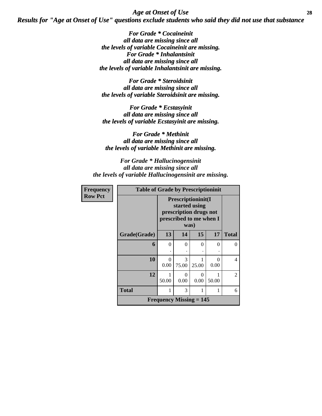*Age at Onset of Use* **28** *Results for "Age at Onset of Use" questions exclude students who said they did not use that substance*

> *For Grade \* Cocaineinit all data are missing since all the levels of variable Cocaineinit are missing. For Grade \* Inhalantsinit all data are missing since all the levels of variable Inhalantsinit are missing.*

*For Grade \* Steroidsinit all data are missing since all the levels of variable Steroidsinit are missing.*

*For Grade \* Ecstasyinit all data are missing since all the levels of variable Ecstasyinit are missing.*

*For Grade \* Methinit all data are missing since all the levels of variable Methinit are missing.*

*For Grade \* Hallucinogensinit all data are missing since all the levels of variable Hallucinogensinit are missing.*

| <b>Frequency</b> |              | <b>Table of Grade by Prescriptioninit</b>                                                |            |                  |           |                |  |  |
|------------------|--------------|------------------------------------------------------------------------------------------|------------|------------------|-----------|----------------|--|--|
| <b>Row Pct</b>   |              | Prescriptioninit(I<br>started using<br>prescription drugs not<br>prescribed to me when I |            |                  |           |                |  |  |
|                  | Grade(Grade) | 13                                                                                       | 14         | 15               | 17        | <b>Total</b>   |  |  |
|                  | 6            | $\theta$                                                                                 | $\theta$   | $\Omega$         | $\Omega$  | 0              |  |  |
|                  | 10           | 0<br>0.00                                                                                | 3<br>75.00 | 25.00            | 0<br>0.00 | 4              |  |  |
|                  | 12           | 50.00                                                                                    | 0<br>0.00  | $\Omega$<br>0.00 | 50.00     | $\mathfrak{D}$ |  |  |
|                  | <b>Total</b> |                                                                                          | 3          |                  | 1         | 6              |  |  |
|                  |              | <b>Frequency Missing <math>= 145</math></b>                                              |            |                  |           |                |  |  |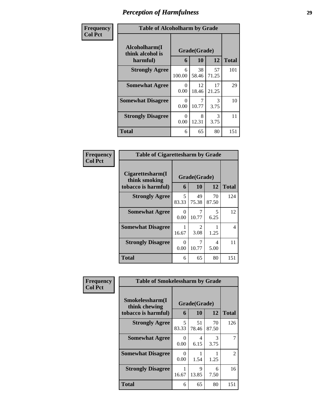| Frequency      | <b>Table of Alcoholharm by Grade</b>          |             |                    |             |              |
|----------------|-----------------------------------------------|-------------|--------------------|-------------|--------------|
| <b>Col Pct</b> | Alcoholharm(I<br>think alcohol is<br>harmful) | 6           | Grade(Grade)<br>10 | <b>12</b>   | <b>Total</b> |
|                | <b>Strongly Agree</b>                         | 6<br>100.00 | 38<br>58.46        | 57<br>71.25 | 101          |
|                | <b>Somewhat Agree</b>                         | 0<br>0.00   | 12<br>18.46        | 17<br>21.25 | 29           |
|                | <b>Somewhat Disagree</b>                      | 0<br>0.00   | 10.77              | 3<br>3.75   | 10           |
|                | <b>Strongly Disagree</b>                      | 0<br>0.00   | 8<br>12.31         | 3<br>3.75   | 11           |
|                | <b>Total</b>                                  | 6           | 65                 | 80          | 151          |

| <b>Table of Cigarettesharm by Grade</b>                  |                      |                        |             |              |
|----------------------------------------------------------|----------------------|------------------------|-------------|--------------|
| Cigarettesharm(I<br>think smoking<br>tobacco is harmful) | 6                    | Grade(Grade)<br>10     | 12          | <b>Total</b> |
| <b>Strongly Agree</b>                                    | 5<br>83.33           | 49<br>75.38            | 70<br>87.50 | 124          |
| <b>Somewhat Agree</b>                                    | 0<br>0.00            | 7<br>10.77             | 5<br>6.25   | 12           |
| <b>Somewhat Disagree</b>                                 | 16.67                | $\mathfrak{D}$<br>3.08 | 1.25        | 4            |
| <b>Strongly Disagree</b>                                 | $\mathbf{0}$<br>0.00 | 7<br>10.77             | 4<br>5.00   | 11           |
| Total                                                    | 6                    | 65                     | 80          | 151          |

| Frequency      | <b>Table of Smokelessharm by Grade</b>                  |            |                    |             |              |
|----------------|---------------------------------------------------------|------------|--------------------|-------------|--------------|
| <b>Col Pct</b> | Smokelessharm(I<br>think chewing<br>tobacco is harmful) | 6          | Grade(Grade)<br>10 | 12          | <b>Total</b> |
|                | <b>Strongly Agree</b>                                   | 5<br>83.33 | 51<br>78.46        | 70<br>87.50 | 126          |
|                | <b>Somewhat Agree</b>                                   | 0<br>0.00  | 4<br>6.15          | 3<br>3.75   |              |
|                | <b>Somewhat Disagree</b>                                | 0<br>0.00  | 1.54               | 1.25        | 2            |
|                | <b>Strongly Disagree</b>                                | 1<br>16.67 | 9<br>13.85         | 6<br>7.50   | 16           |
|                | <b>Total</b>                                            | 6          | 65                 | 80          | 151          |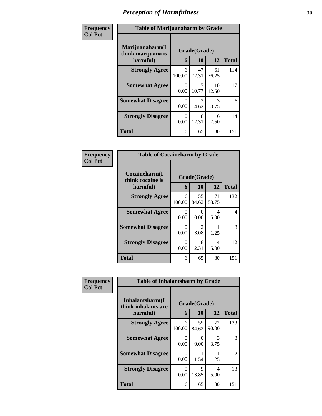| Frequency      | <b>Table of Marijuanaharm by Grade</b>            |             |                    |             |              |
|----------------|---------------------------------------------------|-------------|--------------------|-------------|--------------|
| <b>Col Pct</b> | Marijuanaharm(I<br>think marijuana is<br>harmful) | 6           | Grade(Grade)<br>10 | 12          | <b>Total</b> |
|                | <b>Strongly Agree</b>                             | 6<br>100.00 | 47<br>72.31        | 61<br>76.25 | 114          |
|                | <b>Somewhat Agree</b>                             | 0<br>0.00   | 7<br>10.77         | 10<br>12.50 | 17           |
|                | <b>Somewhat Disagree</b>                          | 0<br>0.00   | 3<br>4.62          | 3<br>3.75   | 6            |
|                | <b>Strongly Disagree</b>                          | 0<br>0.00   | 8<br>12.31         | 6<br>7.50   | 14           |
|                | <b>Total</b>                                      | 6           | 65                 | 80          | 151          |

| <b>Frequency</b><br>Col Pct |
|-----------------------------|
|                             |

| <b>Table of Cocaineharm by Grade</b>                                           |             |                       |             |              |  |  |  |  |
|--------------------------------------------------------------------------------|-------------|-----------------------|-------------|--------------|--|--|--|--|
| Cocaineharm(I<br>Grade(Grade)<br>think cocaine is<br>12<br>10<br>harmful)<br>6 |             |                       |             |              |  |  |  |  |
|                                                                                |             |                       |             | <b>Total</b> |  |  |  |  |
| <b>Strongly Agree</b>                                                          | 6<br>100.00 | 55<br>84.62           | 71<br>88.75 | 132          |  |  |  |  |
| <b>Somewhat Agree</b>                                                          | 0<br>0.00   | 0<br>0.00             | 4<br>5.00   | 4            |  |  |  |  |
| <b>Somewhat Disagree</b>                                                       | 0<br>0.00   | $\mathcal{L}$<br>3.08 | 1.25        | 3            |  |  |  |  |
| <b>Strongly Disagree</b>                                                       | 0<br>0.00   | 8<br>12.31            | 4<br>5.00   | 12           |  |  |  |  |
| <b>Total</b>                                                                   | 6           | 65                    | 80          | 151          |  |  |  |  |

| Frequency      | <b>Table of Inhalantsharm by Grade</b> |                  |              |             |                |  |
|----------------|----------------------------------------|------------------|--------------|-------------|----------------|--|
| <b>Col Pct</b> | Inhalantsharm(I<br>think inhalants are |                  | Grade(Grade) |             |                |  |
|                | harmful)                               | 6                | 10           | 12          | <b>Total</b>   |  |
|                | <b>Strongly Agree</b>                  | 6<br>100.00      | 55<br>84.62  | 72<br>90.00 | 133            |  |
|                | <b>Somewhat Agree</b>                  | $\Omega$<br>0.00 | 0<br>0.00    | 3<br>3.75   | 3              |  |
|                | <b>Somewhat Disagree</b>               | $\Omega$<br>0.00 | 1.54         | 1.25        | $\mathfrak{D}$ |  |
|                | <b>Strongly Disagree</b>               | 0<br>0.00        | 9<br>13.85   | 4<br>5.00   | 13             |  |
|                | <b>Total</b>                           | 6                | 65           | 80          | 151            |  |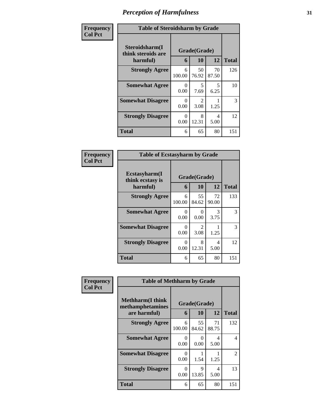| Frequency      | <b>Table of Steroidsharm by Grade</b>            |                  |                                     |             |              |  |
|----------------|--------------------------------------------------|------------------|-------------------------------------|-------------|--------------|--|
| <b>Col Pct</b> | Steroidsharm(I<br>think steroids are<br>harmful) | 6                | Grade(Grade)<br>10                  | 12          | <b>Total</b> |  |
|                | <b>Strongly Agree</b>                            | 6<br>100.00      | 50<br>76.92                         | 70<br>87.50 | 126          |  |
|                | <b>Somewhat Agree</b>                            | $\Omega$<br>0.00 | 5<br>7.69                           | 5<br>6.25   | 10           |  |
|                | <b>Somewhat Disagree</b>                         | 0<br>0.00        | $\mathcal{D}_{\mathcal{L}}$<br>3.08 | 1.25        | 3            |  |
|                | <b>Strongly Disagree</b>                         | ∩<br>0.00        | 8<br>12.31                          | 4<br>5.00   | 12           |  |
|                | <b>Total</b>                                     | 6                | 65                                  | 80          | 151          |  |

| <b>Frequency</b><br>Col Pct |
|-----------------------------|
|                             |

| <b>Table of Ecstasyharm by Grade</b>          |                   |              |             |     |  |  |  |  |
|-----------------------------------------------|-------------------|--------------|-------------|-----|--|--|--|--|
| Ecstasyharm(I<br>think ecstasy is<br>harmful) | Grade(Grade)<br>6 | <b>Total</b> |             |     |  |  |  |  |
| <b>Strongly Agree</b>                         | 6<br>100.00       | 55<br>84.62  | 72<br>90.00 | 133 |  |  |  |  |
| <b>Somewhat Agree</b>                         | 0<br>0.00         | 0<br>0.00    | 3<br>3.75   | 3   |  |  |  |  |
| <b>Somewhat Disagree</b>                      | 0<br>0.00         | 2<br>3.08    | 1.25        | 3   |  |  |  |  |
| <b>Strongly Disagree</b>                      | 0<br>0.00         | 8<br>12.31   | 4<br>5.00   | 12  |  |  |  |  |
| <b>Total</b>                                  | 6                 | 65           | 80          | 151 |  |  |  |  |

| Frequency      | <b>Table of Methharm by Grade</b>            |                  |                           |                        |               |  |
|----------------|----------------------------------------------|------------------|---------------------------|------------------------|---------------|--|
| <b>Col Pct</b> | <b>Methharm</b> (I think<br>methamphetamines |                  | Grade(Grade)              |                        |               |  |
|                | are harmful)                                 | 6                | 10                        | 12                     | <b>Total</b>  |  |
|                | <b>Strongly Agree</b>                        | 6<br>100.00      | 55<br>84.62               | 71<br>88.75            | 132           |  |
|                | <b>Somewhat Agree</b>                        | $\Omega$<br>0.00 | $\mathbf{\Omega}$<br>0.00 | $\overline{4}$<br>5.00 | 4             |  |
|                | <b>Somewhat Disagree</b>                     | $\Omega$<br>0.00 | 1.54                      | 1.25                   | $\mathcal{L}$ |  |
|                | <b>Strongly Disagree</b>                     | 0<br>0.00        | $\mathbf Q$<br>13.85      | 4<br>5.00              | 13            |  |
|                | <b>Total</b>                                 | 6                | 65                        | 80                     | 151           |  |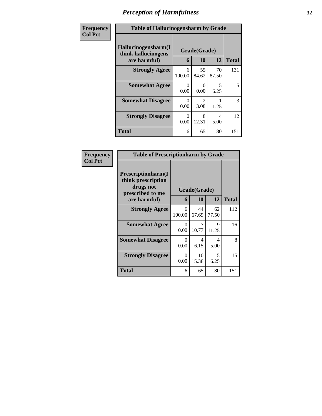| Frequency      | <b>Table of Hallucinogensharm by Grade</b>                 |                  |                    |             |              |
|----------------|------------------------------------------------------------|------------------|--------------------|-------------|--------------|
| <b>Col Pct</b> | Hallucinogensharm(I<br>think hallucinogens<br>are harmful) | 6                | Grade(Grade)<br>10 | 12          | <b>Total</b> |
|                | <b>Strongly Agree</b>                                      | 6<br>100.00      | 55<br>84.62        | 70<br>87.50 | 131          |
|                | <b>Somewhat Agree</b>                                      | 0<br>0.00        | 0<br>0.00          | 5<br>6.25   | 5            |
|                | <b>Somewhat Disagree</b>                                   | $\Omega$<br>0.00 | 2<br>3.08          | 1.25        | 3            |
|                | <b>Strongly Disagree</b>                                   | ∩<br>0.00        | 8<br>12.31         | 4<br>5.00   | 12           |
|                | <b>Total</b>                                               | 6                | 65                 | 80          | 151          |

| Frequency      | <b>Table of Prescriptionharm by Grade</b>                                                 |                  |             |                               |                     |  |  |
|----------------|-------------------------------------------------------------------------------------------|------------------|-------------|-------------------------------|---------------------|--|--|
| <b>Col Pct</b> | Prescriptionharm(I<br>think prescription<br>drugs not<br>prescribed to me<br>are harmful) |                  |             | Grade(Grade)<br>10<br>12<br>6 |                     |  |  |
|                | <b>Strongly Agree</b>                                                                     | 6                | 44          | 62                            | <b>Total</b><br>112 |  |  |
|                |                                                                                           | 100.00           | 67.69       | 77.50                         |                     |  |  |
|                | <b>Somewhat Agree</b>                                                                     | $\Omega$<br>0.00 | 7<br>10.77  | 9<br>11.25                    | 16                  |  |  |
|                | <b>Somewhat Disagree</b>                                                                  | $\Omega$<br>0.00 | 4<br>6.15   | 4<br>5.00                     | 8                   |  |  |
|                | <b>Strongly Disagree</b>                                                                  | $\Omega$<br>0.00 | 10<br>15.38 | 5<br>6.25                     | 15                  |  |  |
|                | Total                                                                                     | 6                | 65          | 80                            | 151                 |  |  |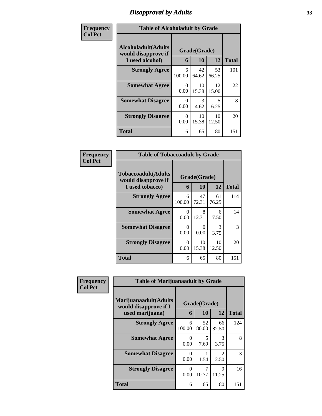# *Disapproval by Adults* **33**

| Frequency      | <b>Table of Alcoholadult by Grade</b>                                 |                  |                    |             |              |
|----------------|-----------------------------------------------------------------------|------------------|--------------------|-------------|--------------|
| <b>Col Pct</b> | <b>Alcoholadult</b> (Adults<br>would disapprove if<br>I used alcohol) | 6                | Grade(Grade)<br>10 | 12          | <b>Total</b> |
|                | <b>Strongly Agree</b>                                                 | 6<br>100.00      | 42<br>64.62        | 53<br>66.25 | 101          |
|                | <b>Somewhat Agree</b>                                                 | $\Omega$<br>0.00 | 10<br>15.38        | 12<br>15.00 | 22           |
|                | <b>Somewhat Disagree</b>                                              | $\Omega$<br>0.00 | 3<br>4.62          | 5<br>6.25   | 8            |
|                | <b>Strongly Disagree</b>                                              | 0<br>0.00        | 10<br>15.38        | 10<br>12.50 | 20           |
|                | <b>Total</b>                                                          | 6                | 65                 | 80          | 151          |

| Frequency      | <b>Table of Tobaccoadult by Grade</b>                         |                           |                    |             |              |
|----------------|---------------------------------------------------------------|---------------------------|--------------------|-------------|--------------|
| <b>Col Pct</b> | Tobaccoadult(Adults<br>would disapprove if<br>I used tobacco) | 6                         | Grade(Grade)<br>10 | 12          | <b>Total</b> |
|                | <b>Strongly Agree</b>                                         | 6<br>100.00               | 47<br>72.31        | 61<br>76.25 | 114          |
|                | <b>Somewhat Agree</b>                                         | $\mathbf{\Omega}$<br>0.00 | 8<br>12.31         | 6<br>7.50   | 14           |
|                | <b>Somewhat Disagree</b>                                      | ∩<br>0.00                 | 0<br>0.00          | 3<br>3.75   | 3            |
|                | <b>Strongly Disagree</b>                                      | ∩<br>0.00                 | 10<br>15.38        | 10<br>12.50 | 20           |
|                | <b>Total</b>                                                  | 6                         | 65                 | 80          | 151          |

| Frequency      | <b>Table of Marijuanaadult by Grade</b>        |              |             |                        |              |
|----------------|------------------------------------------------|--------------|-------------|------------------------|--------------|
| <b>Col Pct</b> | Marijuanaadult(Adults<br>would disapprove if I | Grade(Grade) |             |                        |              |
|                | used marijuana)                                | 6            | 10          | 12                     | <b>Total</b> |
|                | <b>Strongly Agree</b>                          | 6<br>100.00  | 52<br>80.00 | 66<br>82.50            | 124          |
|                | <b>Somewhat Agree</b>                          | 0<br>0.00    | 5<br>7.69   | 3<br>3.75              | 8            |
|                | <b>Somewhat Disagree</b>                       | 0<br>0.00    | 1.54        | $\mathfrak{D}$<br>2.50 | 3            |
|                | <b>Strongly Disagree</b>                       | 0<br>0.00    | 10.77       | Q<br>11.25             | 16           |
|                | <b>Total</b>                                   | 6            | 65          | 80                     | 151          |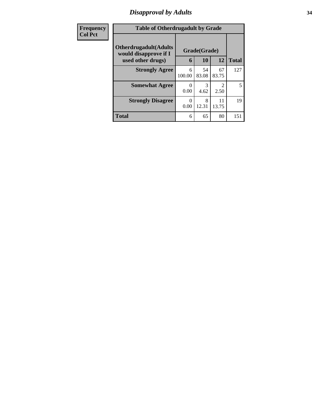### *Disapproval by Adults* **34**

| Frequency      | <b>Table of Otherdrugadult by Grade</b>                |              |             |                        |              |
|----------------|--------------------------------------------------------|--------------|-------------|------------------------|--------------|
| <b>Col Pct</b> | <b>Otherdrugadult</b> (Adults<br>would disapprove if I | Grade(Grade) |             |                        |              |
|                | used other drugs)                                      | 6            | 10          | 12                     | <b>Total</b> |
|                | <b>Strongly Agree</b>                                  | 6<br>100.00  | 54<br>83.08 | 67<br>83.75            | 127          |
|                | <b>Somewhat Agree</b>                                  | 0<br>0.00    | 3<br>4.62   | $\mathfrak{D}$<br>2.50 | 5            |
|                | <b>Strongly Disagree</b>                               | 0<br>0.00    | 8<br>12.31  | 11<br>13.75            | 19           |
|                | <b>Total</b>                                           | 6            | 65          | 80                     | 151          |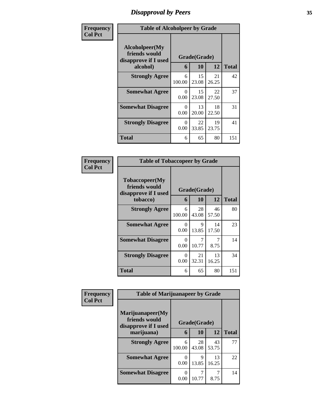### *Disapproval by Peers* **35**

| Frequency      | <b>Table of Alcoholpeer by Grade</b>                    |                  |             |             |              |  |
|----------------|---------------------------------------------------------|------------------|-------------|-------------|--------------|--|
| <b>Col Pct</b> | Alcoholpeer(My<br>friends would<br>disapprove if I used | Grade(Grade)     |             |             |              |  |
|                | alcohol)                                                | 6                | 10          | 12          | <b>Total</b> |  |
|                | <b>Strongly Agree</b>                                   | 6<br>100.00      | 15<br>23.08 | 21<br>26.25 | 42           |  |
|                | <b>Somewhat Agree</b>                                   | 0<br>0.00        | 15<br>23.08 | 22<br>27.50 | 37           |  |
|                | <b>Somewhat Disagree</b>                                | $\Omega$<br>0.00 | 13<br>20.00 | 18<br>22.50 | 31           |  |
|                | <b>Strongly Disagree</b>                                | 0<br>0.00        | 22<br>33.85 | 19<br>23.75 | 41           |  |
|                | Total                                                   | 6                | 65          | 80          | 151          |  |

| Frequency      | <b>Table of Tobaccopeer by Grade</b>                                |                               |             |             |              |
|----------------|---------------------------------------------------------------------|-------------------------------|-------------|-------------|--------------|
| <b>Col Pct</b> | Tobaccopeer(My<br>friends would<br>disapprove if I used<br>tobacco) | Grade(Grade)<br>12<br>10<br>6 |             |             | <b>Total</b> |
|                | <b>Strongly Agree</b>                                               | 6<br>100.00                   | 28<br>43.08 | 46<br>57.50 | 80           |
|                | <b>Somewhat Agree</b>                                               | $\Omega$<br>0.00              | 9<br>13.85  | 14<br>17.50 | 23           |
|                | <b>Somewhat Disagree</b>                                            | $\Omega$<br>0.00              | 7<br>10.77  | 7<br>8.75   | 14           |
|                | <b>Strongly Disagree</b>                                            | 0<br>0.00                     | 21<br>32.31 | 13<br>16.25 | 34           |
|                | Total                                                               | 6                             | 65          | 80          | 151          |

| Frequency      | <b>Table of Marijuanapeer by Grade</b>                                  |                               |             |             |              |
|----------------|-------------------------------------------------------------------------|-------------------------------|-------------|-------------|--------------|
| <b>Col Pct</b> | Marijuanapeer(My<br>friends would<br>disapprove if I used<br>marijuana) | Grade(Grade)<br>12<br>10<br>6 |             |             | <b>Total</b> |
|                | <b>Strongly Agree</b>                                                   | 6<br>100.00                   | 28<br>43.08 | 43<br>53.75 | 77           |
|                | <b>Somewhat Agree</b>                                                   | 0<br>0.00                     | 9<br>13.85  | 13<br>16.25 | 22           |
|                | <b>Somewhat Disagree</b>                                                | $\Omega$<br>0.00              | 10.77       | 8.75        | 14           |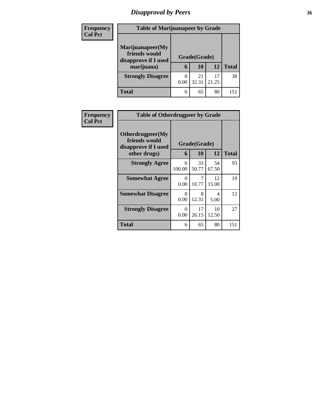# *Disapproval by Peers* **36**

| <b>Frequency</b><br><b>Col Pct</b> | <b>Table of Marijuanapeer by Grade</b>                                  |                               |             |             |              |  |
|------------------------------------|-------------------------------------------------------------------------|-------------------------------|-------------|-------------|--------------|--|
|                                    | Marijuanapeer(My<br>friends would<br>disapprove if I used<br>marijuana) | Grade(Grade)<br>10<br>12<br>6 |             |             | <b>Total</b> |  |
|                                    | <b>Strongly Disagree</b>                                                | 0.00                          | 21<br>32.31 | 17<br>21.25 | 38           |  |
|                                    | Total                                                                   | 6                             | 65          | 80          | 151          |  |

| <b>Frequency</b> | <b>Table of Otherdrugpeer by Grade</b>                                    |                               |             |             |              |
|------------------|---------------------------------------------------------------------------|-------------------------------|-------------|-------------|--------------|
| <b>Col Pct</b>   | Otherdrugpeer(My<br>friends would<br>disapprove if I used<br>other drugs) | Grade(Grade)<br>12<br>10<br>6 |             |             | <b>Total</b> |
|                  | <b>Strongly Agree</b>                                                     | 6<br>100.00                   | 33<br>50.77 | 54<br>67.50 | 93           |
|                  | <b>Somewhat Agree</b>                                                     | 0<br>0.00                     | 10.77       | 12<br>15.00 | 19           |
|                  | <b>Somewhat Disagree</b>                                                  | 0<br>0.00                     | 8<br>12.31  | 4<br>5.00   | 12           |
|                  | <b>Strongly Disagree</b>                                                  | 0<br>0.00                     | 17<br>26.15 | 10<br>12.50 | 27           |
|                  | <b>Total</b>                                                              | 6                             | 65          | 80          | 151          |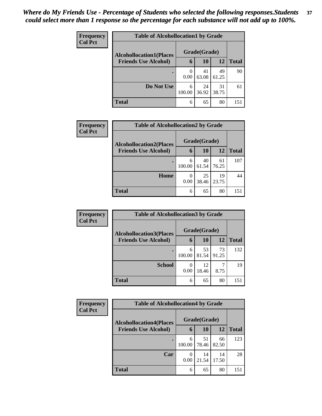| Frequency<br><b>Col Pct</b> | <b>Table of Alcohollocation1 by Grade</b> |              |             |             |              |  |  |
|-----------------------------|-------------------------------------------|--------------|-------------|-------------|--------------|--|--|
|                             | <b>Alcohollocation1(Places</b>            | Grade(Grade) |             |             |              |  |  |
|                             | <b>Friends Use Alcohol)</b>               | 6            | 10          | 12          | <b>Total</b> |  |  |
|                             |                                           | 0.00         | 41<br>63.08 | 49<br>61.25 | 90           |  |  |
|                             | Do Not Use                                | 6<br>100.00  | 24<br>36.92 | 31<br>38.75 | 61           |  |  |
|                             | <b>Total</b>                              | 6            | 65          | 80          | 151          |  |  |

| Frequency      | <b>Table of Alcohollocation2 by Grade</b> |                  |                    |             |              |  |  |  |
|----------------|-------------------------------------------|------------------|--------------------|-------------|--------------|--|--|--|
| <b>Col Pct</b> | <b>Alcohollocation2(Places</b>            |                  | Grade(Grade)<br>10 | 12          |              |  |  |  |
|                | <b>Friends Use Alcohol)</b>               | 6                |                    |             | <b>Total</b> |  |  |  |
|                |                                           | 6<br>100.00      | 40<br>61.54        | 61<br>76.25 | 107          |  |  |  |
|                | Home                                      | $\theta$<br>0.00 | 25<br>38.46        | 19<br>23.75 | 44           |  |  |  |
|                | <b>Total</b>                              | 6                | 65                 | 80          | 151          |  |  |  |

| Frequency<br><b>Col Pct</b> | <b>Table of Alcohollocation 3 by Grade</b> |             |              |             |              |  |
|-----------------------------|--------------------------------------------|-------------|--------------|-------------|--------------|--|
|                             | <b>Alcohollocation3(Places</b>             |             | Grade(Grade) |             |              |  |
|                             | <b>Friends Use Alcohol)</b>                | 6           | 10           | 12          | <b>Total</b> |  |
|                             |                                            | 6<br>100.00 | 53<br>81.54  | 73<br>91.25 | 132          |  |
|                             | <b>School</b>                              | 0<br>0.00   | 12<br>18.46  | 8.75        | 19           |  |
|                             | <b>Total</b>                               | 6           | 65           | 80          | 151          |  |

| Frequency<br><b>Col Pct</b> | <b>Table of Alcohollocation4 by Grade</b> |             |              |             |              |  |
|-----------------------------|-------------------------------------------|-------------|--------------|-------------|--------------|--|
|                             | <b>Alcohollocation4(Places</b>            |             | Grade(Grade) |             |              |  |
|                             | <b>Friends Use Alcohol)</b>               | 6           | <b>10</b>    | 12          | <b>Total</b> |  |
|                             |                                           | 6<br>100.00 | 51<br>78.46  | 66<br>82.50 | 123          |  |
|                             | Car                                       | 0.00        | 14<br>21.54  | 14<br>17.50 | 28           |  |
|                             | <b>Total</b>                              | 6           | 65           | 80          | 151          |  |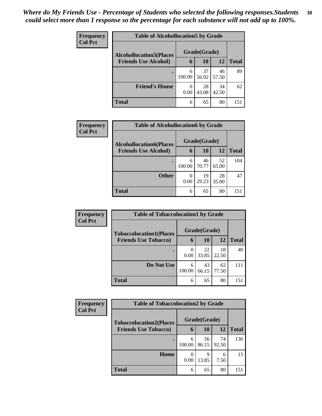| <b>Frequency</b><br><b>Col Pct</b> | <b>Table of Alcohollocation5 by Grade</b> |              |             |             |              |  |  |
|------------------------------------|-------------------------------------------|--------------|-------------|-------------|--------------|--|--|
|                                    | <b>Alcohollocation5</b> (Places           | Grade(Grade) |             |             |              |  |  |
|                                    | <b>Friends Use Alcohol)</b>               | 6            | 10          | 12          | <b>Total</b> |  |  |
|                                    |                                           | 6<br>100.00  | 37<br>56.92 | 46<br>57.50 | 89           |  |  |
|                                    | <b>Friend's House</b>                     | 0<br>0.00    | 28<br>43.08 | 34<br>42.50 | 62           |  |  |
|                                    | <b>Total</b>                              | 6            | 65          | 80          | 151          |  |  |

| <b>Frequency</b> | <b>Table of Alcohollocation6 by Grade</b> |                  |              |             |              |  |  |
|------------------|-------------------------------------------|------------------|--------------|-------------|--------------|--|--|
| <b>Col Pct</b>   | <b>Alcohollocation6(Places</b>            |                  | Grade(Grade) |             |              |  |  |
|                  | <b>Friends Use Alcohol)</b>               | 6                | 10           | 12          | <b>Total</b> |  |  |
|                  |                                           | 6<br>100.00      | 46<br>70.77  | 52<br>65.00 | 104          |  |  |
|                  | <b>Other</b>                              | $\theta$<br>0.00 | 19<br>29.23  | 28<br>35.00 | 47           |  |  |
|                  | <b>Total</b>                              | 6                | 65           | 80          | 151          |  |  |

| <b>Frequency</b> | <b>Table of Tobaccolocation1 by Grade</b> |             |              |             |              |  |  |  |
|------------------|-------------------------------------------|-------------|--------------|-------------|--------------|--|--|--|
| <b>Col Pct</b>   | <b>Tobaccolocation1(Places</b>            |             | Grade(Grade) |             |              |  |  |  |
|                  | <b>Friends Use Tobacco)</b>               | 6           | 10           | 12          | <b>Total</b> |  |  |  |
|                  |                                           | 0.00        | 22<br>33.85  | 18<br>22.50 | 40           |  |  |  |
|                  | Do Not Use                                | 6<br>100.00 | 43<br>66.15  | 62<br>77.50 | 111          |  |  |  |
|                  | <b>Total</b>                              | 6           | 65           | 80          | 151          |  |  |  |

| Frequency      | <b>Table of Tobaccolocation2 by Grade</b> |                  |             |             |              |  |
|----------------|-------------------------------------------|------------------|-------------|-------------|--------------|--|
| <b>Col Pct</b> | <b>Tobaccolocation2(Places</b>            | Grade(Grade)     |             |             |              |  |
|                | <b>Friends Use Tobacco)</b>               | 6                | 10          | 12          | <b>Total</b> |  |
|                | $\bullet$                                 | 6<br>100.00      | 56<br>86.15 | 74<br>92.50 | 136          |  |
|                | Home                                      | $\left($<br>0.00 | 9<br>13.85  | 6<br>7.50   | 15           |  |
|                | Total                                     | 6                | 65          | 80          | 151          |  |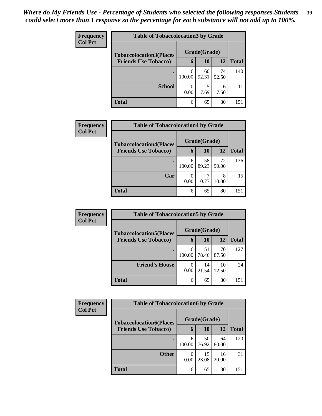| <b>Frequency</b> | <b>Table of Tobaccolocation 3 by Grade</b> |             |              |             |              |  |  |
|------------------|--------------------------------------------|-------------|--------------|-------------|--------------|--|--|
| <b>Col Pct</b>   | <b>Tobaccolocation3(Places</b>             |             | Grade(Grade) |             |              |  |  |
|                  | <b>Friends Use Tobacco)</b>                | 6           | 10           | 12          | <b>Total</b> |  |  |
|                  |                                            | 6<br>100.00 | 60<br>92.31  | 74<br>92.50 | 140          |  |  |
|                  | <b>School</b>                              | 0.00        | 5<br>7.69    | 6<br>7.50   | 11           |  |  |
|                  | <b>Total</b>                               | 6           | 65           | 80          | 151          |  |  |

| Frequency      | <b>Table of Tobaccolocation4 by Grade</b> |             |              |             |              |  |
|----------------|-------------------------------------------|-------------|--------------|-------------|--------------|--|
| <b>Col Pct</b> | <b>Tobaccolocation4(Places</b>            |             | Grade(Grade) |             |              |  |
|                | <b>Friends Use Tobacco)</b>               | 6           | 10           | 12          | <b>Total</b> |  |
|                |                                           | 6<br>100.00 | 58<br>89.23  | 72<br>90.00 | 136          |  |
|                | Car                                       | 0<br>0.00   | 10.77        | 8<br>10.00  | 15           |  |
|                | <b>Total</b>                              | 6           | 65           | 80          | 151          |  |

| Frequency<br><b>Col Pct</b> | <b>Table of Tobaccolocation5 by Grade</b> |              |             |             |              |  |
|-----------------------------|-------------------------------------------|--------------|-------------|-------------|--------------|--|
|                             | <b>Tobaccolocation5(Places</b>            | Grade(Grade) |             |             |              |  |
|                             | <b>Friends Use Tobacco)</b>               | 6            | 10          | 12          | <b>Total</b> |  |
|                             | с                                         | 6<br>100.00  | 51<br>78.46 | 70<br>87.50 | 127          |  |
|                             | <b>Friend's House</b>                     | 0<br>0.00    | 14<br>21.54 | 10<br>12.50 | 24           |  |
|                             | <b>Total</b>                              | 6            | 65          | 80          | 151          |  |

| Frequency                   | <b>Table of Tobaccolocation6 by Grade</b> |              |             |              |     |  |
|-----------------------------|-------------------------------------------|--------------|-------------|--------------|-----|--|
| <b>Col Pct</b>              | <b>Tobaccolocation6(Places</b>            | Grade(Grade) |             |              |     |  |
| <b>Friends Use Tobacco)</b> | 6                                         | 10           | 12          | <b>Total</b> |     |  |
|                             | $\bullet$                                 | 6<br>100.00  | 50<br>76.92 | 64<br>80.00  | 120 |  |
|                             | <b>Other</b>                              | 0<br>0.00    | 15<br>23.08 | 16<br>20.00  | 31  |  |
|                             | Total                                     | 6            | 65          | 80           | 151 |  |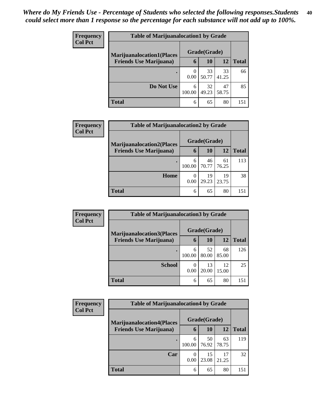| <b>Frequency</b> | <b>Table of Marijuanalocation1 by Grade</b>                         |                  |              |             |              |  |  |  |
|------------------|---------------------------------------------------------------------|------------------|--------------|-------------|--------------|--|--|--|
| <b>Col Pct</b>   | <b>Marijuanalocation1(Places)</b><br><b>Friends Use Marijuana</b> ) |                  | Grade(Grade) |             |              |  |  |  |
|                  |                                                                     | 6                | 10           | <b>12</b>   | <b>Total</b> |  |  |  |
|                  |                                                                     | $\theta$<br>0.00 | 33<br>50.77  | 33<br>41.25 | 66           |  |  |  |
|                  | Do Not Use                                                          | 6<br>100.00      | 32<br>49.23  | 47<br>58.75 | 85           |  |  |  |
|                  | <b>Total</b>                                                        | 6                | 65           | 80          | 151          |  |  |  |

| <b>Frequency</b> | <b>Table of Marijuanalocation2 by Grade</b>                        |             |              |             |              |  |  |  |
|------------------|--------------------------------------------------------------------|-------------|--------------|-------------|--------------|--|--|--|
| <b>Col Pct</b>   | <b>Marijuanalocation2(Places</b><br><b>Friends Use Marijuana</b> ) |             | Grade(Grade) |             |              |  |  |  |
|                  |                                                                    | 6           | 10           | 12          | <b>Total</b> |  |  |  |
|                  |                                                                    | 6<br>100.00 | 46<br>70.77  | 61<br>76.25 | 113          |  |  |  |
|                  | Home                                                               | 0<br>0.00   | 19<br>29.23  | 19<br>23.75 | 38           |  |  |  |
|                  | <b>Total</b>                                                       | 6           | 65           | 80          | 151          |  |  |  |

| Frequency      | <b>Table of Marijuanalocation3 by Grade</b>                         |                          |              |             |              |  |  |  |
|----------------|---------------------------------------------------------------------|--------------------------|--------------|-------------|--------------|--|--|--|
| <b>Col Pct</b> | <b>Marijuanalocation3</b> (Places<br><b>Friends Use Marijuana</b> ) |                          | Grade(Grade) |             |              |  |  |  |
|                |                                                                     | 6                        | 10           | 12          | <b>Total</b> |  |  |  |
|                |                                                                     | 6<br>100.00              | 52<br>80.00  | 68<br>85.00 | 126          |  |  |  |
|                | <b>School</b>                                                       | $\left( \right)$<br>0.00 | 13<br>20.00  | 12<br>15.00 | 25           |  |  |  |
|                | <b>Total</b>                                                        | 6                        | 65           | 80          | 151          |  |  |  |

| Frequency      | <b>Table of Marijuanalocation4 by Grade</b>                        |              |             |             |              |  |  |  |  |
|----------------|--------------------------------------------------------------------|--------------|-------------|-------------|--------------|--|--|--|--|
| <b>Col Pct</b> | <b>Marijuanalocation4(Places</b><br><b>Friends Use Marijuana</b> ) | Grade(Grade) |             |             |              |  |  |  |  |
|                |                                                                    | 6            | 10          | 12          | <b>Total</b> |  |  |  |  |
|                |                                                                    | 6<br>100.00  | 50<br>76.92 | 63<br>78.75 | 119          |  |  |  |  |
|                | Car                                                                | 0<br>0.00    | 15<br>23.08 | 17<br>21.25 | 32           |  |  |  |  |
|                | Total                                                              | 6            | 65          | 80          | 151          |  |  |  |  |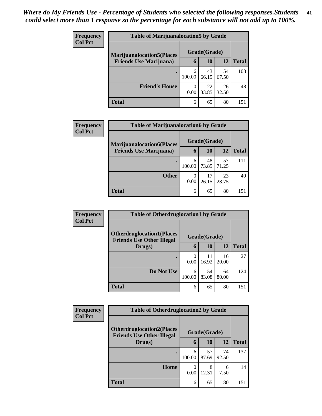| <b>Frequency</b> | <b>Table of Marijuanalocation5 by Grade</b>                         |             |              |             |              |  |  |
|------------------|---------------------------------------------------------------------|-------------|--------------|-------------|--------------|--|--|
| <b>Col Pct</b>   | <b>Marijuanalocation5</b> (Places<br><b>Friends Use Marijuana</b> ) |             | Grade(Grade) |             |              |  |  |
|                  |                                                                     | 6           | <b>10</b>    | <b>12</b>   | <b>Total</b> |  |  |
|                  |                                                                     | 6<br>100.00 | 43<br>66.15  | 54<br>67.50 | 103          |  |  |
|                  | <b>Friend's House</b>                                               | 0.00        | 22<br>33.85  | 26<br>32.50 | 48           |  |  |
|                  | <b>Total</b>                                                        | 6           | 65           | 80          | 151          |  |  |

| Frequency      | <b>Table of Marijuanalocation6 by Grade</b> |             |              |             |              |  |  |  |
|----------------|---------------------------------------------|-------------|--------------|-------------|--------------|--|--|--|
| <b>Col Pct</b> | <b>Marijuanalocation6(Places</b>            |             | Grade(Grade) |             |              |  |  |  |
|                | <b>Friends Use Marijuana</b> )              | 6           | 10           | 12          | <b>Total</b> |  |  |  |
|                |                                             | 6<br>100.00 | 48<br>73.85  | 57<br>71.25 | 111          |  |  |  |
|                | <b>Other</b>                                | 0<br>0.00   | 17<br>26.15  | 23<br>28.75 | 40           |  |  |  |
|                | <b>Total</b>                                | 6           | 65           | 80          | 151          |  |  |  |

| Frequency      | <b>Table of Otherdruglocation1 by Grade</b>                          |             |              |             |              |  |
|----------------|----------------------------------------------------------------------|-------------|--------------|-------------|--------------|--|
| <b>Col Pct</b> | <b>Otherdruglocation1(Places</b><br><b>Friends Use Other Illegal</b> |             | Grade(Grade) |             |              |  |
|                | Drugs)                                                               | 6           | <b>10</b>    | <b>12</b>   | <b>Total</b> |  |
|                |                                                                      | 0<br>0.00   | 11<br>16.92  | 16<br>20.00 | 27           |  |
|                | Do Not Use                                                           | 6<br>100.00 | 54<br>83.08  | 64<br>80.00 | 124          |  |
|                | <b>Total</b>                                                         | 6           | 65           | 80          | 151          |  |

| Frequency      | <b>Table of Otherdruglocation2 by Grade</b>                          |                  |              |             |              |  |
|----------------|----------------------------------------------------------------------|------------------|--------------|-------------|--------------|--|
| <b>Col Pct</b> | <b>Otherdruglocation2(Places</b><br><b>Friends Use Other Illegal</b> |                  | Grade(Grade) |             |              |  |
|                | Drugs)                                                               | 6                | <b>10</b>    | <b>12</b>   | <b>Total</b> |  |
|                |                                                                      | 6<br>100.00      | 57<br>87.69  | 74<br>92.50 | 137          |  |
|                | Home                                                                 | $\Omega$<br>0.00 | 8<br>12.31   | 6<br>7.50   | 14           |  |
|                | Total                                                                | 6                | 65           | 80          | 151          |  |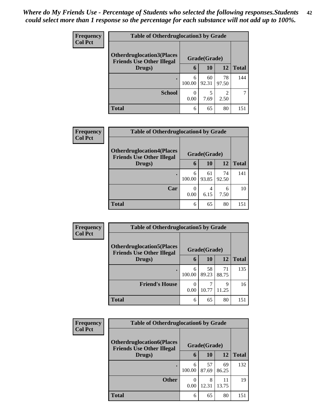| <b>Frequency</b> | <b>Table of Otherdruglocation 3 by Grade</b>                          |             |              |                        |              |
|------------------|-----------------------------------------------------------------------|-------------|--------------|------------------------|--------------|
| <b>Col Pct</b>   | <b>Otherdruglocation3(Places)</b><br><b>Friends Use Other Illegal</b> |             | Grade(Grade) |                        |              |
|                  | Drugs)                                                                | 6           | 10           | 12                     | <b>Total</b> |
|                  | $\bullet$                                                             | 6<br>100.00 | 60<br>92.31  | 78<br>97.50            | 144          |
|                  | <b>School</b>                                                         | 0<br>0.00   | 7.69         | $\mathfrak{D}$<br>2.50 |              |
|                  | <b>Total</b>                                                          | 6           | 65           | 80                     | 151          |

| <b>Frequency</b><br><b>Col Pct</b> | <b>Table of Otherdruglocation4 by Grade</b>                          |                           |              |             |              |  |  |
|------------------------------------|----------------------------------------------------------------------|---------------------------|--------------|-------------|--------------|--|--|
|                                    | <b>Otherdruglocation4(Places</b><br><b>Friends Use Other Illegal</b> |                           | Grade(Grade) |             |              |  |  |
|                                    | Drugs)                                                               | 6                         | 10           | 12          | <b>Total</b> |  |  |
|                                    |                                                                      | 6<br>100.00               | 61<br>93.85  | 74<br>92.50 | 141          |  |  |
|                                    | Car                                                                  | $\mathbf{\Omega}$<br>0.00 | 4<br>6.15    | 6<br>7.50   | 10           |  |  |
|                                    | Total                                                                | 6                         | 65           | 80          | 151          |  |  |

| Frequency      | <b>Table of Otherdruglocation5 by Grade</b>                          |             |              |             |              |  |
|----------------|----------------------------------------------------------------------|-------------|--------------|-------------|--------------|--|
| <b>Col Pct</b> | <b>Otherdruglocation5(Places</b><br><b>Friends Use Other Illegal</b> |             | Grade(Grade) |             |              |  |
|                | Drugs)                                                               | 6           | 10           | 12          | <b>Total</b> |  |
|                |                                                                      | 6<br>100.00 | 58<br>89.23  | 71<br>88.75 | 135          |  |
|                | <b>Friend's House</b>                                                | 0<br>0.00   | 10.77        | 9<br>11.25  | 16           |  |
|                | <b>Total</b>                                                         | 6           | 65           | 80          | 151          |  |

| <b>Frequency</b> | <b>Table of Otherdruglocation6 by Grade</b>                          |             |              |             |              |
|------------------|----------------------------------------------------------------------|-------------|--------------|-------------|--------------|
| <b>Col Pct</b>   | <b>Otherdruglocation6(Places</b><br><b>Friends Use Other Illegal</b> |             | Grade(Grade) |             |              |
|                  | Drugs)                                                               | 6           | 10           | <b>12</b>   | <b>Total</b> |
|                  | $\bullet$                                                            | 6<br>100.00 | 57<br>87.69  | 69<br>86.25 | 132          |
|                  | <b>Other</b>                                                         | 0.00        | 8<br>12.31   | 11<br>13.75 | 19           |
|                  | <b>Total</b>                                                         | 6           | 65           | 80          | 151          |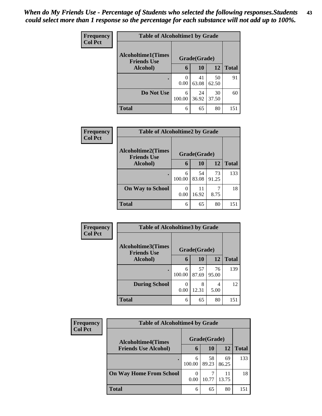| Frequency<br><b>Col Pct</b> | <b>Table of Alcoholtime1 by Grade</b>           |             |              |             |              |  |
|-----------------------------|-------------------------------------------------|-------------|--------------|-------------|--------------|--|
|                             | <b>Alcoholtime1(Times</b><br><b>Friends Use</b> |             | Grade(Grade) |             |              |  |
|                             | Alcohol)                                        | 6           | 10           | 12          | <b>Total</b> |  |
|                             | ٠                                               | 0<br>0.00   | 41<br>63.08  | 50<br>62.50 | 91           |  |
|                             | Do Not Use                                      | 6<br>100.00 | 24<br>36.92  | 30<br>37.50 | 60           |  |
|                             | <b>Total</b>                                    | 6           | 65           | 80          | 151          |  |

| <b>Frequency</b><br><b>Col Pct</b> |                                                 | <b>Table of Alcoholtime2 by Grade</b> |              |             |              |  |  |
|------------------------------------|-------------------------------------------------|---------------------------------------|--------------|-------------|--------------|--|--|
|                                    | <b>Alcoholtime2(Times</b><br><b>Friends Use</b> |                                       | Grade(Grade) |             |              |  |  |
|                                    | Alcohol)                                        | 6                                     | 10           | 12          | <b>Total</b> |  |  |
|                                    | $\bullet$                                       | 6<br>100.00                           | 54<br>83.08  | 73<br>91.25 | 133          |  |  |
|                                    | <b>On Way to School</b>                         | 0.00                                  | 11<br>16.92  | 8.75        | 18           |  |  |
|                                    | <b>Total</b>                                    | 6                                     | 65           | 80          | 151          |  |  |

| Frequency<br><b>Col Pct</b> | <b>Table of Alcoholtime3 by Grade</b>           |             |              |             |              |
|-----------------------------|-------------------------------------------------|-------------|--------------|-------------|--------------|
|                             | <b>Alcoholtime3(Times</b><br><b>Friends Use</b> |             | Grade(Grade) |             |              |
|                             | Alcohol)                                        | 6           | 10           | 12          | <b>Total</b> |
|                             | ٠                                               | 6<br>100.00 | 57<br>87.69  | 76<br>95.00 | 139          |
|                             | <b>During School</b>                            | 0.00        | 8<br>12.31   | 4<br>5.00   | 12           |
|                             | <b>Total</b>                                    | 6           | 65           | 80          | 151          |

| <b>Frequency</b> | <b>Table of Alcoholtime4 by Grade</b> |             |              |             |              |  |
|------------------|---------------------------------------|-------------|--------------|-------------|--------------|--|
| <b>Col Pct</b>   | <b>Alcoholtime4(Times</b>             |             | Grade(Grade) |             |              |  |
|                  | <b>Friends Use Alcohol)</b>           | 6           | <b>10</b>    | 12          | <b>Total</b> |  |
|                  |                                       | 6<br>100.00 | 58<br>89.23  | 69<br>86.25 | 133          |  |
|                  | <b>On Way Home From School</b>        | 0.00        | 10.77        | 11<br>13.75 | 18           |  |
|                  | <b>Total</b>                          | 6           | 65           | 80          | 151          |  |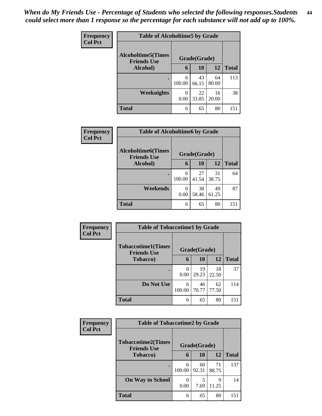| <b>Frequency</b> | <b>Table of Alcoholtime5 by Grade</b>           |             |              |             |              |
|------------------|-------------------------------------------------|-------------|--------------|-------------|--------------|
| <b>Col Pct</b>   | <b>Alcoholtime5(Times</b><br><b>Friends Use</b> |             | Grade(Grade) |             |              |
|                  | Alcohol)                                        | 6           | 10           | 12          | <b>Total</b> |
|                  | ٠                                               | 6<br>100.00 | 43<br>66.15  | 64<br>80.00 | 113          |
|                  | Weeknights                                      | 0<br>0.00   | 22<br>33.85  | 16<br>20.00 | 38           |
|                  | <b>Total</b>                                    | 6           | 65           | 80          | 151          |

| Frequency<br><b>Col Pct</b> | <b>Table of Alcoholtime6 by Grade</b>           |             |              |             |              |  |
|-----------------------------|-------------------------------------------------|-------------|--------------|-------------|--------------|--|
|                             | <b>Alcoholtime6(Times</b><br><b>Friends Use</b> |             | Grade(Grade) |             |              |  |
|                             | Alcohol)                                        | 6           | 10           | 12          | <b>Total</b> |  |
|                             | $\bullet$                                       | 6<br>100.00 | 27<br>41.54  | 31<br>38.75 | 64           |  |
|                             | Weekends                                        | 0<br>0.00   | 38<br>58.46  | 49<br>61.25 | 87           |  |
|                             | <b>Total</b>                                    | 6           | 65           | 80          | 151          |  |

| <b>Frequency</b> |                                                 | <b>Table of Tobaccotime1 by Grade</b> |              |             |              |  |  |
|------------------|-------------------------------------------------|---------------------------------------|--------------|-------------|--------------|--|--|
| <b>Col Pct</b>   | <b>Tobaccotime1(Times</b><br><b>Friends Use</b> |                                       | Grade(Grade) |             |              |  |  |
|                  | <b>Tobacco</b> )                                | 6                                     | 10           | 12          | <b>Total</b> |  |  |
|                  |                                                 | $\mathbf{\Omega}$<br>0.00             | 19<br>29.23  | 18<br>22.50 | 37           |  |  |
|                  | Do Not Use                                      | 6<br>100.00                           | 46<br>70.77  | 62<br>77.50 | 114          |  |  |
|                  | <b>Total</b>                                    | 6                                     | 65           | 80          | 151          |  |  |

| <b>Frequency</b> | <b>Table of Tobaccotime2 by Grade</b>           |             |              |             |              |
|------------------|-------------------------------------------------|-------------|--------------|-------------|--------------|
| <b>Col Pct</b>   | <b>Tobaccotime2(Times</b><br><b>Friends Use</b> |             | Grade(Grade) |             |              |
|                  | <b>Tobacco</b> )                                | 6           | 10           | 12          | <b>Total</b> |
|                  | ٠                                               | 6<br>100.00 | 60<br>92.31  | 71<br>88.75 | 137          |
|                  | <b>On Way to School</b>                         | 0.00        | 5<br>7.69    | 9<br>11.25  | 14           |
|                  | <b>Total</b>                                    | 6           | 65           | 80          | 151          |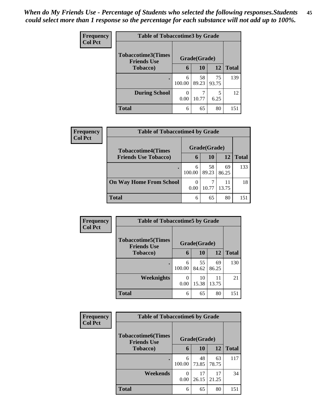| <b>Frequency</b><br><b>Col Pct</b> |                                                 | <b>Table of Tobaccotime3 by Grade</b> |              |             |              |  |  |
|------------------------------------|-------------------------------------------------|---------------------------------------|--------------|-------------|--------------|--|--|
|                                    | <b>Tobaccotime3(Times</b><br><b>Friends Use</b> |                                       | Grade(Grade) |             |              |  |  |
|                                    | <b>Tobacco</b> )                                | 6                                     | 10           | 12          | <b>Total</b> |  |  |
|                                    | ٠                                               | 6<br>100.00                           | 58<br>89.23  | 75<br>93.75 | 139          |  |  |
|                                    | <b>During School</b>                            | 0.00                                  | 10.77        | 5<br>6.25   | 12           |  |  |
|                                    | <b>Total</b>                                    | 6                                     | 65           | 80          | 151          |  |  |

| Frequency<br><b>Col Pct</b> | <b>Table of Tobaccotime4 by Grade</b> |                  |              |              |     |  |
|-----------------------------|---------------------------------------|------------------|--------------|--------------|-----|--|
|                             | <b>Tobaccotime4(Times</b>             |                  | Grade(Grade) |              |     |  |
| <b>Friends Use Tobacco)</b> | 6                                     | 10               | 12           | <b>Total</b> |     |  |
|                             | $\bullet$                             | 6<br>100.00      | 58<br>89.23  | 69<br>86.25  | 133 |  |
|                             | <b>On Way Home From School</b>        | $\theta$<br>0.00 | 10.77        | 11<br>13.75  | 18  |  |
|                             | <b>Total</b>                          | 6                | 65           | 80           | 151 |  |

| Frequency      | <b>Table of Tobaccotime5 by Grade</b>           |             |              |             |              |
|----------------|-------------------------------------------------|-------------|--------------|-------------|--------------|
| <b>Col Pct</b> | <b>Tobaccotime5(Times</b><br><b>Friends Use</b> |             | Grade(Grade) |             |              |
|                | <b>Tobacco</b> )                                | 6           | 10           | 12          | <b>Total</b> |
|                | $\bullet$                                       | 6<br>100.00 | 55<br>84.62  | 69<br>86.25 | 130          |
|                | Weeknights                                      | 0.00        | 10<br>15.38  | 11<br>13.75 | 21           |
|                | <b>Total</b>                                    | 6           | 65           | 80          | 151          |

| <b>Frequency</b> | <b>Table of Tobaccotime6 by Grade</b>           |             |              |             |              |
|------------------|-------------------------------------------------|-------------|--------------|-------------|--------------|
| <b>Col Pct</b>   | <b>Tobaccotime6(Times</b><br><b>Friends Use</b> |             | Grade(Grade) |             |              |
|                  | Tobacco)                                        | 6           | 10           | 12          | <b>Total</b> |
|                  |                                                 | 6<br>100.00 | 48<br>73.85  | 63<br>78.75 | 117          |
|                  | Weekends                                        | 0.00        | 17<br>26.15  | 17<br>21.25 | 34           |
|                  | <b>Total</b>                                    | 6           | 65           | 80          | 151          |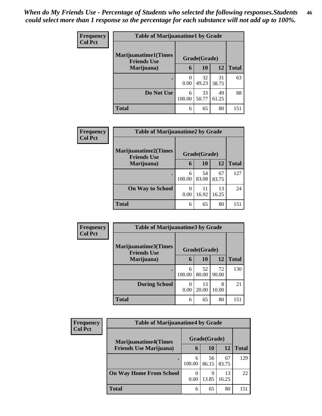| <b>Frequency</b> | <b>Table of Marijuanatime1 by Grade</b>           |             |              |             |              |
|------------------|---------------------------------------------------|-------------|--------------|-------------|--------------|
| <b>Col Pct</b>   | <b>Marijuanatime1(Times</b><br><b>Friends Use</b> |             | Grade(Grade) |             |              |
|                  | Marijuana)                                        | 6           | 10           | 12          | <b>Total</b> |
|                  |                                                   | 0<br>0.00   | 32<br>49.23  | 31<br>38.75 | 63           |
|                  | Do Not Use                                        | 6<br>100.00 | 33<br>50.77  | 49<br>61.25 | 88           |
|                  | <b>Total</b>                                      | 6           | 65           | 80          | 151          |

| Frequency      | <b>Table of Marijuanatime2 by Grade</b>           |             |              |             |              |
|----------------|---------------------------------------------------|-------------|--------------|-------------|--------------|
| <b>Col Pct</b> | <b>Marijuanatime2(Times</b><br><b>Friends Use</b> |             | Grade(Grade) |             |              |
|                | Marijuana)                                        | 6           | 10           | 12          | <b>Total</b> |
|                | $\bullet$                                         | 6<br>100.00 | 54<br>83.08  | 67<br>83.75 | 127          |
|                | <b>On Way to School</b>                           | 0<br>0.00   | 11<br>16.92  | 13<br>16.25 | 24           |
|                | <b>Total</b>                                      | 6           | 65           | 80          | 151          |

| Frequency      | <b>Table of Marijuanatime3 by Grade</b>    |             |              |             |              |
|----------------|--------------------------------------------|-------------|--------------|-------------|--------------|
| <b>Col Pct</b> | Marijuanatime3(Times<br><b>Friends Use</b> |             | Grade(Grade) |             |              |
|                | Marijuana)                                 | 6           | 10           | 12          | <b>Total</b> |
|                |                                            | 6<br>100.00 | 52<br>80.00  | 72<br>90.00 | 130          |
|                | <b>During School</b>                       | 0.00        | 13<br>20.00  | 8<br>10.00  | 21           |
|                | <b>Total</b>                               | 6           | 65           | 80          | 151          |

| <b>Frequency</b> | <b>Table of Marijuanatime4 by Grade</b> |                  |              |             |              |  |
|------------------|-----------------------------------------|------------------|--------------|-------------|--------------|--|
| <b>Col Pct</b>   | <b>Marijuanatime4</b> (Times            |                  | Grade(Grade) |             |              |  |
|                  | <b>Friends Use Marijuana</b> )          | 6                | 10           | 12          | <b>Total</b> |  |
|                  |                                         | 6<br>100.00      | 56<br>86.15  | 67<br>83.75 | 129          |  |
|                  | <b>On Way Home From School</b>          | $\theta$<br>0.00 | 9<br>13.85   | 13<br>16.25 | 22           |  |
|                  | <b>Total</b>                            | 6                | 65           | 80          | 151          |  |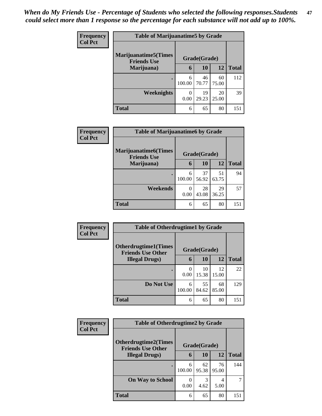| <b>Frequency</b> |                                                    | <b>Table of Marijuanatime5 by Grade</b> |              |             |              |  |
|------------------|----------------------------------------------------|-----------------------------------------|--------------|-------------|--------------|--|
| <b>Col Pct</b>   | <b>Marijuanatime5</b> (Times<br><b>Friends Use</b> |                                         | Grade(Grade) |             |              |  |
|                  | Marijuana)                                         | 6                                       | 10           | 12          | <b>Total</b> |  |
|                  | $\bullet$                                          | 6<br>100.00                             | 46<br>70.77  | 60<br>75.00 | 112          |  |
|                  | Weeknights                                         | 0<br>0.00                               | 19<br>29.23  | 20<br>25.00 | 39           |  |
|                  | <b>Total</b>                                       | 6                                       | 65           | 80          | 151          |  |

| Frequency      | <b>Table of Marijuanatime6 by Grade</b>            |             |              |             |              |
|----------------|----------------------------------------------------|-------------|--------------|-------------|--------------|
| <b>Col Pct</b> | <b>Marijuanatime6</b> (Times<br><b>Friends Use</b> |             | Grade(Grade) |             |              |
|                | Marijuana)                                         | 6           | 10           | 12          | <b>Total</b> |
|                | $\bullet$                                          | 6<br>100.00 | 37<br>56.92  | 51<br>63.75 | 94           |
|                | Weekends                                           | 0<br>0.00   | 28<br>43.08  | 29<br>36.25 | 57           |
|                | <b>Total</b>                                       | 6           | 65           | 80          | 151          |

| Frequency      | <b>Table of Otherdrugtime1 by Grade</b>                 |             |              |             |              |  |
|----------------|---------------------------------------------------------|-------------|--------------|-------------|--------------|--|
| <b>Col Pct</b> | <b>Otherdrugtime1(Times</b><br><b>Friends Use Other</b> |             | Grade(Grade) |             |              |  |
|                | <b>Illegal Drugs</b> )                                  | 6           | 10           | 12          | <b>Total</b> |  |
|                |                                                         | 0<br>0.00   | 10<br>15.38  | 12<br>15.00 | 22           |  |
|                | Do Not Use                                              | 6<br>100.00 | 55<br>84.62  | 68<br>85.00 | 129          |  |
|                | <b>Total</b>                                            | 6           | 65           | 80          | 151          |  |

| <b>Frequency</b> | <b>Table of Otherdrugtime2 by Grade</b>                                 |             |             |             |              |
|------------------|-------------------------------------------------------------------------|-------------|-------------|-------------|--------------|
| <b>Col Pct</b>   | <b>Otherdrugtime2(Times</b><br>Grade(Grade)<br><b>Friends Use Other</b> |             |             |             |              |
|                  | <b>Illegal Drugs</b> )                                                  |             | <b>10</b>   | 12          | <b>Total</b> |
|                  | ٠                                                                       | 6<br>100.00 | 62<br>95.38 | 76<br>95.00 | 144          |
|                  | <b>On Way to School</b>                                                 | 0.00        | 3<br>4.62   | 4<br>5.00   | 7            |
|                  | <b>Total</b>                                                            | 6           | 65          | 80          | 151          |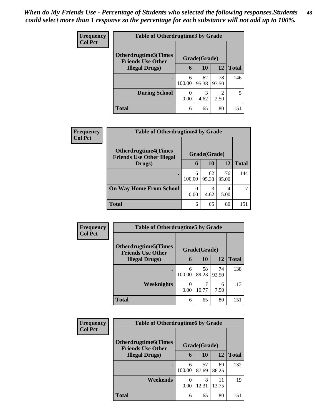| <b>Frequency</b> | <b>Table of Otherdrugtime3 by Grade</b>          |             |              |                        |              |
|------------------|--------------------------------------------------|-------------|--------------|------------------------|--------------|
| <b>Col Pct</b>   | Otherdrugtime3(Times<br><b>Friends Use Other</b> |             | Grade(Grade) |                        |              |
|                  | <b>Illegal Drugs</b> )                           | 6           | <b>10</b>    | 12                     | <b>Total</b> |
|                  | ٠                                                | 6<br>100.00 | 62<br>95.38  | 78<br>97.50            | 146          |
|                  | <b>During School</b>                             | 0.00        | 3<br>4.62    | $\mathfrak{D}$<br>2.50 | 5            |
|                  | <b>Total</b>                                     | 6           | 65           | 80                     | 151          |

| <b>Frequency</b> | <b>Table of Otherdrugtime4 by Grade</b>                         |                  |              |             |              |
|------------------|-----------------------------------------------------------------|------------------|--------------|-------------|--------------|
| <b>Col Pct</b>   | <b>Otherdrugtime4(Times</b><br><b>Friends Use Other Illegal</b> |                  | Grade(Grade) |             |              |
|                  | Drugs)                                                          | 6                | 10           | 12          | <b>Total</b> |
|                  |                                                                 | 6<br>100.00      | 62<br>95.38  | 76<br>95.00 | 144          |
|                  | <b>On Way Home From School</b>                                  | $\theta$<br>0.00 | 3<br>4.62    | 4<br>5.00   |              |
|                  | <b>Total</b>                                                    | 6                | 65           | 80          | 151          |

| Frequency<br><b>Col Pct</b> | <b>Table of Otherdrugtime5 by Grade</b>                  |             |              |             |              |
|-----------------------------|----------------------------------------------------------|-------------|--------------|-------------|--------------|
|                             | <b>Otherdrugtime5</b> (Times<br><b>Friends Use Other</b> |             | Grade(Grade) |             |              |
|                             | <b>Illegal Drugs</b> )                                   | 6           | 10           | 12          | <b>Total</b> |
|                             |                                                          | 6<br>100.00 | 58<br>89.23  | 74<br>92.50 | 138          |
|                             | Weeknights                                               | 0<br>0.00   | 10.77        | 6<br>7.50   | 13           |
|                             | <b>Total</b>                                             | 6           | 65           | 80          | 151          |

| Frequency      | <b>Table of Otherdrugtime6 by Grade</b>                 |                  |              |             |              |
|----------------|---------------------------------------------------------|------------------|--------------|-------------|--------------|
| <b>Col Pct</b> | <b>Otherdrugtime6(Times</b><br><b>Friends Use Other</b> |                  | Grade(Grade) |             |              |
|                | <b>Illegal Drugs</b> )                                  | 6                | 10           | 12          | <b>Total</b> |
|                |                                                         | 6<br>100.00      | 57<br>87.69  | 69<br>86.25 | 132          |
|                | Weekends                                                | $\theta$<br>0.00 | 8<br>12.31   | 11<br>13.75 | 19           |
|                | <b>Total</b>                                            | 6                | 65           | 80          | 151          |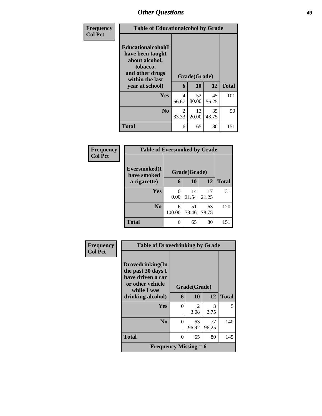| <b>Frequency</b> | <b>Table of Educationalcohol by Grade</b>                                                                  |              |             |             |              |  |  |
|------------------|------------------------------------------------------------------------------------------------------------|--------------|-------------|-------------|--------------|--|--|
| <b>Col Pct</b>   | Educationalcohol(I<br>have been taught<br>about alcohol,<br>tobacco,<br>and other drugs<br>within the last | Grade(Grade) |             |             |              |  |  |
|                  | year at school)                                                                                            | 6            | 10          | 12          | <b>Total</b> |  |  |
|                  | Yes                                                                                                        | 4<br>66.67   | 52<br>80.00 | 45<br>56.25 | 101          |  |  |
|                  | No.                                                                                                        | 2<br>33.33   | 13<br>20.00 | 35<br>43.75 | 50           |  |  |
|                  | <b>Total</b>                                                                                               | 6            | 65          | 80          | 151          |  |  |

| Frequency      | <b>Table of Eversmoked by Grade</b> |                  |              |             |              |  |  |  |
|----------------|-------------------------------------|------------------|--------------|-------------|--------------|--|--|--|
| <b>Col Pct</b> | Eversmoked(I<br>have smoked         |                  | Grade(Grade) |             |              |  |  |  |
|                | a cigarette)                        | 6                | <b>10</b>    | 12          | <b>Total</b> |  |  |  |
|                | Yes                                 | $\Omega$<br>0.00 | 14<br>21.54  | 17<br>21.25 | 31           |  |  |  |
|                | N <sub>0</sub>                      | 6<br>100.00      | 51<br>78.46  | 63<br>78.75 | 120          |  |  |  |
|                | <b>Total</b>                        | 6                | 65           | 80          | 151          |  |  |  |

| Frequency      | <b>Table of Drovedrinking by Grade</b>                                                         |              |             |             |              |  |  |
|----------------|------------------------------------------------------------------------------------------------|--------------|-------------|-------------|--------------|--|--|
| <b>Col Pct</b> | Drovedrinking(In<br>the past 30 days I<br>have driven a car<br>or other vehicle<br>while I was | Grade(Grade) |             |             |              |  |  |
|                | drinking alcohol)                                                                              | 6            | 10          | 12          | <b>Total</b> |  |  |
|                | Yes                                                                                            | $\Omega$     | 2<br>3.08   | 3<br>3.75   | 5            |  |  |
|                | N <sub>0</sub>                                                                                 | $\Omega$     | 63<br>96.92 | 77<br>96.25 | 140          |  |  |
|                | <b>Total</b>                                                                                   | $\Omega$     | 65          | 80          | 145          |  |  |
|                | Frequency Missing $= 6$                                                                        |              |             |             |              |  |  |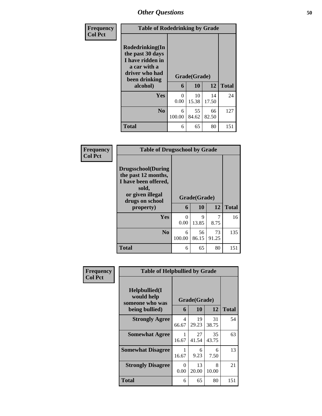| Frequency      | <b>Table of Rodedrinking by Grade</b>                                                                                  |             |                    |             |              |  |  |
|----------------|------------------------------------------------------------------------------------------------------------------------|-------------|--------------------|-------------|--------------|--|--|
| <b>Col Pct</b> | Rodedrinking(In<br>the past 30 days<br>I have ridden in<br>a car with a<br>driver who had<br>been drinking<br>alcohol) | 6           | Grade(Grade)<br>10 | 12          | <b>Total</b> |  |  |
|                | <b>Yes</b>                                                                                                             | 0<br>0.00   | 10<br>15.38        | 14<br>17.50 | 24           |  |  |
|                | N <sub>o</sub>                                                                                                         | 6<br>100.00 | 55<br>84.62        | 66<br>82.50 | 127          |  |  |
|                | <b>Total</b>                                                                                                           | 6           | 65                 | 80          | 151          |  |  |

| Frequency      | <b>Table of Drugsschool by Grade</b>                                                                                      |                   |              |             |     |  |  |  |  |  |
|----------------|---------------------------------------------------------------------------------------------------------------------------|-------------------|--------------|-------------|-----|--|--|--|--|--|
| <b>Col Pct</b> | <b>Drugsschool</b> (During<br>the past 12 months,<br>I have been offered,<br>sold,<br>or given illegal<br>drugs on school | Grade(Grade)<br>6 | <b>Total</b> |             |     |  |  |  |  |  |
|                | property)                                                                                                                 |                   | 10           | 12          |     |  |  |  |  |  |
|                | Yes                                                                                                                       | 0<br>0.00         | 9<br>13.85   | 7<br>8.75   | 16  |  |  |  |  |  |
|                | N <sub>0</sub>                                                                                                            | 6<br>100.00       | 56<br>86.15  | 73<br>91.25 | 135 |  |  |  |  |  |
|                | <b>Total</b>                                                                                                              | 6                 | 65           | 80          | 151 |  |  |  |  |  |

| Frequency      | <b>Table of Helpbullied by Grade</b>                                   |            |                    |             |              |  |
|----------------|------------------------------------------------------------------------|------------|--------------------|-------------|--------------|--|
| <b>Col Pct</b> | $Helpb$ ullied $(I$<br>would help<br>someone who was<br>being bullied) | 6          | Grade(Grade)<br>10 | 12          | <b>Total</b> |  |
|                | <b>Strongly Agree</b>                                                  | 4<br>66.67 | 19<br>29.23        | 31<br>38.75 | 54           |  |
|                | <b>Somewhat Agree</b>                                                  | 1<br>16.67 | 27<br>41.54        | 35<br>43.75 | 63           |  |
|                | <b>Somewhat Disagree</b>                                               | 1<br>16.67 | 6<br>9.23          | 6<br>7.50   | 13           |  |
|                | <b>Strongly Disagree</b>                                               | 0<br>0.00  | 13<br>20.00        | 8<br>10.00  | 21           |  |
|                | Total                                                                  | 6          | 65                 | 80          | 151          |  |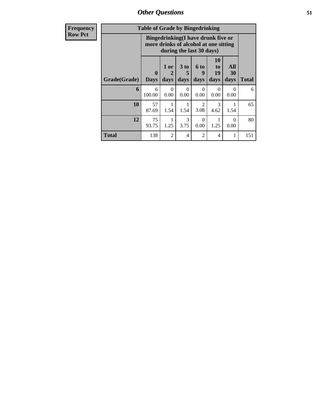| <b>Frequency</b> | <b>Table of Grade by Bingedrinking</b>                                                                  |                            |                                             |                  |                   |                        |                   |              |
|------------------|---------------------------------------------------------------------------------------------------------|----------------------------|---------------------------------------------|------------------|-------------------|------------------------|-------------------|--------------|
| <b>Row Pct</b>   | Bingedrinking(I have drunk five or<br>more drinks of alcohol at one sitting<br>during the last 30 days) |                            |                                             |                  |                   |                        |                   |              |
|                  | Grade(Grade)                                                                                            | $\mathbf 0$<br><b>Days</b> | 1 or<br>$\mathcal{D}_{\mathcal{L}}$<br>days | 3 to<br>days     | 6 to<br>9<br>days | 10<br>to<br>19<br>days | All<br>30<br>days | <b>Total</b> |
|                  | 6                                                                                                       | 6<br>100.00                | $\Omega$<br>0.00                            | $\Omega$<br>0.00 | $\Omega$<br>0.00  | $\Omega$<br>0.00       | $\Omega$<br>0.00  | 6            |
|                  | 10                                                                                                      | 57<br>87.69                | 1.54                                        | 1.54             | 2<br>3.08         | 3<br>4.62              | 1.54              | 65           |
|                  | 12                                                                                                      | 75<br>93.75                | 1.25                                        | 3<br>3.75        | $\Omega$<br>0.00  | 1<br>1.25              | $\Omega$<br>0.00  | 80           |
|                  | <b>Total</b>                                                                                            | 138                        | $\overline{2}$                              | 4                | 2                 | 4                      | 1                 | 151          |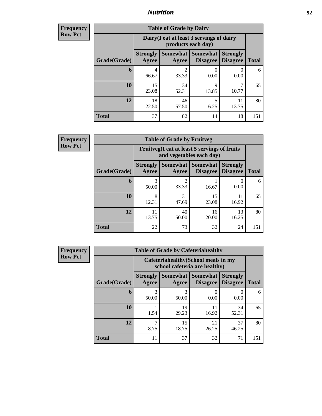### *Nutrition* **52**

**Frequency Row Pct**

| <b>Table of Grade by Dairy</b> |                          |                                                                 |                      |                                    |              |  |  |  |  |
|--------------------------------|--------------------------|-----------------------------------------------------------------|----------------------|------------------------------------|--------------|--|--|--|--|
|                                |                          | Dairy (I eat at least 3 servings of dairy<br>products each day) |                      |                                    |              |  |  |  |  |
| Grade(Grade)                   | <b>Strongly</b><br>Agree | Somewhat  <br>Agree                                             | Somewhat<br>Disagree | <b>Strongly</b><br><b>Disagree</b> | <b>Total</b> |  |  |  |  |
| 6                              | 4<br>66.67               | $\mathfrak{D}$<br>33.33                                         | 0.00                 | 0<br>0.00                          | 6            |  |  |  |  |
| 10                             | 15<br>23.08              | 34<br>52.31                                                     | 9<br>13.85           | 7<br>10.77                         | 65           |  |  |  |  |
| 12                             | 18<br>22.50              | 46<br>57.50                                                     | 5<br>6.25            | 11<br>13.75                        | 80           |  |  |  |  |
| <b>Total</b>                   | 37                       | 82                                                              | 14                   | 18                                 | 151          |  |  |  |  |

**Frequency Row Pct**

| <b>Table of Grade by Fruitveg</b> |                          |                                                                          |                               |                                    |              |  |  |  |
|-----------------------------------|--------------------------|--------------------------------------------------------------------------|-------------------------------|------------------------------------|--------------|--|--|--|
|                                   |                          | Fruitveg(I eat at least 5 servings of fruits<br>and vegetables each day) |                               |                                    |              |  |  |  |
| Grade(Grade)                      | <b>Strongly</b><br>Agree | Agree                                                                    | Somewhat Somewhat<br>Disagree | <b>Strongly</b><br><b>Disagree</b> | <b>Total</b> |  |  |  |
| 6                                 | 3<br>50.00               | $\mathfrak{D}$<br>33.33                                                  | 16.67                         | 0.00                               | 6            |  |  |  |
| 10                                | 8<br>12.31               | 31<br>47.69                                                              | 15<br>23.08                   | 11<br>16.92                        | 65           |  |  |  |
| 12                                | 11<br>13.75              | 40<br>50.00                                                              | 16<br>20.00                   | 13<br>16.25                        | 80           |  |  |  |
| <b>Total</b>                      | 22                       | 73                                                                       | 32                            | 24                                 | 151          |  |  |  |

| <b>Frequency</b> | <b>Table of Grade by Cafeteriahealthy</b> |                                                                       |                     |                                    |                                    |              |  |  |  |  |
|------------------|-------------------------------------------|-----------------------------------------------------------------------|---------------------|------------------------------------|------------------------------------|--------------|--|--|--|--|
| <b>Row Pct</b>   |                                           | Cafeteriahealthy (School meals in my<br>school cafeteria are healthy) |                     |                                    |                                    |              |  |  |  |  |
|                  | Grade(Grade)                              | <b>Strongly</b><br>Agree                                              | Somewhat  <br>Agree | <b>Somewhat</b><br><b>Disagree</b> | <b>Strongly</b><br><b>Disagree</b> | <b>Total</b> |  |  |  |  |
|                  | 6                                         | 3<br>50.00                                                            | 3<br>50.00          | 0.00                               | $\left( \right)$<br>0.00           | 6            |  |  |  |  |
|                  | 10                                        | 1.54                                                                  | 19<br>29.23         | 11<br>16.92                        | 34<br>52.31                        | 65           |  |  |  |  |
|                  | 12                                        | 8.75                                                                  | 15<br>18.75         | 21<br>26.25                        | 37<br>46.25                        | 80           |  |  |  |  |
|                  | <b>Total</b>                              | 11                                                                    | 37                  | 32                                 | 71                                 | 151          |  |  |  |  |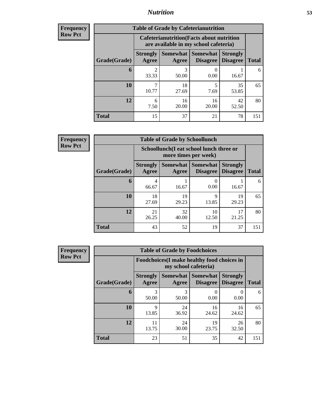## *Nutrition* **53**

| <b>Frequency</b> |
|------------------|
| <b>Row Pct</b>   |

| <b>Table of Grade by Cafeterianutrition</b> |                          |                                                                                           |                                   |                                    |              |  |  |  |  |
|---------------------------------------------|--------------------------|-------------------------------------------------------------------------------------------|-----------------------------------|------------------------------------|--------------|--|--|--|--|
|                                             |                          | <b>Cafeterianutrition</b> (Facts about nutrition<br>are available in my school cafeteria) |                                   |                                    |              |  |  |  |  |
| Grade(Grade)                                | <b>Strongly</b><br>Agree | Agree                                                                                     | Somewhat   Somewhat  <br>Disagree | <b>Strongly</b><br><b>Disagree</b> | <b>Total</b> |  |  |  |  |
| 6                                           | 2<br>33.33               | 3<br>50.00                                                                                | 0.00                              | 16.67                              | 6            |  |  |  |  |
| 10                                          | 7<br>10.77               | 18<br>27.69                                                                               | 5<br>7.69                         | 35<br>53.85                        | 65           |  |  |  |  |
| 12                                          | 6<br>7.50                | 16<br>20.00                                                                               | 16<br>20.00                       | 42<br>52.50                        | 80           |  |  |  |  |
| <b>Total</b>                                | 15                       | 37                                                                                        | 21                                | 78                                 | 151          |  |  |  |  |

**Frequency Row Pct**

| <b>Table of Grade by Schoollunch</b> |                          |                                                                 |                                 |                                    |              |  |  |  |
|--------------------------------------|--------------------------|-----------------------------------------------------------------|---------------------------------|------------------------------------|--------------|--|--|--|
|                                      |                          | Schoollunch(I eat school lunch three or<br>more times per week) |                                 |                                    |              |  |  |  |
| Grade(Grade)                         | <b>Strongly</b><br>Agree | Agree                                                           | Somewhat   Somewhat<br>Disagree | <b>Strongly</b><br><b>Disagree</b> | <b>Total</b> |  |  |  |
| 6                                    | 4<br>66.67               | 16.67                                                           | 0.00                            | 16.67                              | 6            |  |  |  |
| 10                                   | 18<br>27.69              | 19<br>29.23                                                     | 9<br>13.85                      | 19<br>29.23                        | 65           |  |  |  |
| 12                                   | 21<br>26.25              | 32<br>40.00                                                     | 10<br>12.50                     | 17<br>21.25                        | 80           |  |  |  |
| <b>Total</b>                         | 43                       | 52                                                              | 19                              | 37                                 | 151          |  |  |  |

| <b>Frequency</b> |
|------------------|
| <b>Row Pct</b>   |

| <b>Table of Grade by Foodchoices</b> |                          |                                                                            |                                      |                                    |              |  |  |  |
|--------------------------------------|--------------------------|----------------------------------------------------------------------------|--------------------------------------|------------------------------------|--------------|--|--|--|
|                                      |                          | <b>Foodchoices</b> (I make healthy food choices in<br>my school cafeteria) |                                      |                                    |              |  |  |  |
| Grade(Grade)                         | <b>Strongly</b><br>Agree | Agree                                                                      | Somewhat Somewhat<br><b>Disagree</b> | <b>Strongly</b><br><b>Disagree</b> | <b>Total</b> |  |  |  |
| 6                                    | 3<br>50.00               | 3<br>50.00                                                                 | 0.00                                 | 0.00                               | 6            |  |  |  |
| 10                                   | 9<br>13.85               | 24<br>36.92                                                                | 16<br>24.62                          | 16<br>24.62                        | 65           |  |  |  |
| 12                                   | 11<br>13.75              | 24<br>30.00                                                                | 19<br>23.75                          | 26<br>32.50                        | 80           |  |  |  |
| <b>Total</b>                         | 23                       | 51                                                                         | 35                                   | 42                                 | 151          |  |  |  |

Ŧ.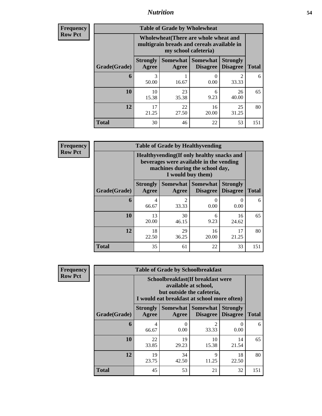## *Nutrition* **54**

| <b>Frequency</b><br>Row Pct |
|-----------------------------|
|                             |

| <b>Table of Grade by Wholewheat</b> |                                                                                                                                             |             |             |             |     |  |  |  |
|-------------------------------------|---------------------------------------------------------------------------------------------------------------------------------------------|-------------|-------------|-------------|-----|--|--|--|
|                                     | Wholewheat (There are whole wheat and<br>multigrain breads and cereals available in<br>my school cafeteria)                                 |             |             |             |     |  |  |  |
| Grade(Grade)                        | Somewhat  <br><b>Somewhat</b><br><b>Strongly</b><br><b>Strongly</b><br><b>Disagree</b><br>Agree<br><b>Disagree</b><br><b>Total</b><br>Agree |             |             |             |     |  |  |  |
| 6                                   | 3<br>50.00                                                                                                                                  | 16.67       | 0<br>0.00   | 2<br>33.33  | 6   |  |  |  |
| 10                                  | 10<br>15.38                                                                                                                                 | 23<br>35.38 | 6<br>9.23   | 26<br>40.00 | 65  |  |  |  |
| 12                                  | 17<br>21.25                                                                                                                                 | 22<br>27.50 | 16<br>20.00 | 25<br>31.25 | 80  |  |  |  |
| <b>Total</b>                        | 30                                                                                                                                          | 46          | 22          | 53          | 151 |  |  |  |

**Frequency Row Pct**

| <b>Table of Grade by Healthyvending</b> |                                                                                                                                               |                         |                                   |                                    |              |  |  |
|-----------------------------------------|-----------------------------------------------------------------------------------------------------------------------------------------------|-------------------------|-----------------------------------|------------------------------------|--------------|--|--|
|                                         | Healthyvending (If only healthy snacks and<br>beverages were available in the vending<br>machines during the school day,<br>I would buy them) |                         |                                   |                                    |              |  |  |
| Grade(Grade)                            | <b>Strongly</b><br>Agree                                                                                                                      | Agree                   | Somewhat   Somewhat  <br>Disagree | <b>Strongly</b><br><b>Disagree</b> | <b>Total</b> |  |  |
| 6                                       | 4<br>66.67                                                                                                                                    | $\overline{c}$<br>33.33 | 0<br>0.00                         | 0.00                               | 6            |  |  |
| 10                                      | 13<br>20.00                                                                                                                                   | 30<br>46.15             | 6<br>9.23                         | 16<br>24.62                        | 65           |  |  |
| 12                                      | 18<br>22.50                                                                                                                                   | 29<br>36.25             | 16<br>20.00                       | 17<br>21.25                        | 80           |  |  |
| <b>Total</b>                            | 35                                                                                                                                            | 61                      | 22                                | 33                                 | 151          |  |  |

**Frequency Row Pct**

| <b>Table of Grade by Schoolbreakfast</b> |                                                                                                                                         |             |             |                  |     |  |  |  |
|------------------------------------------|-----------------------------------------------------------------------------------------------------------------------------------------|-------------|-------------|------------------|-----|--|--|--|
|                                          | Schoolbreakfast (If breakfast were<br>available at school,<br>but outside the cafeteria,<br>I would eat breakfast at school more often) |             |             |                  |     |  |  |  |
| Grade(Grade)                             | Somewhat Somewhat<br><b>Strongly</b><br><b>Strongly</b><br><b>Disagree</b><br>Agree<br><b>Disagree</b><br><b>Total</b><br>Agree         |             |             |                  |     |  |  |  |
| 6                                        | 4<br>66.67                                                                                                                              | 0.00        | 2<br>33.33  | $\Omega$<br>0.00 | 6   |  |  |  |
| 10                                       | 22<br>33.85                                                                                                                             | 19<br>29.23 | 10<br>15.38 | 14<br>21.54      | 65  |  |  |  |
| 12                                       | 19<br>23.75                                                                                                                             | 34<br>42.50 | 9<br>11.25  | 18<br>22.50      | 80  |  |  |  |
| <b>Total</b>                             | 45                                                                                                                                      | 53          | 21          | 32               | 151 |  |  |  |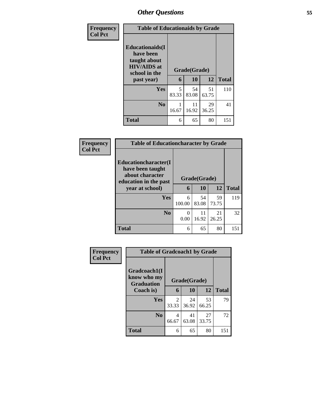| Frequency      | <b>Table of Educationaids by Grade</b>                                                      |                   |              |             |     |  |  |
|----------------|---------------------------------------------------------------------------------------------|-------------------|--------------|-------------|-----|--|--|
| <b>Col Pct</b> | <b>Educationaids</b> (I<br>have been<br>taught about<br><b>HIV/AIDS</b> at<br>school in the | Grade(Grade)<br>6 | <b>Total</b> |             |     |  |  |
|                | past year)                                                                                  |                   | 10           | 12          |     |  |  |
|                | <b>Yes</b>                                                                                  | 5<br>83.33        | 54<br>83.08  | 51<br>63.75 | 110 |  |  |
|                | N <sub>0</sub>                                                                              | 16.67             | 11<br>16.92  | 29<br>36.25 | 41  |  |  |
|                | <b>Total</b>                                                                                | 6                 | 65           | 80          | 151 |  |  |

| Frequency      | <b>Table of Educationcharacter by Grade</b>                                                  |              |             |             |              |  |  |
|----------------|----------------------------------------------------------------------------------------------|--------------|-------------|-------------|--------------|--|--|
| <b>Col Pct</b> | <b>Educationcharacter</b> (I<br>have been taught<br>about character<br>education in the past | Grade(Grade) |             |             |              |  |  |
|                | year at school)                                                                              | 6            | 10          | 12          | <b>Total</b> |  |  |
|                | <b>Yes</b>                                                                                   | 6<br>100.00  | 54<br>83.08 | 59<br>73.75 | 119          |  |  |
|                | N <sub>0</sub>                                                                               | 0<br>0.00    | 11<br>16.92 | 21<br>26.25 | 32           |  |  |
|                | <b>Total</b>                                                                                 | 6            | 65          | 80          | 151          |  |  |

| Frequency      | <b>Table of Gradcoach1 by Grade</b>                           |                         |             |             |              |  |
|----------------|---------------------------------------------------------------|-------------------------|-------------|-------------|--------------|--|
| <b>Col Pct</b> | Gradcoach1(I<br>know who my<br><b>Graduation</b><br>Coach is) | Grade(Grade)            |             |             |              |  |
|                |                                                               | 6                       | 10          | 12          | <b>Total</b> |  |
|                | Yes                                                           | $\mathfrak{D}$<br>33.33 | 24<br>36.92 | 53<br>66.25 | 79           |  |
|                | N <sub>0</sub>                                                | 4<br>66.67              | 41<br>63.08 | 27<br>33.75 | 72           |  |
|                | <b>Total</b>                                                  | 6                       | 65          | 80          | 151          |  |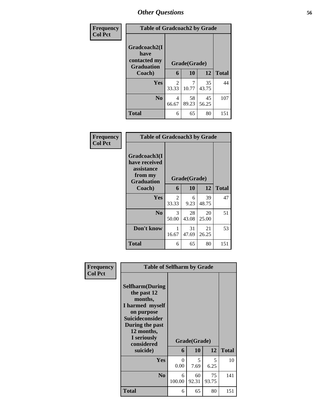| Frequency      | <b>Table of Gradcoach2 by Grade</b>                       |                         |             |             |              |
|----------------|-----------------------------------------------------------|-------------------------|-------------|-------------|--------------|
| <b>Col Pct</b> | Gradcoach2(I<br>have<br>contacted my<br><b>Graduation</b> | Grade(Grade)            |             |             |              |
|                | Coach)                                                    | 6                       | 10          | 12          | <b>Total</b> |
|                | Yes                                                       | $\mathfrak{D}$<br>33.33 | 7<br>10.77  | 35<br>43.75 | 44           |
|                | N <sub>0</sub>                                            | 4<br>66.67              | 58<br>89.23 | 45<br>56.25 | 107          |
|                | <b>Total</b>                                              | 6                       | 65          | 80          | 151          |

| Frequency<br><b>Col Pct</b> | <b>Table of Gradcoach3 by Grade</b>                                         |              |             |             |              |
|-----------------------------|-----------------------------------------------------------------------------|--------------|-------------|-------------|--------------|
|                             | Gradcoach3(I<br>have received<br>assistance<br>from my<br><b>Graduation</b> | Grade(Grade) |             |             |              |
|                             | Coach)                                                                      | 6            | 10          | 12          | <b>Total</b> |
|                             | Yes                                                                         | 2<br>33.33   | 6<br>9.23   | 39<br>48.75 | 47           |
|                             | N <sub>0</sub>                                                              | 3<br>50.00   | 28<br>43.08 | 20<br>25.00 | 51           |
|                             | Don't know                                                                  | 1<br>16.67   | 31<br>47.69 | 21<br>26.25 | 53           |
|                             | <b>Total</b>                                                                | 6            | 65          | 80          | 151          |

| Frequency      | <b>Table of Selfharm by Grade</b>                                                                                                                                          |                  |              |             |              |  |  |  |  |
|----------------|----------------------------------------------------------------------------------------------------------------------------------------------------------------------------|------------------|--------------|-------------|--------------|--|--|--|--|
| <b>Col Pct</b> | <b>Selfharm</b> (During<br>the past 12<br>months,<br>I harmed myself<br>on purpose<br><b>Suicideconsider</b><br>During the past<br>12 months,<br>I seriously<br>considered |                  | Grade(Grade) |             |              |  |  |  |  |
|                | suicide)                                                                                                                                                                   | 6                | 10           | 12          | <b>Total</b> |  |  |  |  |
|                | Yes                                                                                                                                                                        | $\Omega$<br>0.00 | 5<br>7.69    | 5<br>6.25   | 10           |  |  |  |  |
|                | N <sub>0</sub>                                                                                                                                                             | 6<br>100.00      | 60<br>92.31  | 75<br>93.75 | 141          |  |  |  |  |
|                | <b>Total</b>                                                                                                                                                               | 6                | 65           | 80          | 151          |  |  |  |  |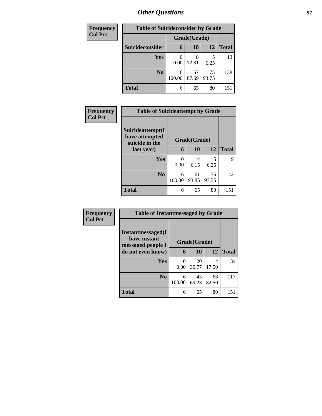| <b>Frequency</b> | <b>Table of Suicideconsider by Grade</b> |              |             |             |              |  |  |  |
|------------------|------------------------------------------|--------------|-------------|-------------|--------------|--|--|--|
| <b>Col Pct</b>   |                                          | Grade(Grade) |             |             |              |  |  |  |
|                  | Suicideconsider                          | 6            | <b>10</b>   | 12          | <b>Total</b> |  |  |  |
|                  | Yes                                      | 0.00         | 8<br>12.31  | 6.25        | 13           |  |  |  |
|                  | N <sub>0</sub>                           | 6<br>100.00  | 57<br>87.69 | 75<br>93.75 | 138          |  |  |  |
|                  | <b>Total</b>                             | 6            | 65          | 80          | 151          |  |  |  |

| Frequency      | <b>Table of Suicideattempt by Grade</b>              |              |             |             |              |  |  |  |
|----------------|------------------------------------------------------|--------------|-------------|-------------|--------------|--|--|--|
| <b>Col Pct</b> | Suicideattempt(I<br>have attempted<br>suicide in the | Grade(Grade) |             |             |              |  |  |  |
|                | last year)                                           | 6            | 10          | 12          | <b>Total</b> |  |  |  |
|                | Yes                                                  | 0<br>0.00    | 4<br>6.15   | 5<br>6.25   | 9            |  |  |  |
|                | N <sub>0</sub>                                       | 6<br>100.00  | 61<br>93.85 | 75<br>93.75 | 142          |  |  |  |
|                | <b>Total</b>                                         | 6            | 65          | 80          | 151          |  |  |  |

| Frequency      | <b>Table of Instantmessaged by Grade</b>               |              |             |             |              |  |  |  |
|----------------|--------------------------------------------------------|--------------|-------------|-------------|--------------|--|--|--|
| <b>Col Pct</b> | Instantmessaged(I<br>have instant<br>messaged people I | Grade(Grade) |             |             |              |  |  |  |
|                | do not even know)                                      | 6            | 10          | 12          | <b>Total</b> |  |  |  |
|                | Yes                                                    | 0<br>0.00    | 20<br>30.77 | 14<br>17.50 | 34           |  |  |  |
|                | N <sub>0</sub>                                         | 6<br>100.00  | 45<br>69.23 | 66<br>82.50 | 117          |  |  |  |
|                | <b>Total</b>                                           | 6            | 65          | 80          | 151          |  |  |  |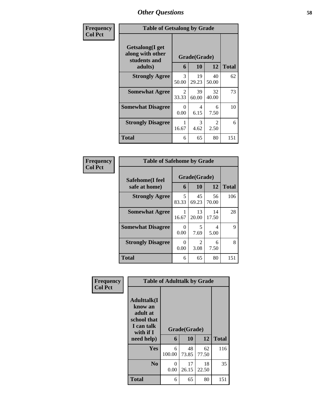| <b>Frequency</b> | <b>Table of Getsalong by Grade</b>                  |              |             |             |              |  |  |  |
|------------------|-----------------------------------------------------|--------------|-------------|-------------|--------------|--|--|--|
| <b>Col Pct</b>   | Getsalong(I get<br>along with other<br>students and | Grade(Grade) |             |             |              |  |  |  |
|                  | adults)                                             | 6            | 10          | 12          | <b>Total</b> |  |  |  |
|                  | <b>Strongly Agree</b>                               | 3<br>50.00   | 19<br>29.23 | 40<br>50.00 | 62           |  |  |  |
|                  | <b>Somewhat Agree</b>                               | 2<br>33.33   | 39<br>60.00 | 32<br>40.00 | 73           |  |  |  |
|                  | <b>Somewhat Disagree</b>                            | 0<br>0.00    | 4<br>6.15   | 6<br>7.50   | 10           |  |  |  |
|                  | <b>Strongly Disagree</b>                            | 16.67        | 3<br>4.62   | 2<br>2.50   | 6            |  |  |  |
|                  | <b>Total</b>                                        | 6            | 65          | 80          | 151          |  |  |  |

| Frequency      | <b>Table of Safehome by Grade</b> |                   |                   |                   |     |  |  |  |  |
|----------------|-----------------------------------|-------------------|-------------------|-------------------|-----|--|--|--|--|
| <b>Col Pct</b> | Safehome(I feel<br>safe at home)  | Grade(Grade)<br>6 | <b>Total</b>      |                   |     |  |  |  |  |
|                | <b>Strongly Agree</b>             | 5<br>83.33        | 10<br>45<br>69.23 | 12<br>56<br>70.00 | 106 |  |  |  |  |
|                | <b>Somewhat Agree</b>             | 16.67             | 13<br>20.00       | 14<br>17.50       | 28  |  |  |  |  |
|                | <b>Somewhat Disagree</b>          | 0<br>0.00         | 5<br>7.69         | 4<br>5.00         | 9   |  |  |  |  |
|                | <b>Strongly Disagree</b>          | 0<br>0.00         | 2<br>3.08         | 6<br>7.50         | 8   |  |  |  |  |
|                | <b>Total</b>                      | 6                 | 65                | 80                | 151 |  |  |  |  |

| Frequency      | <b>Table of Adulttalk by Grade</b>                                                                |             |                    |             |              |  |  |  |
|----------------|---------------------------------------------------------------------------------------------------|-------------|--------------------|-------------|--------------|--|--|--|
| <b>Col Pct</b> | <b>Adulttalk(I</b><br>know an<br>adult at<br>school that<br>I can talk<br>with if I<br>need help) | 6           | Grade(Grade)<br>10 | 12          | <b>Total</b> |  |  |  |
|                | <b>Yes</b>                                                                                        | 6<br>100.00 | 48<br>73.85        | 62<br>77.50 | 116          |  |  |  |
|                | N <sub>0</sub>                                                                                    | 0<br>0.00   | 17<br>26.15        | 18<br>22.50 | 35           |  |  |  |
|                | <b>Total</b>                                                                                      | 6           | 65                 | 80          | 151          |  |  |  |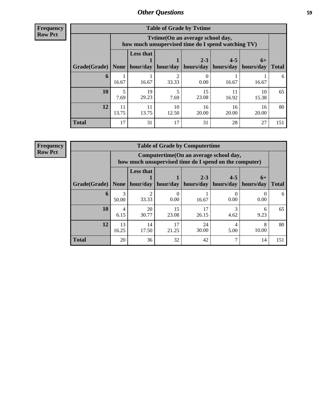| <b>Frequency</b> |
|------------------|
| <b>Row Pct</b>   |

| <b>Table of Grade by Tytime</b> |             |                                                                                        |             |                      |                      |                   |              |  |  |
|---------------------------------|-------------|----------------------------------------------------------------------------------------|-------------|----------------------|----------------------|-------------------|--------------|--|--|
|                                 |             | Tvtime(On an average school day,<br>how much unsupervised time do I spend watching TV) |             |                      |                      |                   |              |  |  |
| Grade(Grade)                    | <b>None</b> | <b>Less that</b><br>hour/day                                                           | hour/day    | $2 - 3$<br>hours/day | $4 - 5$<br>hours/day | $6+$<br>hours/day | <b>Total</b> |  |  |
| 6                               | 16.67       | 16.67                                                                                  | 33.33       | 0.00                 | 16.67                | 16.67             | 6            |  |  |
| 10                              | 5<br>7.69   | 19<br>29.23                                                                            | 5<br>7.69   | 15<br>23.08          | 11<br>16.92          | 10<br>15.38       | 65           |  |  |
| 12                              | 11<br>13.75 | 11<br>13.75                                                                            | 10<br>12.50 | 16<br>20.00          | 16<br>20.00          | 16<br>20.00       | 80           |  |  |
| <b>Total</b>                    | 17          | 31                                                                                     | 17          | 31                   | 28                   | 27                | 151          |  |  |

**Frequency**

**Row Pct**

| <b>Table of Grade by Computertime</b> |             |                                                                                                   |             |                      |                      |                   |              |  |  |
|---------------------------------------|-------------|---------------------------------------------------------------------------------------------------|-------------|----------------------|----------------------|-------------------|--------------|--|--|
|                                       |             | Computertime (On an average school day,<br>how much unsupervised time do I spend on the computer) |             |                      |                      |                   |              |  |  |
| Grade(Grade)                          | None        | <b>Less that</b><br>hour/day                                                                      | hour/day    | $2 - 3$<br>hours/day | $4 - 5$<br>hours/day | $6+$<br>hours/day | <b>Total</b> |  |  |
| 6                                     | 50.00       | 33.33                                                                                             | 0.00        | 16.67                | 0.00                 | 0.00              | 6            |  |  |
| 10                                    | 4<br>6.15   | 20<br>30.77                                                                                       | 15<br>23.08 | 17<br>26.15          | 3<br>4.62            | 6<br>9.23         | 65           |  |  |
| 12                                    | 13<br>16.25 | 14<br>17.50                                                                                       | 17<br>21.25 | 24<br>30.00          | 4<br>5.00            | 8<br>10.00        | 80           |  |  |
| <b>Total</b>                          | 20          | 36                                                                                                | 32          | 42                   | ⇁                    | 14                | 151          |  |  |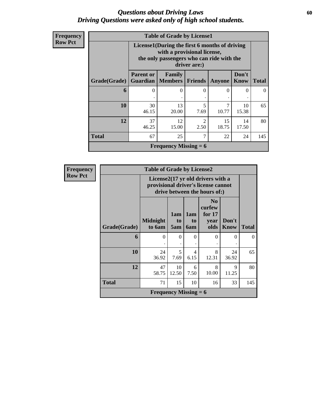### *Questions about Driving Laws* **60** *Driving Questions were asked only of high school students.*

| <b>Frequency</b> |
|------------------|
| <b>Row Pct</b>   |

| <b>Table of Grade by License1</b> |                                                                                                                                           |                                                                                                           |                |             |             |          |  |  |  |  |  |
|-----------------------------------|-------------------------------------------------------------------------------------------------------------------------------------------|-----------------------------------------------------------------------------------------------------------|----------------|-------------|-------------|----------|--|--|--|--|--|
|                                   | License1(During the first 6 months of driving<br>with a provisional license,<br>the only passengers who can ride with the<br>driver are:) |                                                                                                           |                |             |             |          |  |  |  |  |  |
| Grade(Grade)                      | <b>Parent or</b>                                                                                                                          | Don't<br>Family<br><b>Guardian</b>   Members  <br><b>Know</b><br><b>Friends</b><br><b>Total</b><br>Anyone |                |             |             |          |  |  |  |  |  |
| 6                                 | 0                                                                                                                                         | $\Omega$                                                                                                  | 0              | $\Omega$    | $\Omega$    | $\Omega$ |  |  |  |  |  |
| 10                                | 30<br>46.15                                                                                                                               | 13<br>20.00                                                                                               | 5<br>7.69      | 7<br>10.77  | 10<br>15.38 | 65       |  |  |  |  |  |
| 12                                | 37<br>46.25                                                                                                                               | 12<br>15.00                                                                                               | 2<br>2.50      | 15<br>18.75 | 14<br>17.50 | 80       |  |  |  |  |  |
| <b>Total</b>                      | 67                                                                                                                                        | 25                                                                                                        | $\overline{7}$ | 22          | 24          | 145      |  |  |  |  |  |
|                                   |                                                                                                                                           | <b>Frequency Missing = 6</b>                                                                              |                |             |             |          |  |  |  |  |  |

| <b>Frequency</b> | <b>Table of Grade by License2</b> |                              |                                                                                                          |                  |                                                      |               |              |  |
|------------------|-----------------------------------|------------------------------|----------------------------------------------------------------------------------------------------------|------------------|------------------------------------------------------|---------------|--------------|--|
| <b>Row Pct</b>   |                                   |                              | License2(17 yr old drivers with a<br>provisional driver's license cannot<br>drive between the hours of:) |                  |                                                      |               |              |  |
|                  | Grade(Grade)                      | <b>Midnight</b><br>to 6am    | 1am<br>to<br>5am                                                                                         | 1am<br>to<br>6am | N <sub>0</sub><br>curfew<br>for $17$<br>year<br>olds | Don't<br>Know | <b>Total</b> |  |
|                  | 6                                 | $\Omega$                     | $\Omega$                                                                                                 | $\Omega$         | $\Omega$                                             | $\theta$      | $\Omega$     |  |
|                  | 10                                | 24<br>36.92                  | 5<br>7.69                                                                                                | 4<br>6.15        | 8<br>12.31                                           | 24<br>36.92   | 65           |  |
|                  | 12                                | 47<br>58.75                  | 10<br>12.50                                                                                              | 6<br>7.50        | 8<br>10.00                                           | 9<br>11.25    | 80           |  |
|                  | <b>Total</b>                      | 71                           | 15                                                                                                       | 10               | 16                                                   | 33            | 145          |  |
|                  |                                   | <b>Frequency Missing = 6</b> |                                                                                                          |                  |                                                      |               |              |  |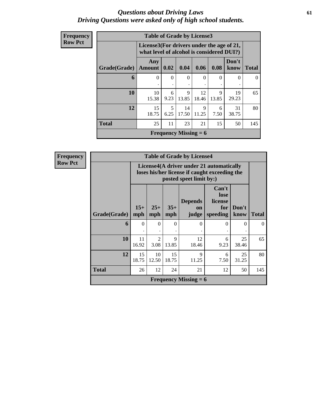### *Questions about Driving Laws* **61** *Driving Questions were asked only of high school students.*

| Frequency      | <b>Table of Grade by License3</b> |                                                                                        |           |                              |             |            |               |              |
|----------------|-----------------------------------|----------------------------------------------------------------------------------------|-----------|------------------------------|-------------|------------|---------------|--------------|
| <b>Row Pct</b> |                                   | License3(For drivers under the age of 21,<br>what level of alcohol is considered DUI?) |           |                              |             |            |               |              |
|                | Grade(Grade)                      | Any<br>Amount                                                                          | 0.02      | 0.04                         | 0.06        | 0.08       | Don't<br>know | <b>Total</b> |
|                | 6                                 | $\theta$                                                                               | $\Omega$  | $\Omega$                     | $\Omega$    | 0          | $\Omega$      | $\theta$     |
|                | 10                                | 10<br>15.38                                                                            | 6<br>9.23 | 9<br>13.85                   | 12<br>18.46 | 9<br>13.85 | 19<br>29.23   | 65           |
|                | 12                                | 15<br>18.75                                                                            | 5<br>6.25 | 14<br>17.50                  | 9<br>11.25  | 6<br>7.50  | 31<br>38.75   | 80           |
|                | <b>Total</b>                      | 25                                                                                     | 11        | 23                           | 21          | 15         | 50            | 145          |
|                |                                   |                                                                                        |           | <b>Frequency Missing = 6</b> |             |            |               |              |

**Frequency Row Pct**

| <b>Table of Grade by License4</b> |              |                                                                                                                      |              |                               |                                             |               |              |  |
|-----------------------------------|--------------|----------------------------------------------------------------------------------------------------------------------|--------------|-------------------------------|---------------------------------------------|---------------|--------------|--|
|                                   |              | License4(A driver under 21 automatically<br>loses his/her license if caught exceeding the<br>posted speet limit by:) |              |                               |                                             |               |              |  |
| Grade(Grade)                      | $15+$<br>mph | $25+$<br>mph                                                                                                         | $35+$<br>mph | <b>Depends</b><br>on<br>judge | Can't<br>lose<br>license<br>for<br>speeding | Don't<br>know | <b>Total</b> |  |
| 6                                 | $\Omega$     | $\Omega$                                                                                                             | $\Omega$     | $\Omega$                      | 0                                           | $\Omega$      | $\Omega$     |  |
| 10                                | 11<br>16.92  | $\mathfrak{D}$<br>3.08                                                                                               | 9<br>13.85   | 12<br>18.46                   | 6<br>9.23                                   | 25<br>38.46   | 65           |  |
| 12                                | 15<br>18.75  | 10<br>12.50                                                                                                          | 15<br>18.75  | 9<br>11.25                    | 6<br>7.50                                   | 25<br>31.25   | 80           |  |
| <b>Total</b>                      | 26           | 12<br>24<br>21<br>12<br>50                                                                                           |              |                               |                                             |               |              |  |
|                                   |              |                                                                                                                      |              | <b>Frequency Missing = 6</b>  |                                             |               |              |  |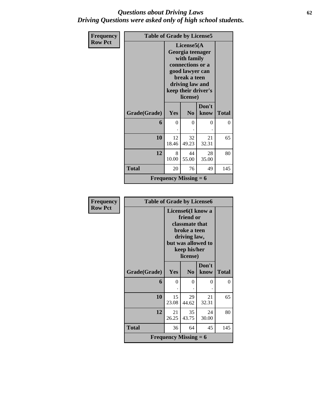### *Questions about Driving Laws* **62** *Driving Questions were asked only of high school students.*

| Frequency      | <b>Table of Grade by License5</b> |                              |                                                                                                                                         |                     |              |
|----------------|-----------------------------------|------------------------------|-----------------------------------------------------------------------------------------------------------------------------------------|---------------------|--------------|
| <b>Row Pct</b> |                                   |                              | License $5(A)$<br>Georgia teenager<br>with family<br>connections or a<br>good lawyer can<br>break a teen<br>driving law and<br>license) | keep their driver's |              |
|                | Grade(Grade)                      | Yes                          | N <sub>0</sub>                                                                                                                          | Don't<br>know       | <b>Total</b> |
|                | 6                                 | $\theta$                     | 0                                                                                                                                       | 0                   | 0            |
|                | 10                                | 12<br>18.46                  | 32<br>49.23                                                                                                                             | 21<br>32.31         | 65           |
|                | 12                                | 8<br>10.00                   | 44<br>55.00                                                                                                                             | 28<br>35.00         | 80           |
|                | <b>Total</b>                      | 20                           | 76                                                                                                                                      | 49                  | 145          |
|                |                                   | <b>Frequency Missing = 6</b> |                                                                                                                                         |                     |              |

| <b>Frequency</b> | <b>Table of Grade by License6</b> |                                                                                                                                                 |                |               |              |  |
|------------------|-----------------------------------|-------------------------------------------------------------------------------------------------------------------------------------------------|----------------|---------------|--------------|--|
| <b>Row Pct</b>   |                                   | License <sub>6</sub> (I know a<br>friend or<br>classmate that<br>broke a teen<br>driving law,<br>but was allowed to<br>keep his/her<br>license) |                |               |              |  |
|                  | Grade(Grade)                      | Yes                                                                                                                                             | N <sub>0</sub> | Don't<br>know | <b>Total</b> |  |
|                  | 6                                 | $\Omega$                                                                                                                                        | 0              | 0             | $\theta$     |  |
|                  | 10                                | 15<br>23.08                                                                                                                                     | 29<br>44.62    | 21<br>32.31   | 65           |  |
|                  | 12                                | 21<br>26.25                                                                                                                                     | 35<br>43.75    | 24<br>30.00   | 80           |  |
|                  | <b>Total</b>                      | 36                                                                                                                                              | 64             | 45            | 145          |  |
|                  |                                   | <b>Frequency Missing = 6</b>                                                                                                                    |                |               |              |  |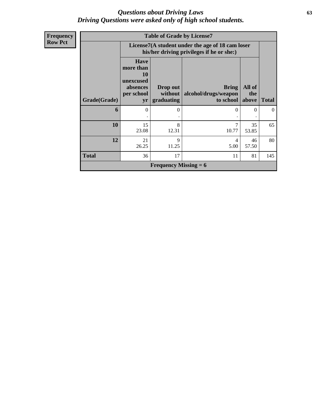### *Questions about Driving Laws* **63** *Driving Questions were asked only of high school students.*

| Frequency      | <b>Table of Grade by License7</b> |                                                                                    |                                   |                                                                                               |                                |          |  |  |  |
|----------------|-----------------------------------|------------------------------------------------------------------------------------|-----------------------------------|-----------------------------------------------------------------------------------------------|--------------------------------|----------|--|--|--|
| <b>Row Pct</b> |                                   |                                                                                    |                                   | License7(A student under the age of 18 cam loser<br>his/her driving privileges if he or she:) |                                |          |  |  |  |
|                | <b>Grade(Grade)</b>               | <b>Have</b><br>more than<br><b>10</b><br>unexcused<br>absences<br>per school<br>yr | Drop out<br>without<br>graduating | <b>Bring</b><br>alcohol/drugs/weapon<br>to school                                             | All of<br>the<br>above   Total |          |  |  |  |
|                | 6                                 | $\theta$                                                                           | 0                                 | $\Omega$                                                                                      | $\Omega$                       | $\theta$ |  |  |  |
|                | 10                                | 15<br>23.08                                                                        | 8<br>12.31                        | 7<br>10.77                                                                                    | 35<br>53.85                    | 65       |  |  |  |
|                | 12                                | 21<br>26.25                                                                        | 9<br>11.25                        | 4<br>5.00                                                                                     | 46<br>57.50                    | 80       |  |  |  |
|                | <b>Total</b>                      | 36                                                                                 | 17                                | 11                                                                                            | 81                             | 145      |  |  |  |
|                |                                   |                                                                                    | <b>Frequency Missing = 6</b>      |                                                                                               |                                |          |  |  |  |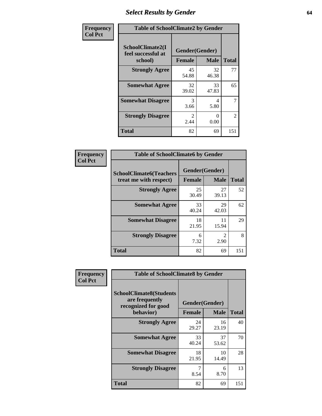## *Select Results by Gender* **64**

| Frequency      | <b>Table of SchoolClimate2 by Gender</b>          |                                 |             |                |  |  |  |
|----------------|---------------------------------------------------|---------------------------------|-------------|----------------|--|--|--|
| <b>Col Pct</b> | SchoolClimate2(I<br>feel successful at<br>school) | Gender(Gender)<br><b>Female</b> | <b>Male</b> | <b>Total</b>   |  |  |  |
|                | <b>Strongly Agree</b>                             | 45<br>54.88                     | 32<br>46.38 | 77             |  |  |  |
|                | <b>Somewhat Agree</b>                             | 32<br>39.02                     | 33<br>47.83 | 65             |  |  |  |
|                | <b>Somewhat Disagree</b>                          | 3<br>3.66                       | 4<br>5.80   | $\overline{7}$ |  |  |  |
|                | <b>Strongly Disagree</b>                          | $\mathcal{L}$<br>2.44           | 0<br>0.00   | $\overline{2}$ |  |  |  |
|                | <b>Total</b>                                      | 82                              | 69          | 151            |  |  |  |

| Frequency      | <b>Table of SchoolClimate6 by Gender</b>                 |               |                                     |              |  |  |  |  |
|----------------|----------------------------------------------------------|---------------|-------------------------------------|--------------|--|--|--|--|
| <b>Col Pct</b> | <b>SchoolClimate6(Teachers</b><br>treat me with respect) | <b>Female</b> | Gender(Gender)<br><b>Male</b>       | <b>Total</b> |  |  |  |  |
|                | <b>Strongly Agree</b>                                    | 25<br>30.49   | 27<br>39.13                         | 52           |  |  |  |  |
|                | <b>Somewhat Agree</b>                                    | 33<br>40.24   | 29<br>42.03                         | 62           |  |  |  |  |
|                | <b>Somewhat Disagree</b>                                 | 18<br>21.95   | 11<br>15.94                         | 29           |  |  |  |  |
|                | <b>Strongly Disagree</b>                                 | 6<br>7.32     | $\mathcal{D}_{\mathcal{L}}$<br>2.90 | 8            |  |  |  |  |
|                | <b>Total</b>                                             | 82            | 69                                  | 151          |  |  |  |  |

| Frequency      | <b>Table of SchoolClimate8 by Gender</b>                                             |                                 |             |              |  |  |  |
|----------------|--------------------------------------------------------------------------------------|---------------------------------|-------------|--------------|--|--|--|
| <b>Col Pct</b> | <b>SchoolClimate8(Students</b><br>are frequently<br>recognized for good<br>behavior) | Gender(Gender)<br><b>Female</b> | <b>Male</b> | <b>Total</b> |  |  |  |
|                | <b>Strongly Agree</b>                                                                | 24<br>29.27                     | 16<br>23.19 | 40           |  |  |  |
|                | <b>Somewhat Agree</b>                                                                | 33<br>40.24                     | 37<br>53.62 | 70           |  |  |  |
|                | <b>Somewhat Disagree</b>                                                             | 18<br>21.95                     | 10<br>14.49 | 28           |  |  |  |
|                | <b>Strongly Disagree</b>                                                             | 7<br>8.54                       | 6<br>8.70   | 13           |  |  |  |
|                | Total                                                                                | 82                              | 69          | 151          |  |  |  |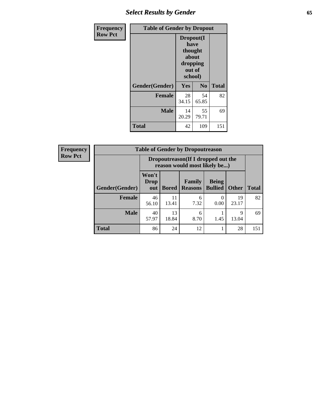## *Select Results by Gender* **65**

| Frequency      | <b>Table of Gender by Dropout</b> |                                                              |                |              |  |  |
|----------------|-----------------------------------|--------------------------------------------------------------|----------------|--------------|--|--|
| <b>Row Pct</b> |                                   | Dropout(I<br>have<br>thought<br>about<br>dropping<br>school) | out of         |              |  |  |
|                | Gender(Gender)                    | Yes                                                          | N <sub>0</sub> | <b>Total</b> |  |  |
|                | <b>Female</b>                     | 28<br>34.15                                                  | 54<br>65.85    | 82           |  |  |
|                | <b>Male</b>                       | 14<br>20.29                                                  | 55<br>79.71    | 69           |  |  |
|                | <b>Total</b>                      | 42                                                           | 109            | 151          |  |  |

| <b>Frequency</b> |                |                      | <b>Table of Gender by Dropoutreason</b>                             |                                 |                                |                      |              |  |
|------------------|----------------|----------------------|---------------------------------------------------------------------|---------------------------------|--------------------------------|----------------------|--------------|--|
| <b>Row Pct</b>   |                |                      | Dropoutreason (If I dropped out the<br>reason would most likely be) |                                 |                                |                      |              |  |
|                  | Gender(Gender) | Won't<br>Drop<br>out | <b>Bored</b>                                                        | <b>Family</b><br><b>Reasons</b> | <b>Being</b><br><b>Bullied</b> | <b>Other</b>         | <b>Total</b> |  |
|                  | <b>Female</b>  | 46<br>56.10          | 11<br>13.41                                                         | 6<br>7.32                       | 0.00                           | 19<br>23.17          | 82           |  |
|                  | <b>Male</b>    | 40<br>57.97          | 13<br>18.84                                                         | 6<br>8.70                       | 1.45                           | $\mathbf Q$<br>13.04 | 69           |  |
|                  | <b>Total</b>   | 86                   | 24                                                                  | 12                              |                                | 28                   | 151          |  |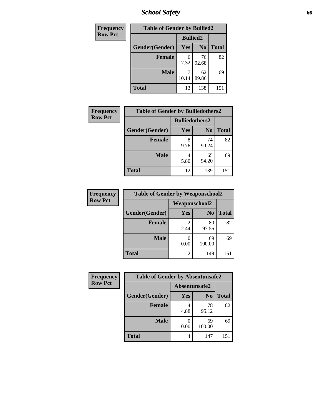*School Safety* **66**

| Frequency      | <b>Table of Gender by Bullied2</b> |                 |                |              |  |  |  |
|----------------|------------------------------------|-----------------|----------------|--------------|--|--|--|
| <b>Row Pct</b> |                                    | <b>Bullied2</b> |                |              |  |  |  |
|                | Gender(Gender)                     | Yes             | N <sub>0</sub> | <b>Total</b> |  |  |  |
|                | <b>Female</b>                      | 6<br>7.32       | 76<br>92.68    | 82           |  |  |  |
|                | <b>Male</b>                        | 10.14           | 62<br>89.86    | 69           |  |  |  |
|                | <b>Total</b>                       | 13              | 138            | 151          |  |  |  |

| Frequency      | <b>Table of Gender by Bulliedothers2</b> |      |                |              |
|----------------|------------------------------------------|------|----------------|--------------|
| <b>Row Pct</b> |                                          |      |                |              |
|                | Gender(Gender)                           | Yes  | N <sub>0</sub> | <b>Total</b> |
|                | <b>Female</b>                            | 9.76 | 74<br>90.24    | 82           |
|                | <b>Male</b>                              | 5.80 | 65<br>94.20    | 69           |
|                | Total                                    | 12   | 139            | 151          |

| Frequency      | <b>Table of Gender by Weaponschool2</b> |               |                |              |  |  |
|----------------|-----------------------------------------|---------------|----------------|--------------|--|--|
| <b>Row Pct</b> |                                         | Weaponschool2 |                |              |  |  |
|                | Gender(Gender)                          | Yes           | N <sub>0</sub> | <b>Total</b> |  |  |
|                | <b>Female</b>                           | 2.44          | 80<br>97.56    | 82           |  |  |
|                | <b>Male</b>                             | 0.00          | 69<br>100.00   | 69           |  |  |
|                | <b>Total</b>                            | 2             | 149            | 151          |  |  |

| Frequency      | <b>Table of Gender by Absentunsafe2</b> |               |                |              |
|----------------|-----------------------------------------|---------------|----------------|--------------|
| <b>Row Pct</b> |                                         | Absentunsafe2 |                |              |
|                | Gender(Gender)                          | Yes           | N <sub>0</sub> | <b>Total</b> |
|                | <b>Female</b>                           | 4.88          | 78<br>95.12    | 82           |
|                | <b>Male</b>                             | 0.00          | 69<br>100.00   | 69           |
|                | <b>Total</b>                            | 4             | 147            | 151          |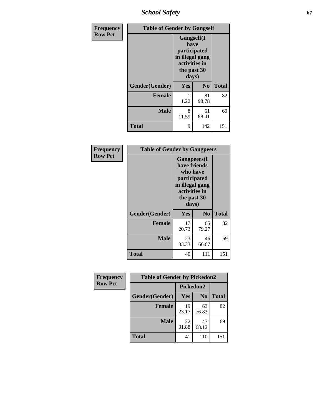*School Safety* **67**

| Frequency      | <b>Table of Gender by Gangself</b> |                                                                                                        |                |              |
|----------------|------------------------------------|--------------------------------------------------------------------------------------------------------|----------------|--------------|
| <b>Row Pct</b> |                                    | <b>Gangself</b> (I<br>have<br>participated<br>in illegal gang<br>activities in<br>the past 30<br>days) |                |              |
|                | Gender(Gender)                     | Yes                                                                                                    | N <sub>0</sub> | <b>Total</b> |
|                | <b>Female</b>                      | 1<br>1.22                                                                                              | 81<br>98.78    | 82           |
|                | <b>Male</b>                        | 8<br>11.59                                                                                             | 61<br>88.41    | 69           |
|                | <b>Total</b>                       | 9                                                                                                      | 142            | 151          |

| Frequency      | <b>Table of Gender by Gangpeers</b> |                                                                                                                             |                |              |  |
|----------------|-------------------------------------|-----------------------------------------------------------------------------------------------------------------------------|----------------|--------------|--|
| <b>Row Pct</b> |                                     | <b>Gangpeers</b> (I<br>have friends<br>who have<br>participated<br>in illegal gang<br>activities in<br>the past 30<br>days) |                |              |  |
|                | Gender(Gender)                      | <b>Yes</b>                                                                                                                  | N <sub>0</sub> | <b>Total</b> |  |
|                | <b>Female</b>                       | 17<br>20.73                                                                                                                 | 65<br>79.27    | 82           |  |
|                | <b>Male</b>                         | 23<br>33.33                                                                                                                 | 46<br>66.67    | 69           |  |
|                | Total                               | 40                                                                                                                          | 111            | 151          |  |

| Frequency      | <b>Table of Gender by Pickedon2</b> |             |                |              |
|----------------|-------------------------------------|-------------|----------------|--------------|
| <b>Row Pct</b> |                                     | Pickedon2   |                |              |
|                | Gender(Gender)                      | <b>Yes</b>  | N <sub>0</sub> | <b>Total</b> |
|                | <b>Female</b>                       | 19<br>23.17 | 63<br>76.83    | 82           |
|                | <b>Male</b>                         | 22<br>31.88 | 47<br>68.12    | 69           |
|                | <b>Total</b>                        | 41          | 110            | 151          |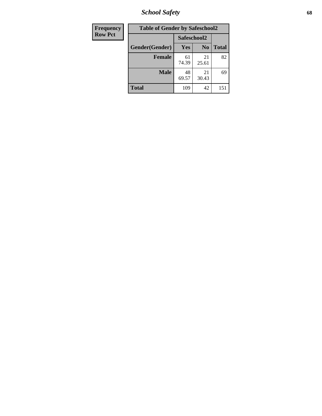*School Safety* **68**

| Frequency      | <b>Table of Gender by Safeschool2</b> |             |                |              |  |
|----------------|---------------------------------------|-------------|----------------|--------------|--|
| <b>Row Pct</b> | Safeschool2                           |             |                |              |  |
|                | Gender(Gender)                        | Yes         | N <sub>0</sub> | <b>Total</b> |  |
|                | <b>Female</b>                         | 61<br>74.39 | 21<br>25.61    | 82           |  |
|                | <b>Male</b>                           | 48<br>69.57 | 21<br>30.43    | 69           |  |
|                | <b>Total</b>                          | 109         | 42             | 151          |  |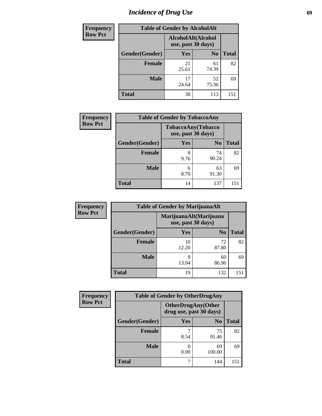# *Incidence of Drug Use* 69

| <b>Frequency</b> | <b>Table of Gender by AlcoholAlt</b>     |             |                |              |  |
|------------------|------------------------------------------|-------------|----------------|--------------|--|
| <b>Row Pct</b>   | AlcoholAlt(Alcohol<br>use, past 30 days) |             |                |              |  |
|                  | Gender(Gender)                           | <b>Yes</b>  | N <sub>0</sub> | <b>Total</b> |  |
|                  | <b>Female</b>                            | 21<br>25.61 | 61<br>74.39    | 82           |  |
|                  | <b>Male</b>                              | 17<br>24.64 | 52<br>75.36    | 69           |  |
|                  | <b>Total</b>                             | 38          | 113            | 151          |  |

| <b>Frequency</b> | <b>Table of Gender by TobaccoAny</b> |                    |                    |              |
|------------------|--------------------------------------|--------------------|--------------------|--------------|
| <b>Row Pct</b>   |                                      | use, past 30 days) | TobaccoAny(Tobacco |              |
|                  | Gender(Gender)                       | Yes                | N <sub>0</sub>     | <b>Total</b> |
|                  | <b>Female</b>                        | 8<br>9.76          | 74<br>90.24        | 82           |
|                  | <b>Male</b>                          | 6<br>8.70          | 63<br>91.30        | 69           |
|                  | <b>Total</b>                         | 14                 | 137                | 151          |

| <b>Frequency</b> | <b>Table of Gender by MarijuanaAlt</b> |             |                                              |              |
|------------------|----------------------------------------|-------------|----------------------------------------------|--------------|
| <b>Row Pct</b>   |                                        |             | MarijuanaAlt(Marijuana<br>use, past 30 days) |              |
|                  | Gender(Gender)                         | <b>Yes</b>  | N <sub>0</sub>                               | <b>Total</b> |
|                  | Female                                 | 10<br>12.20 | 72<br>87.80                                  | 82           |
|                  | <b>Male</b>                            | 9<br>13.04  | 60<br>86.96                                  | 69           |
|                  | <b>Total</b>                           | 19          | 132                                          | 151          |

| <b>Frequency</b> | <b>Table of Gender by OtherDrugAny</b> |                         |                           |              |
|------------------|----------------------------------------|-------------------------|---------------------------|--------------|
| <b>Row Pct</b>   |                                        | drug use, past 30 days) | <b>OtherDrugAny(Other</b> |              |
|                  | Gender(Gender)                         | <b>Yes</b>              | N <sub>0</sub>            | <b>Total</b> |
|                  | <b>Female</b>                          | 8.54                    | 75<br>91.46               | 82           |
|                  | <b>Male</b>                            | 0.00                    | 69<br>100.00              | 69           |
|                  | <b>Total</b>                           | 7                       | 144                       | 151          |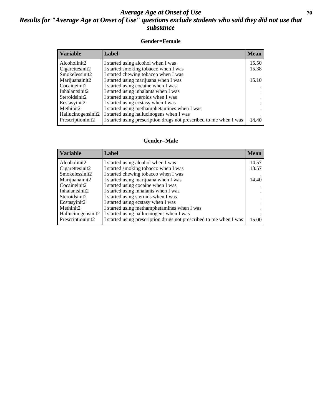### *Average Age at Onset of Use* **70** *Results for "Average Age at Onset of Use" questions exclude students who said they did not use that substance*

### **Gender=Female**

| <b>Variable</b>    | <b>Label</b>                                                       | <b>Mean</b> |
|--------------------|--------------------------------------------------------------------|-------------|
| Alcoholinit2       | I started using alcohol when I was                                 | 15.50       |
| Cigarettesinit2    | I started smoking tobacco when I was                               | 15.38       |
| Smokelessinit2     | I started chewing tobacco when I was                               |             |
| Marijuanainit2     | I started using marijuana when I was                               | 15.10       |
| Cocaineinit2       | I started using cocaine when I was                                 |             |
| Inhalantsinit2     | I started using inhalants when I was                               |             |
| Steroidsinit2      | I started using steroids when I was                                |             |
| Ecstasyinit2       | I started using ecstasy when I was                                 |             |
| Methinit2          | I started using methamphetamines when I was                        |             |
| Hallucinogensinit2 | I started using hallucinogens when I was                           |             |
| Prescription in t2 | I started using prescription drugs not prescribed to me when I was | 14.40       |

### **Gender=Male**

| <b>Variable</b>                 | Label                                                              | <b>Mean</b> |
|---------------------------------|--------------------------------------------------------------------|-------------|
| Alcoholinit2                    | I started using alcohol when I was                                 | 14.57       |
| Cigarettesinit2                 | I started smoking tobacco when I was                               | 13.57       |
| Smokelessinit2                  | I started chewing tobacco when I was                               |             |
| Marijuanainit2                  | I started using marijuana when I was                               | 14.40       |
| Cocaineinit2                    | I started using cocaine when I was                                 |             |
| Inhalantsinit2                  | I started using inhalants when I was                               |             |
| Steroidsinit2                   | I started using steroids when I was                                |             |
| Ecstasyinit2                    | I started using ecstasy when I was                                 |             |
| Methinit2                       | I started using methamphetamines when I was                        |             |
| Hallucinogensinit2              | I started using hallucinogens when I was                           |             |
| Prescription in it <sub>2</sub> | I started using prescription drugs not prescribed to me when I was | 15.00       |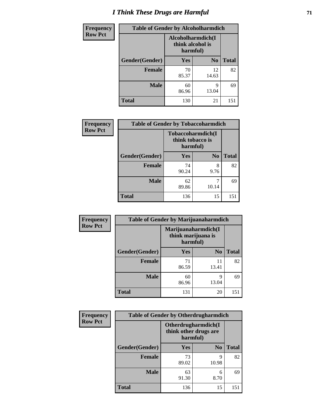# *I Think These Drugs are Harmful* **71**

| <b>Frequency</b> | <b>Table of Gender by Alcoholharmdich</b> |                                                   |                |              |
|------------------|-------------------------------------------|---------------------------------------------------|----------------|--------------|
| <b>Row Pct</b>   |                                           | Alcoholharmdich(I<br>think alcohol is<br>harmful) |                |              |
|                  | Gender(Gender)                            | <b>Yes</b>                                        | N <sub>0</sub> | <b>Total</b> |
|                  | <b>Female</b>                             | 70<br>85.37                                       | 12<br>14.63    | 82           |
|                  | <b>Male</b>                               | 60<br>86.96                                       | q<br>13.04     | 69           |
|                  | <b>Total</b>                              | 130                                               | 21             | 151          |

| Frequency      | <b>Table of Gender by Tobaccoharmdich</b> |                  |                               |              |
|----------------|-------------------------------------------|------------------|-------------------------------|--------------|
| <b>Row Pct</b> |                                           | think tobacco is | Tobaccoharmdich(I<br>harmful) |              |
|                | Gender(Gender)                            | Yes              | N <sub>0</sub>                | <b>Total</b> |
|                | <b>Female</b>                             | 74<br>90.24      | 8<br>9.76                     | 82           |
|                | <b>Male</b>                               | 62<br>89.86      | 10.14                         | 69           |
|                | <b>Total</b>                              | 136              | 15                            | 151          |

| Frequency      | <b>Table of Gender by Marijuanaharmdich</b> |                                                       |                |              |
|----------------|---------------------------------------------|-------------------------------------------------------|----------------|--------------|
| <b>Row Pct</b> |                                             | Marijuanaharmdich(I<br>think marijuana is<br>harmful) |                |              |
|                | Gender(Gender)                              | <b>Yes</b>                                            | N <sub>0</sub> | <b>Total</b> |
|                | <b>Female</b>                               | 71<br>86.59                                           | 11<br>13.41    | 82           |
|                | <b>Male</b>                                 | 60<br>86.96                                           | 9<br>13.04     | 69           |
|                | <b>Total</b>                                | 131                                                   | 20             | 151          |

| Frequency      | <b>Table of Gender by Otherdrugharmdich</b> |                                                          |                |              |
|----------------|---------------------------------------------|----------------------------------------------------------|----------------|--------------|
| <b>Row Pct</b> |                                             | Otherdrugharmdich(I<br>think other drugs are<br>harmful) |                |              |
|                | Gender(Gender)                              | <b>Yes</b>                                               | N <sub>0</sub> | <b>Total</b> |
|                | <b>Female</b>                               | 73<br>89.02                                              | 9<br>10.98     | 82           |
|                | <b>Male</b>                                 | 63<br>91.30                                              | 6<br>8.70      | 69           |
|                | <b>Total</b>                                | 136                                                      | 15             | 151          |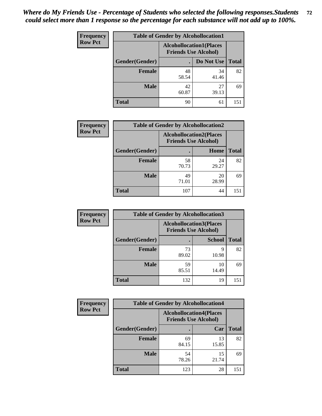| <b>Frequency</b> | <b>Table of Gender by Alcohollocation1</b> |                                                               |             |              |
|------------------|--------------------------------------------|---------------------------------------------------------------|-------------|--------------|
| <b>Row Pct</b>   |                                            | <b>Alcohollocation1(Places</b><br><b>Friends Use Alcohol)</b> |             |              |
|                  | Gender(Gender)                             |                                                               | Do Not Use  | <b>Total</b> |
|                  | <b>Female</b>                              | 48<br>58.54                                                   | 34<br>41.46 | 82           |
|                  | <b>Male</b>                                | 42<br>60.87                                                   | 27<br>39.13 | 69           |
|                  | Total                                      | 90                                                            | 61          | 151          |

| <b>Frequency</b> | <b>Table of Gender by Alcohollocation2</b> |                                                               |             |              |
|------------------|--------------------------------------------|---------------------------------------------------------------|-------------|--------------|
| <b>Row Pct</b>   |                                            | <b>Alcohollocation2(Places</b><br><b>Friends Use Alcohol)</b> |             |              |
|                  | Gender(Gender)                             |                                                               | Home        | <b>Total</b> |
|                  | <b>Female</b>                              | 58<br>70.73                                                   | 24<br>29.27 | 82           |
|                  | <b>Male</b>                                | 49<br>71.01                                                   | 20<br>28.99 | 69           |
|                  | <b>Total</b>                               | 107                                                           | 44          | 151          |

| Frequency      | <b>Table of Gender by Alcohollocation3</b> |                                                               |               |              |
|----------------|--------------------------------------------|---------------------------------------------------------------|---------------|--------------|
| <b>Row Pct</b> |                                            | <b>Alcohollocation3(Places</b><br><b>Friends Use Alcohol)</b> |               |              |
|                | Gender(Gender)                             |                                                               | <b>School</b> | <b>Total</b> |
|                | <b>Female</b>                              | 73<br>89.02                                                   | q<br>10.98    | 82           |
|                | <b>Male</b>                                | 59<br>85.51                                                   | 10<br>14.49   | 69           |
|                | <b>Total</b>                               | 132                                                           | 19            | 151          |

| <b>Frequency</b> | <b>Table of Gender by Alcohollocation4</b> |                                                               |             |              |
|------------------|--------------------------------------------|---------------------------------------------------------------|-------------|--------------|
| <b>Row Pct</b>   |                                            | <b>Alcohollocation4(Places</b><br><b>Friends Use Alcohol)</b> |             |              |
|                  | Gender(Gender)                             |                                                               | Car         | <b>Total</b> |
|                  | <b>Female</b>                              | 69<br>84.15                                                   | 13<br>15.85 | 82           |
|                  | <b>Male</b>                                | 54<br>78.26                                                   | 15<br>21.74 | 69           |
|                  | <b>Total</b>                               | 123                                                           | 28          | $15^{\circ}$ |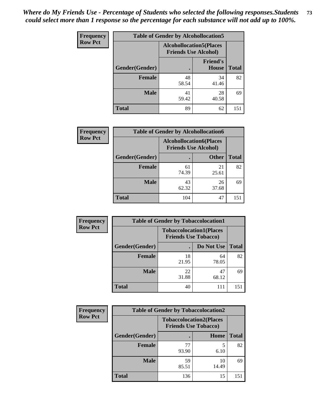| <b>Frequency</b> |                | <b>Table of Gender by Alcohollocation5</b> |                                                                |              |
|------------------|----------------|--------------------------------------------|----------------------------------------------------------------|--------------|
| <b>Row Pct</b>   |                |                                            | <b>Alcohollocation5</b> (Places<br><b>Friends Use Alcohol)</b> |              |
|                  | Gender(Gender) | $\bullet$                                  | <b>Friend's</b><br><b>House</b>                                | <b>Total</b> |
|                  | <b>Female</b>  | 48<br>58.54                                | 34<br>41.46                                                    | 82           |
|                  | <b>Male</b>    | 41<br>59.42                                | 28<br>40.58                                                    | 69           |
|                  | <b>Total</b>   | 89                                         | 62                                                             | 151          |

| Frequency      | <b>Table of Gender by Alcohollocation6</b> |                                                               |              |              |  |
|----------------|--------------------------------------------|---------------------------------------------------------------|--------------|--------------|--|
| <b>Row Pct</b> |                                            | <b>Alcohollocation6(Places</b><br><b>Friends Use Alcohol)</b> |              |              |  |
|                | Gender(Gender)                             |                                                               | <b>Other</b> | <b>Total</b> |  |
|                | <b>Female</b>                              | 61<br>74.39                                                   | 21<br>25.61  | 82           |  |
|                | <b>Male</b>                                | 43<br>62.32                                                   | 26<br>37.68  | 69           |  |
|                | <b>Total</b>                               | 104                                                           | 47           | 151          |  |

| Frequency      | <b>Table of Gender by Tobaccolocation1</b>                    |             |             |              |  |
|----------------|---------------------------------------------------------------|-------------|-------------|--------------|--|
| <b>Row Pct</b> | <b>Tobaccolocation1(Places</b><br><b>Friends Use Tobacco)</b> |             |             |              |  |
|                | Gender(Gender)                                                |             | Do Not Use  | <b>Total</b> |  |
|                | Female                                                        | 18<br>21.95 | 64<br>78.05 | 82           |  |
|                | <b>Male</b>                                                   | 22<br>31.88 | 47<br>68.12 | 69           |  |
|                | <b>Total</b>                                                  | 40          | 111         | 151          |  |

| <b>Frequency</b> |                | <b>Table of Gender by Tobaccolocation2</b> |                                |              |
|------------------|----------------|--------------------------------------------|--------------------------------|--------------|
| <b>Row Pct</b>   |                | <b>Friends Use Tobacco)</b>                | <b>Tobaccolocation2(Places</b> |              |
|                  | Gender(Gender) |                                            | Home                           | <b>Total</b> |
|                  | Female         | 77<br>93.90                                | 6.10                           | 82           |
|                  | <b>Male</b>    | 59<br>85.51                                | 10<br>14.49                    | 69           |
|                  | <b>Total</b>   | 136                                        | 15                             | 151          |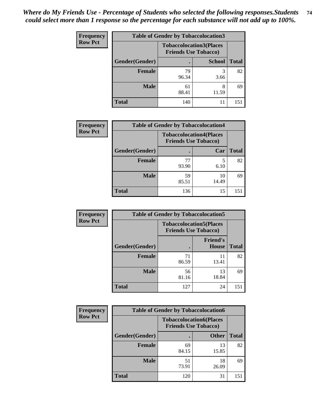| <b>Frequency</b> | <b>Table of Gender by Tobaccolocation3</b> |             |                                                               |              |  |
|------------------|--------------------------------------------|-------------|---------------------------------------------------------------|--------------|--|
| <b>Row Pct</b>   |                                            |             | <b>Tobaccolocation3(Places</b><br><b>Friends Use Tobacco)</b> |              |  |
|                  | Gender(Gender)                             |             | <b>School</b>                                                 | <b>Total</b> |  |
|                  | <b>Female</b>                              | 79<br>96.34 | 3.66                                                          | 82           |  |
|                  | <b>Male</b>                                | 61<br>88.41 | 8<br>11.59                                                    | 69           |  |
|                  | Total                                      | 140         | 11                                                            | 151          |  |

| <b>Frequency</b> | <b>Table of Gender by Tobaccolocation4</b> |             |                                                               |              |
|------------------|--------------------------------------------|-------------|---------------------------------------------------------------|--------------|
| <b>Row Pct</b>   |                                            |             | <b>Tobaccolocation4(Places</b><br><b>Friends Use Tobacco)</b> |              |
|                  | Gender(Gender)                             |             | Car                                                           | <b>Total</b> |
|                  | <b>Female</b>                              | 77<br>93.90 | 5<br>6.10                                                     | 82           |
|                  | <b>Male</b>                                | 59<br>85.51 | 10<br>14.49                                                   | 69           |
|                  | <b>Total</b>                               | 136         | 15                                                            | 151          |

| <b>Frequency</b> | <b>Table of Gender by Tobaccolocation5</b>                    |             |                          |              |
|------------------|---------------------------------------------------------------|-------------|--------------------------|--------------|
| <b>Row Pct</b>   | <b>Tobaccolocation5(Places</b><br><b>Friends Use Tobacco)</b> |             |                          |              |
|                  | Gender(Gender)                                                |             | <b>Friend's</b><br>House | <b>Total</b> |
|                  | Female                                                        | 71<br>86.59 | 11<br>13.41              | 82           |
|                  | <b>Male</b>                                                   | 56<br>81.16 | 13<br>18.84              | 69           |
|                  | <b>Total</b>                                                  | 127         | 24                       | 151          |

| <b>Frequency</b> |                | <b>Table of Gender by Tobaccolocation6</b> |                                                               |              |
|------------------|----------------|--------------------------------------------|---------------------------------------------------------------|--------------|
| <b>Row Pct</b>   |                |                                            | <b>Tobaccolocation6(Places</b><br><b>Friends Use Tobacco)</b> |              |
|                  | Gender(Gender) |                                            | <b>Other</b>                                                  | <b>Total</b> |
|                  | Female         | 69<br>84.15                                | 13<br>15.85                                                   | 82           |
|                  | <b>Male</b>    | 51<br>73.91                                | 18<br>26.09                                                   | 69           |
|                  | <b>Total</b>   | 120                                        | 31                                                            | 151          |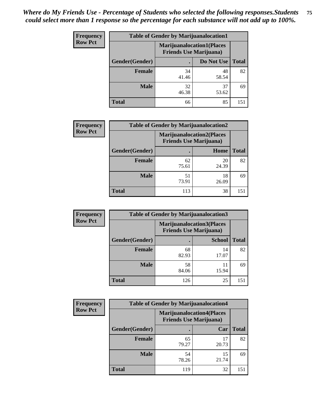| <b>Frequency</b> | <b>Table of Gender by Marijuanalocation1</b> |                                                                    |             |              |  |
|------------------|----------------------------------------------|--------------------------------------------------------------------|-------------|--------------|--|
| <b>Row Pct</b>   |                                              | <b>Marijuanalocation1(Places</b><br><b>Friends Use Marijuana</b> ) |             |              |  |
|                  | Gender(Gender)                               |                                                                    | Do Not Use  | <b>Total</b> |  |
|                  | <b>Female</b>                                | 34<br>41.46                                                        | 48<br>58.54 | 82           |  |
|                  | <b>Male</b>                                  | 32<br>46.38                                                        | 37<br>53.62 | 69           |  |
|                  | Total                                        | 66                                                                 | 85          | 151          |  |

| <b>Frequency</b> | <b>Table of Gender by Marijuanalocation2</b> |             |                                                                    |              |
|------------------|----------------------------------------------|-------------|--------------------------------------------------------------------|--------------|
| <b>Row Pct</b>   |                                              |             | <b>Marijuanalocation2(Places</b><br><b>Friends Use Marijuana</b> ) |              |
|                  | Gender(Gender)                               |             | Home                                                               | <b>Total</b> |
|                  | <b>Female</b>                                | 62<br>75.61 | 20<br>24.39                                                        | 82           |
|                  | <b>Male</b>                                  | 51<br>73.91 | 18<br>26.09                                                        | 69           |
|                  | <b>Total</b>                                 | 113         | 38                                                                 | 151          |

| Frequency      | <b>Table of Gender by Marijuanalocation3</b> |                                                                    |               |              |
|----------------|----------------------------------------------|--------------------------------------------------------------------|---------------|--------------|
| <b>Row Pct</b> |                                              | <b>Marijuanalocation3(Places</b><br><b>Friends Use Marijuana</b> ) |               |              |
|                | Gender(Gender)                               |                                                                    | <b>School</b> | <b>Total</b> |
|                | Female                                       | 68<br>82.93                                                        | 14<br>17.07   | 82           |
|                | <b>Male</b>                                  | 58<br>84.06                                                        | 11<br>15.94   | 69           |
|                | <b>Total</b>                                 | 126                                                                | 25            | 151          |

| <b>Frequency</b> |                | <b>Table of Gender by Marijuanalocation4</b> |                                  |              |
|------------------|----------------|----------------------------------------------|----------------------------------|--------------|
| <b>Row Pct</b>   |                | <b>Friends Use Marijuana</b> )               | <b>Marijuanalocation4(Places</b> |              |
|                  | Gender(Gender) |                                              | Car                              | <b>Total</b> |
|                  | Female         | 65<br>79.27                                  | 20.73                            | 82           |
|                  | <b>Male</b>    | 54<br>78.26                                  | 15<br>21.74                      | 69           |
|                  | <b>Total</b>   | 119                                          | 32                               | $15^{\circ}$ |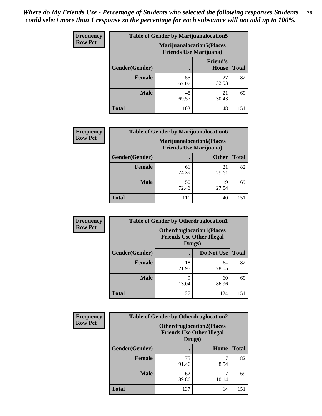| Frequency      | <b>Table of Gender by Marijuanalocation5</b> |                                                                     |                          |              |
|----------------|----------------------------------------------|---------------------------------------------------------------------|--------------------------|--------------|
| <b>Row Pct</b> |                                              | <b>Marijuanalocation5</b> (Places<br><b>Friends Use Marijuana</b> ) |                          |              |
|                | Gender(Gender)                               |                                                                     | <b>Friend's</b><br>House | <b>Total</b> |
|                | Female                                       | 55<br>67.07                                                         | 27<br>32.93              | 82           |
|                | <b>Male</b>                                  | 48<br>69.57                                                         | 21<br>30.43              | 69           |
|                | <b>Total</b>                                 | 103                                                                 | 48                       | 151          |

| <b>Frequency</b> | <b>Table of Gender by Marijuanalocation6</b> |                                |                                  |              |
|------------------|----------------------------------------------|--------------------------------|----------------------------------|--------------|
| <b>Row Pct</b>   |                                              | <b>Friends Use Marijuana</b> ) | <b>Marijuanalocation6(Places</b> |              |
|                  | <b>Gender</b> (Gender)                       |                                | <b>Other</b>                     | <b>Total</b> |
|                  | <b>Female</b>                                | 61<br>74.39                    | 21<br>25.61                      | 82           |
|                  | <b>Male</b>                                  | 50<br>72.46                    | 19<br>27.54                      | 69           |
|                  | <b>Total</b>                                 | 111                            | 40                               | 151          |

| <b>Frequency</b> | <b>Table of Gender by Otherdruglocation1</b> |                                                                                |             |              |
|------------------|----------------------------------------------|--------------------------------------------------------------------------------|-------------|--------------|
| <b>Row Pct</b>   |                                              | <b>Otherdruglocation1(Places</b><br><b>Friends Use Other Illegal</b><br>Drugs) |             |              |
|                  | Gender(Gender)                               |                                                                                | Do Not Use  | <b>Total</b> |
|                  | Female                                       | 18<br>21.95                                                                    | 64<br>78.05 | 82           |
|                  | <b>Male</b>                                  | Q<br>13.04                                                                     | 60<br>86.96 | 69           |
|                  | <b>Total</b>                                 | 27                                                                             | 124         | 151          |

| <b>Frequency</b> | <b>Table of Gender by Otherdruglocation2</b> |                                            |                                  |              |
|------------------|----------------------------------------------|--------------------------------------------|----------------------------------|--------------|
| <b>Row Pct</b>   |                                              | <b>Friends Use Other Illegal</b><br>Drugs) | <b>Otherdruglocation2(Places</b> |              |
|                  | Gender(Gender)                               |                                            | Home                             | <b>Total</b> |
|                  | Female                                       | 75<br>91.46                                | 8.54                             | 82           |
|                  | <b>Male</b>                                  | 62<br>89.86                                | 10.14                            | 69           |
|                  | <b>Total</b>                                 | 137                                        | 14                               | 151          |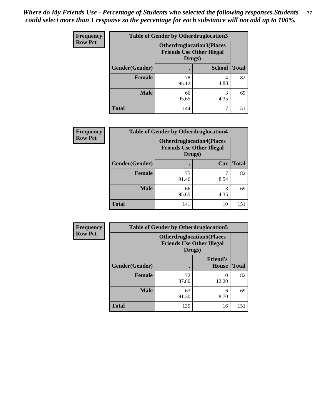| <b>Frequency</b> | <b>Table of Gender by Otherdruglocation3</b> |                                                                                |               |              |
|------------------|----------------------------------------------|--------------------------------------------------------------------------------|---------------|--------------|
| <b>Row Pct</b>   |                                              | <b>Otherdruglocation3(Places</b><br><b>Friends Use Other Illegal</b><br>Drugs) |               |              |
|                  | Gender(Gender)                               |                                                                                | <b>School</b> | <b>Total</b> |
|                  | Female                                       | 78<br>95.12                                                                    | 4.88          | 82           |
|                  | <b>Male</b>                                  | 66<br>95.65                                                                    | 3<br>4.35     | 69           |
|                  | <b>Total</b>                                 | 144                                                                            |               | 151          |

| Frequency      | <b>Table of Gender by Otherdruglocation4</b> |                                            |                                  |              |
|----------------|----------------------------------------------|--------------------------------------------|----------------------------------|--------------|
| <b>Row Pct</b> |                                              | <b>Friends Use Other Illegal</b><br>Drugs) | <b>Otherdruglocation4(Places</b> |              |
|                | Gender(Gender)                               |                                            | Car                              | <b>Total</b> |
|                | Female                                       | 75<br>91.46                                | 8.54                             | 82           |
|                | <b>Male</b>                                  | 66<br>95.65                                | 3<br>4.35                        | 69           |
|                | <b>Total</b>                                 | 141                                        | 10                               | 151          |

| Frequency      | <b>Table of Gender by Otherdruglocation5</b> |                                                                                |                                 |              |
|----------------|----------------------------------------------|--------------------------------------------------------------------------------|---------------------------------|--------------|
| <b>Row Pct</b> |                                              | <b>Otherdruglocation5(Places</b><br><b>Friends Use Other Illegal</b><br>Drugs) |                                 |              |
|                | Gender(Gender)                               |                                                                                | <b>Friend's</b><br><b>House</b> | <b>Total</b> |
|                | <b>Female</b>                                | 72<br>87.80                                                                    | 10<br>12.20                     | 82           |
|                | <b>Male</b>                                  | 63<br>91.30                                                                    | 6<br>8.70                       | 69           |
|                | <b>Total</b>                                 | 135                                                                            | 16                              | 151          |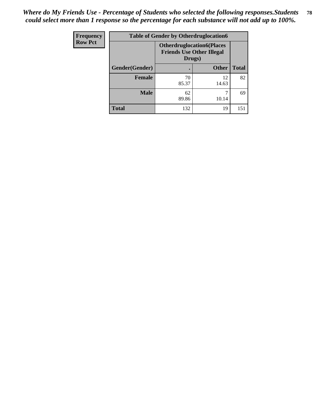| <b>Frequency</b> | <b>Table of Gender by Otherdruglocation6</b> |                                                                                |              |              |
|------------------|----------------------------------------------|--------------------------------------------------------------------------------|--------------|--------------|
| <b>Row Pct</b>   |                                              | <b>Otherdruglocation6(Places</b><br><b>Friends Use Other Illegal</b><br>Drugs) |              |              |
|                  | Gender(Gender)                               |                                                                                | <b>Other</b> | <b>Total</b> |
|                  | Female                                       | 70<br>85.37                                                                    | 12<br>14.63  | 82           |
|                  | <b>Male</b>                                  | 62<br>89.86                                                                    | 10.14        | 69           |
|                  | <b>Total</b>                                 | 132                                                                            | 19           | 151          |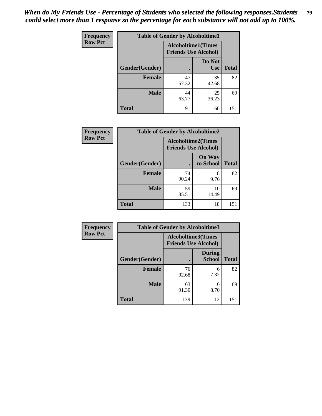| <b>Frequency</b> | <b>Table of Gender by Alcoholtime1</b> |                                                          |                      |              |
|------------------|----------------------------------------|----------------------------------------------------------|----------------------|--------------|
| <b>Row Pct</b>   |                                        | <b>Alcoholtime1(Times</b><br><b>Friends Use Alcohol)</b> |                      |              |
|                  | Gender(Gender)                         | $\bullet$                                                | Do Not<br><b>Use</b> | <b>Total</b> |
|                  | <b>Female</b>                          | 47<br>57.32                                              | 35<br>42.68          | 82           |
|                  | <b>Male</b>                            | 44<br>63.77                                              | 25<br>36.23          | 69           |
|                  | <b>Total</b>                           | 91                                                       | 60                   | 151          |

| <b>Frequency</b> | <b>Table of Gender by Alcoholtime2</b> |                                                          |                            |              |
|------------------|----------------------------------------|----------------------------------------------------------|----------------------------|--------------|
| <b>Row Pct</b>   |                                        | <b>Alcoholtime2(Times</b><br><b>Friends Use Alcohol)</b> |                            |              |
|                  | Gender(Gender)                         |                                                          | <b>On Way</b><br>to School | <b>Total</b> |
|                  | <b>Female</b>                          | 74<br>90.24                                              | 8<br>9.76                  | 82           |
|                  | <b>Male</b>                            | 59<br>85.51                                              | 10<br>14.49                | 69           |
|                  | <b>Total</b>                           | 133                                                      | 18                         | 151          |

| <b>Frequency</b> | <b>Table of Gender by Alcoholtime3</b> |                                                          |                                |              |
|------------------|----------------------------------------|----------------------------------------------------------|--------------------------------|--------------|
| <b>Row Pct</b>   |                                        | <b>Alcoholtime3(Times</b><br><b>Friends Use Alcohol)</b> |                                |              |
|                  | Gender(Gender)                         |                                                          | <b>During</b><br><b>School</b> | <b>Total</b> |
|                  | Female                                 | 76<br>92.68                                              | 6<br>7.32                      | 82           |
|                  | <b>Male</b>                            | 63<br>91.30                                              | 6<br>8.70                      | 69           |
|                  | <b>Total</b>                           | 139                                                      | 12                             | 151          |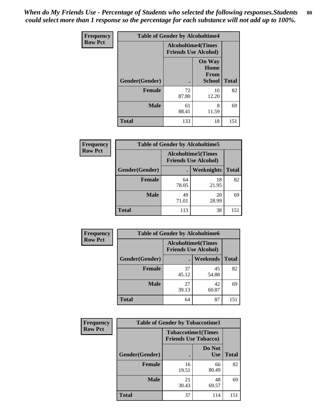*When do My Friends Use - Percentage of Students who selected the following responses.Students could select more than 1 response so the percentage for each substance will not add up to 100%.* **80**

| <b>Frequency</b> | <b>Table of Gender by Alcoholtime4</b> |                                                          |                                                       |              |
|------------------|----------------------------------------|----------------------------------------------------------|-------------------------------------------------------|--------------|
| <b>Row Pct</b>   |                                        | <b>Alcoholtime4(Times</b><br><b>Friends Use Alcohol)</b> |                                                       |              |
|                  | Gender(Gender)                         |                                                          | <b>On Way</b><br>Home<br><b>From</b><br><b>School</b> | <b>Total</b> |
|                  | <b>Female</b>                          | 72<br>87.80                                              | 10<br>12.20                                           | 82           |
|                  | <b>Male</b>                            | 61<br>88.41                                              | 8<br>11.59                                            | 69           |
|                  | <b>Total</b>                           | 133                                                      | 18                                                    | 151          |

| <b>Frequency</b> | <b>Table of Gender by Alcoholtime5</b> |                                                          |                   |              |
|------------------|----------------------------------------|----------------------------------------------------------|-------------------|--------------|
| <b>Row Pct</b>   |                                        | <b>Alcoholtime5(Times</b><br><b>Friends Use Alcohol)</b> |                   |              |
|                  | Gender(Gender)                         |                                                          | <b>Weeknights</b> | <b>Total</b> |
|                  | <b>Female</b>                          | 64<br>78.05                                              | 18<br>21.95       | 82           |
|                  | <b>Male</b>                            | 49<br>71.01                                              | 20<br>28.99       | 69           |
|                  | <b>Total</b>                           | 113                                                      | 38                | 151          |

| <b>Frequency</b> | <b>Table of Gender by Alcoholtime6</b> |                                                           |                 |              |  |
|------------------|----------------------------------------|-----------------------------------------------------------|-----------------|--------------|--|
| <b>Row Pct</b>   |                                        | <b>Alcoholtime6</b> (Times<br><b>Friends Use Alcohol)</b> |                 |              |  |
|                  | Gender(Gender)                         |                                                           | <b>Weekends</b> | <b>Total</b> |  |
|                  | <b>Female</b>                          | 37<br>45.12                                               | 45<br>54.88     | 82           |  |
|                  | <b>Male</b>                            | 27<br>39.13                                               | 42<br>60.87     | 69           |  |
|                  | Total                                  | 64                                                        | 87              | 151          |  |

| <b>Frequency</b> | <b>Table of Gender by Tobaccotime1</b> |                                                          |                      |              |
|------------------|----------------------------------------|----------------------------------------------------------|----------------------|--------------|
| <b>Row Pct</b>   |                                        | <b>Tobaccotime1(Times</b><br><b>Friends Use Tobacco)</b> |                      |              |
|                  | Gender(Gender)                         |                                                          | Do Not<br><b>Use</b> | <b>Total</b> |
|                  | <b>Female</b>                          | 16<br>19.51                                              | 66<br>80.49          | 82           |
|                  | <b>Male</b>                            | 21<br>30.43                                              | 48<br>69.57          | 69           |
|                  | <b>Total</b>                           | 37                                                       | 114                  | 151          |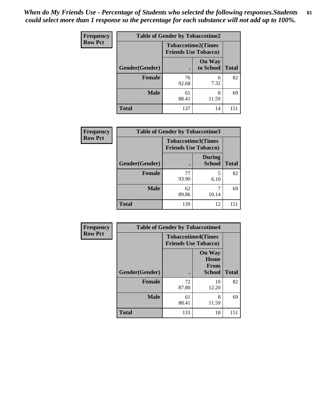| <b>Frequency</b> | <b>Table of Gender by Tobaccotime2</b> |                                                          |                            |              |
|------------------|----------------------------------------|----------------------------------------------------------|----------------------------|--------------|
| <b>Row Pct</b>   |                                        | <b>Tobaccotime2(Times</b><br><b>Friends Use Tobacco)</b> |                            |              |
|                  | Gender(Gender)                         | $\bullet$                                                | <b>On Way</b><br>to School | <b>Total</b> |
|                  | Female                                 | 76<br>92.68                                              | 6<br>7.32                  | 82           |
|                  | <b>Male</b>                            | 61<br>88.41                                              | 8<br>11.59                 | 69           |
|                  | <b>Total</b>                           | 137                                                      | 14                         | 151          |

| <b>Frequency</b> | <b>Table of Gender by Tobaccotime3</b> |                                                          |                                |              |
|------------------|----------------------------------------|----------------------------------------------------------|--------------------------------|--------------|
| <b>Row Pct</b>   |                                        | <b>Tobaccotime3(Times</b><br><b>Friends Use Tobacco)</b> |                                |              |
|                  | Gender(Gender)                         |                                                          | <b>During</b><br><b>School</b> | <b>Total</b> |
|                  | Female                                 | 77<br>93.90                                              | 5<br>6.10                      | 82           |
|                  | <b>Male</b>                            | 62<br>89.86                                              | 10.14                          | 69           |
|                  | <b>Total</b>                           | 139                                                      | 12                             | 151          |

| <b>Frequency</b> | <b>Table of Gender by Tobaccotime4</b> |                                                          |                                                       |              |
|------------------|----------------------------------------|----------------------------------------------------------|-------------------------------------------------------|--------------|
| <b>Row Pct</b>   |                                        | <b>Tobaccotime4(Times</b><br><b>Friends Use Tobacco)</b> |                                                       |              |
|                  | Gender(Gender)                         |                                                          | <b>On Way</b><br>Home<br><b>From</b><br><b>School</b> | <b>Total</b> |
|                  | <b>Female</b>                          | 72<br>87.80                                              | 10<br>12.20                                           | 82           |
|                  | <b>Male</b>                            | 61<br>88.41                                              | 8<br>11.59                                            | 69           |
|                  | <b>Total</b>                           | 133                                                      | 18                                                    | 151          |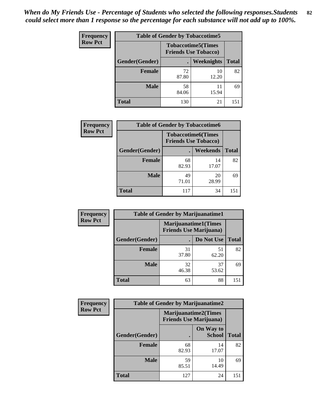| <b>Frequency</b> | <b>Table of Gender by Tobaccotime5</b> |             |                                                           |              |  |
|------------------|----------------------------------------|-------------|-----------------------------------------------------------|--------------|--|
| <b>Row Pct</b>   |                                        |             | <b>Tobaccotime5</b> (Times<br><b>Friends Use Tobacco)</b> |              |  |
|                  | Gender(Gender)                         |             | Weeknights                                                | <b>Total</b> |  |
|                  | <b>Female</b>                          | 72<br>87.80 | 10<br>12.20                                               | 82           |  |
|                  | <b>Male</b>                            | 58<br>84.06 | 11<br>15.94                                               | 69           |  |
|                  | Total                                  | 130         | 21                                                        | 151          |  |

| <b>Frequency</b> | <b>Table of Gender by Tobaccotime6</b> |                                                          |             |              |
|------------------|----------------------------------------|----------------------------------------------------------|-------------|--------------|
| <b>Row Pct</b>   |                                        | <b>Tobaccotime6(Times</b><br><b>Friends Use Tobacco)</b> |             |              |
|                  | Gender(Gender)                         |                                                          | Weekends    | <b>Total</b> |
|                  | Female                                 | 68<br>82.93                                              | 14<br>17.07 | 82           |
|                  | <b>Male</b>                            | 49<br>71.01                                              | 20<br>28.99 | 69           |
|                  | <b>Total</b>                           | 117                                                      | 34          | 151          |

| <b>Frequency</b> | <b>Table of Gender by Marijuanatime1</b> |                                |                             |              |
|------------------|------------------------------------------|--------------------------------|-----------------------------|--------------|
| <b>Row Pct</b>   |                                          | <b>Friends Use Marijuana</b> ) | <b>Marijuanatime1(Times</b> |              |
|                  | Gender(Gender)                           |                                | Do Not Use                  | <b>Total</b> |
|                  | <b>Female</b>                            | 31<br>37.80                    | 51<br>62.20                 | 82           |
|                  | <b>Male</b>                              | 32<br>46.38                    | 37<br>53.62                 | 69           |
|                  | <b>Total</b>                             | 63                             | 88                          | 151          |

| Frequency      | <b>Table of Gender by Marijuanatime2</b> |                                                        |                            |              |
|----------------|------------------------------------------|--------------------------------------------------------|----------------------------|--------------|
| <b>Row Pct</b> |                                          | Marijuanatime2(Times<br><b>Friends Use Marijuana</b> ) |                            |              |
|                | Gender(Gender)                           |                                                        | On Way to<br><b>School</b> | <b>Total</b> |
|                | <b>Female</b>                            | 68<br>82.93                                            | 14<br>17.07                | 82           |
|                | <b>Male</b>                              | 59<br>85.51                                            | 10<br>14.49                | 69           |
|                | <b>Total</b>                             | 127                                                    | 24                         | 151          |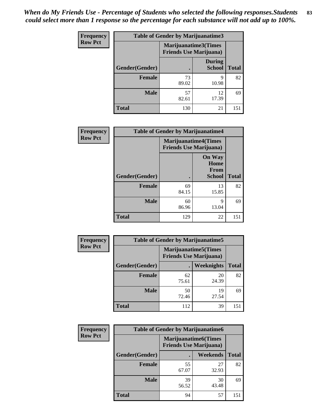*When do My Friends Use - Percentage of Students who selected the following responses.Students could select more than 1 response so the percentage for each substance will not add up to 100%.* **83**

| <b>Frequency</b> | <b>Table of Gender by Marijuanatime3</b> |                                                        |                                |              |
|------------------|------------------------------------------|--------------------------------------------------------|--------------------------------|--------------|
| <b>Row Pct</b>   |                                          | Marijuanatime3(Times<br><b>Friends Use Marijuana</b> ) |                                |              |
|                  | Gender(Gender)                           |                                                        | <b>During</b><br><b>School</b> | <b>Total</b> |
|                  | <b>Female</b>                            | 73<br>89.02                                            | Q<br>10.98                     | 82           |
|                  | <b>Male</b>                              | 57<br>82.61                                            | 12<br>17.39                    | 69           |
|                  | <b>Total</b>                             | 130                                                    | 21                             | 151          |

| Frequency      | <b>Table of Gender by Marijuanatime4</b> |                                                               |                                                |              |
|----------------|------------------------------------------|---------------------------------------------------------------|------------------------------------------------|--------------|
| <b>Row Pct</b> |                                          | <b>Marijuanatime4(Times</b><br><b>Friends Use Marijuana</b> ) |                                                |              |
|                | Gender(Gender)                           |                                                               | <b>On Way</b><br>Home<br>From<br><b>School</b> | <b>Total</b> |
|                | <b>Female</b>                            | 69<br>84.15                                                   | 13<br>15.85                                    | 82           |
|                | <b>Male</b>                              | 60<br>86.96                                                   | 9<br>13.04                                     | 69           |
|                | <b>Total</b>                             | 129                                                           | 22                                             | 151          |

| Frequency      |                | <b>Table of Gender by Marijuanatime5</b>                       |             |              |
|----------------|----------------|----------------------------------------------------------------|-------------|--------------|
| <b>Row Pct</b> |                | <b>Marijuanatime5</b> (Times<br><b>Friends Use Marijuana</b> ) |             |              |
|                | Gender(Gender) |                                                                | Weeknights  | <b>Total</b> |
|                | <b>Female</b>  | 62<br>75.61                                                    | 20<br>24.39 | 82           |
|                | <b>Male</b>    | 50<br>72.46                                                    | 19<br>27.54 | 69           |
|                | <b>Total</b>   | 112                                                            | 39          | 151          |

| Frequency      | <b>Table of Gender by Marijuanatime6</b> |                                                               |                 |              |  |  |
|----------------|------------------------------------------|---------------------------------------------------------------|-----------------|--------------|--|--|
| <b>Row Pct</b> |                                          | <b>Marijuanatime6(Times</b><br><b>Friends Use Marijuana</b> ) |                 |              |  |  |
|                | Gender(Gender)                           |                                                               | <b>Weekends</b> | <b>Total</b> |  |  |
|                | <b>Female</b>                            | 55<br>67.07                                                   | 27<br>32.93     | 82           |  |  |
|                | <b>Male</b>                              | 39<br>56.52                                                   | 30<br>43.48     | 69           |  |  |
|                | <b>Total</b>                             | 94                                                            | 57              | 151          |  |  |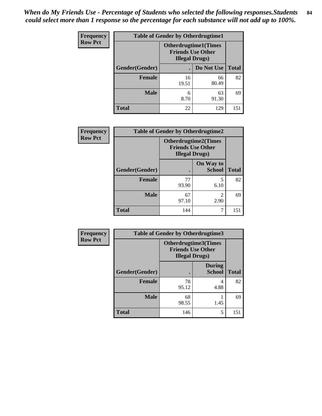| <b>Frequency</b> | <b>Table of Gender by Otherdrugtime1</b> |                                                                                    |             |              |  |  |
|------------------|------------------------------------------|------------------------------------------------------------------------------------|-------------|--------------|--|--|
| <b>Row Pct</b>   |                                          | <b>Otherdrugtime1</b> (Times<br><b>Friends Use Other</b><br><b>Illegal Drugs</b> ) |             |              |  |  |
|                  | Gender(Gender)                           |                                                                                    | Do Not Use  | <b>Total</b> |  |  |
|                  | <b>Female</b>                            | 16<br>19.51                                                                        | 66<br>80.49 | 82           |  |  |
|                  | <b>Male</b>                              | 6<br>8.70                                                                          | 63<br>91.30 | 69           |  |  |
|                  | <b>Total</b>                             | 22                                                                                 | 129         | 151          |  |  |

| Frequency      | <b>Table of Gender by Otherdrugtime2</b> |                                                                                   |                            |              |  |  |  |
|----------------|------------------------------------------|-----------------------------------------------------------------------------------|----------------------------|--------------|--|--|--|
| <b>Row Pct</b> |                                          | <b>Otherdrugtime2(Times</b><br><b>Friends Use Other</b><br><b>Illegal Drugs</b> ) |                            |              |  |  |  |
|                | Gender(Gender)                           |                                                                                   | On Way to<br><b>School</b> | <b>Total</b> |  |  |  |
|                | <b>Female</b>                            | 77<br>93.90                                                                       | 5<br>6.10                  | 82           |  |  |  |
|                | <b>Male</b>                              | 67<br>97.10                                                                       | $\mathfrak{D}$<br>2.90     | 69           |  |  |  |
|                | <b>Total</b>                             | 144                                                                               | 7                          | 151          |  |  |  |

| Frequency      |                | <b>Table of Gender by Otherdrugtime3</b>                                         |                                |              |
|----------------|----------------|----------------------------------------------------------------------------------|--------------------------------|--------------|
| <b>Row Pct</b> |                | <b>Otherdrugtime3(Times</b><br><b>Friends Use Other</b><br><b>Illegal Drugs)</b> |                                |              |
|                | Gender(Gender) |                                                                                  | <b>During</b><br><b>School</b> | <b>Total</b> |
|                | <b>Female</b>  | 78<br>95.12                                                                      | 4<br>4.88                      | 82           |
|                | <b>Male</b>    | 68<br>98.55                                                                      | 1.45                           | 69           |
|                | <b>Total</b>   | 146                                                                              | 5                              | 151          |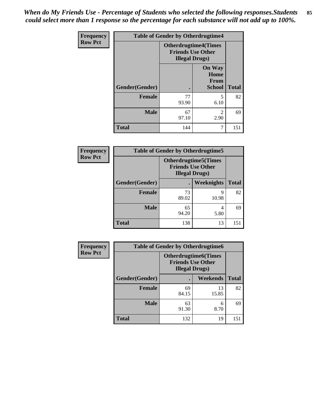*When do My Friends Use - Percentage of Students who selected the following responses.Students could select more than 1 response so the percentage for each substance will not add up to 100%.* **85**

| <b>Frequency</b> | <b>Table of Gender by Otherdrugtime4</b> |                                                                                   |                                         |              |  |  |
|------------------|------------------------------------------|-----------------------------------------------------------------------------------|-----------------------------------------|--------------|--|--|
| <b>Row Pct</b>   |                                          | <b>Otherdrugtime4(Times</b><br><b>Friends Use Other</b><br><b>Illegal Drugs</b> ) |                                         |              |  |  |
|                  | <b>Gender</b> (Gender)                   |                                                                                   | <b>On Way</b><br>Home<br>From<br>School | <b>Total</b> |  |  |
|                  | <b>Female</b>                            | 77<br>93.90                                                                       | 5<br>6.10                               | 82           |  |  |
|                  | <b>Male</b>                              | 67<br>97.10                                                                       | $\mathfrak{D}$<br>2.90                  | 69           |  |  |
|                  | <b>Total</b>                             | 144                                                                               |                                         | 151          |  |  |

| <b>Frequency</b> |                | <b>Table of Gender by Otherdrugtime5</b>                                          |            |              |  |  |
|------------------|----------------|-----------------------------------------------------------------------------------|------------|--------------|--|--|
| <b>Row Pct</b>   |                | <b>Otherdrugtime5</b> (Times<br><b>Friends Use Other</b><br><b>Illegal Drugs)</b> |            |              |  |  |
|                  | Gender(Gender) |                                                                                   | Weeknights | <b>Total</b> |  |  |
|                  | <b>Female</b>  | 73<br>89.02                                                                       | q<br>10.98 | 82           |  |  |
|                  | <b>Male</b>    | 65<br>94.20                                                                       | 4<br>5.80  | 69           |  |  |
|                  | <b>Total</b>   | 138                                                                               | 13         | 151          |  |  |

| <b>Frequency</b> | <b>Table of Gender by Otherdrugtime6</b> |                                                                                   |             |              |  |  |
|------------------|------------------------------------------|-----------------------------------------------------------------------------------|-------------|--------------|--|--|
| <b>Row Pct</b>   |                                          | <b>Otherdrugtime6(Times</b><br><b>Friends Use Other</b><br><b>Illegal Drugs</b> ) |             |              |  |  |
|                  | Gender(Gender)                           |                                                                                   | Weekends    | <b>Total</b> |  |  |
|                  | <b>Female</b>                            | 69<br>84.15                                                                       | 13<br>15.85 | 82           |  |  |
|                  | <b>Male</b>                              | 63<br>91.30                                                                       | 6<br>8.70   | 69           |  |  |
|                  | <b>Total</b>                             | 132                                                                               | 19          | 151          |  |  |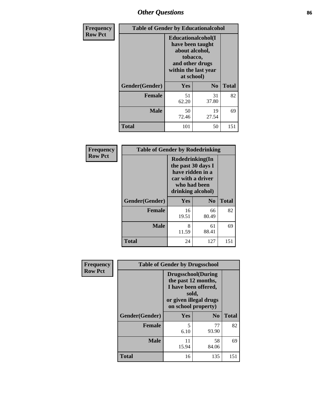# *Other Questions* **86**

| <b>Frequency</b> | <b>Table of Gender by Educationalcohol</b> |                                                                                                                                       |                |              |  |
|------------------|--------------------------------------------|---------------------------------------------------------------------------------------------------------------------------------------|----------------|--------------|--|
| <b>Row Pct</b>   |                                            | <b>Educationalcohol</b> (I<br>have been taught<br>about alcohol,<br>tobacco,<br>and other drugs<br>within the last year<br>at school) |                |              |  |
|                  | Gender(Gender)                             | <b>Yes</b>                                                                                                                            | N <sub>0</sub> | <b>Total</b> |  |
|                  | <b>Female</b>                              | 51<br>62.20                                                                                                                           | 31<br>37.80    | 82           |  |
|                  | <b>Male</b>                                | 50<br>72.46                                                                                                                           | 19<br>27.54    | 69           |  |
|                  | <b>Total</b>                               | 101                                                                                                                                   | 50             | 151          |  |

| Frequency      | <b>Table of Gender by Rodedrinking</b> |                                                                                                                     |             |              |  |  |
|----------------|----------------------------------------|---------------------------------------------------------------------------------------------------------------------|-------------|--------------|--|--|
| <b>Row Pct</b> |                                        | Rodedrinking(In<br>the past 30 days I<br>have ridden in a<br>car with a driver<br>who had been<br>drinking alcohol) |             |              |  |  |
|                | Gender(Gender)                         | Yes                                                                                                                 | $\bf N_0$   | <b>Total</b> |  |  |
|                | <b>Female</b>                          | 16<br>19.51                                                                                                         | 66<br>80.49 | 82           |  |  |
|                | <b>Male</b>                            | 8<br>11.59                                                                                                          | 61<br>88.41 | 69           |  |  |
|                | <b>Total</b>                           | 24                                                                                                                  | 127         | 151          |  |  |

| Frequency      | <b>Table of Gender by Drugsschool</b> |                                                                                                                                     |                |              |  |
|----------------|---------------------------------------|-------------------------------------------------------------------------------------------------------------------------------------|----------------|--------------|--|
| <b>Row Pct</b> |                                       | <b>Drugsschool</b> (During<br>the past 12 months,<br>I have been offered,<br>sold,<br>or given illegal drugs<br>on school property) |                |              |  |
|                | Gender(Gender)                        | <b>Yes</b>                                                                                                                          | N <sub>0</sub> | <b>Total</b> |  |
|                | <b>Female</b>                         | 5<br>6.10                                                                                                                           | 77<br>93.90    | 82           |  |
|                | <b>Male</b>                           | 11<br>15.94                                                                                                                         | 58<br>84.06    | 69           |  |
|                | <b>Total</b>                          | 16                                                                                                                                  | 135            | 151          |  |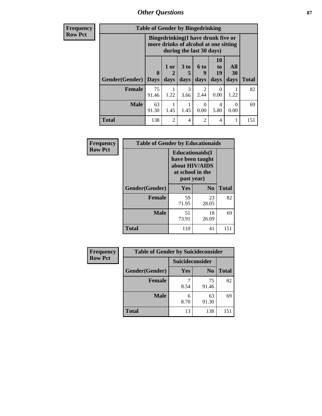*Other Questions* **87**

**Frequency Row Pct**

| <b>Table of Gender by Bingedrinking</b> |                         |                                                                                                         |                   |                          |                        |                   |              |
|-----------------------------------------|-------------------------|---------------------------------------------------------------------------------------------------------|-------------------|--------------------------|------------------------|-------------------|--------------|
|                                         |                         | Bingedrinking(I have drunk five or<br>more drinks of alcohol at one sitting<br>during the last 30 days) |                   |                          |                        |                   |              |
| <b>Gender</b> (Gender)                  | $\bf{0}$<br><b>Days</b> | 1 or<br>days                                                                                            | 3 to<br>5<br>days | <b>6 to</b><br>9<br>days | 10<br>to<br>19<br>days | All<br>30<br>days | <b>Total</b> |
| <b>Female</b>                           | 75<br>91.46             | 1.22                                                                                                    | 3<br>3.66         | 2<br>2.44                | 0<br>0.00              | 1.22              | 82           |
| <b>Male</b>                             | 63<br>91.30             | 1.45                                                                                                    | 1.45              | $\theta$<br>0.00         | 4<br>5.80              | 0<br>0.00         | 69           |
| <b>Total</b>                            | 138                     | 2                                                                                                       | $\overline{4}$    | 2                        | 4                      |                   | 151          |

| Frequency      | <b>Table of Gender by Educationaids</b> |                                                                                                 |             |              |
|----------------|-----------------------------------------|-------------------------------------------------------------------------------------------------|-------------|--------------|
| <b>Row Pct</b> |                                         | <b>Educationaids</b> (I<br>have been taught<br>about HIV/AIDS<br>at school in the<br>past year) |             |              |
|                | Gender(Gender)                          | Yes                                                                                             | $\bf N_0$   | <b>Total</b> |
|                | <b>Female</b>                           | 59<br>71.95                                                                                     | 23<br>28.05 | 82           |
|                | <b>Male</b>                             | 51<br>73.91                                                                                     | 18<br>26.09 | 69           |
|                | <b>Total</b>                            | 110                                                                                             | 41          | 151          |

| Frequency      | <b>Table of Gender by Suicideconsider</b> |                 |                |              |
|----------------|-------------------------------------------|-----------------|----------------|--------------|
| <b>Row Pct</b> |                                           | Suicideconsider |                |              |
|                | Gender(Gender)                            | Yes             | N <sub>0</sub> | <b>Total</b> |
|                | <b>Female</b>                             | 8.54            | 75<br>91.46    | 82           |
|                | <b>Male</b>                               | 6<br>8.70       | 63<br>91.30    | 69           |
|                | <b>Total</b>                              | 13              | 138            | 151          |